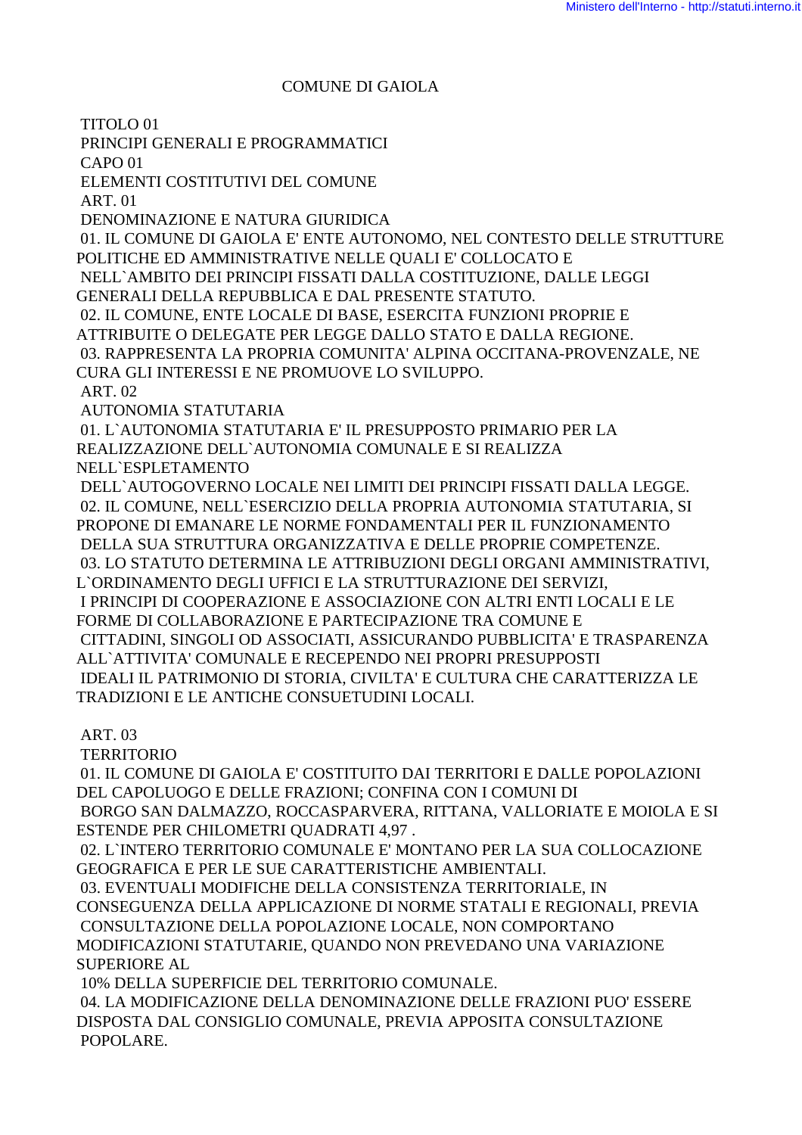#### **COMUNE DI GAIOLA**

TITOLO<sub>01</sub>

PRINCIPI GENERALI E PROGRAMMATICI

 $CAPO<sub>01</sub>$ 

ELEMENTI COSTITUTIVI DEL COMUNE

**ART.01** 

DENOMINAZIONE E NATURA GIURIDICA

01. IL COMUNE DI GAIOLA E' ENTE AUTONOMO, NEL CONTESTO DELLE STRUTTURE POLITICHE ED AMMINISTRATIVE NELLE QUALI E' COLLOCATO E

NELL'AMBITO DEI PRINCIPI FISSATI DALLA COSTITUZIONE. DALLE LEGGI

GENERALI DELLA REPUBBLICA E DAL PRESENTE STATUTO.

02. IL COMUNE, ENTE LOCALE DI BASE, ESERCITA FUNZIONI PROPRIE E

ATTRIBUITE O DELEGATE PER LEGGE DALLO STATO E DALLA REGIONE.

03. RAPPRESENTA LA PROPRIA COMUNITA' ALPINA OCCITANA-PROVENZALE, NE

CURA GLI INTERESSI E NE PROMUOVE LO SVILUPPO.

ART. 02

**AUTONOMIA STATUTARIA** 

01. L'AUTONOMIA STATUTARIA E' IL PRESUPPOSTO PRIMARIO PER LA REALIZZAZIONE DELL'AUTONOMIA COMUNALE E SI REALIZZA NELL'ESPLETAMENTO

DELL'AUTOGOVERNO LOCALE NEI LIMITI DEI PRINCIPI FISSATI DALLA LEGGE. 02. IL COMUNE, NELL'ESERCIZIO DELLA PROPRIA AUTONOMIA STATUTARIA, SI PROPONE DI EMANARE LE NORME FONDAMENTALI PER IL FUNZIONAMENTO DELLA SUA STRUTTURA ORGANIZZATIVA E DELLE PROPRIE COMPETENZE. 03. LO STATUTO DETERMINA LE ATTRIBUZIONI DEGLI ORGANI AMMINISTRATIVI, L'ORDINAMENTO DEGLI UFFICI E LA STRUTTURAZIONE DEI SERVIZI, I PRINCIPI DI COOPERAZIONE E ASSOCIAZIONE CON ALTRI ENTI LOCALI E LE FORME DI COLLABORAZIONE E PARTECIPAZIONE TRA COMUNE E CITTADINI. SINGOLI OD ASSOCIATI. ASSICURANDO PUBBLICITA' E TRASPARENZA ALL'ATTIVITA' COMUNALE E RECEPENDO NEI PROPRI PRESUPPOSTI IDEALI IL PATRIMONIO DI STORIA, CIVILTA' E CULTURA CHE CARATTERIZZA LE TRADIZIONI E LE ANTICHE CONSUETUDINI LOCALI.

### **ART. 03**

**TERRITORIO** 

01. IL COMUNE DI GAIOLA E' COSTITUITO DAI TERRITORI E DALLE POPOLAZIONI DEL CAPOLUOGO E DELLE FRAZIONI: CONFINA CON I COMUNI DI BORGO SAN DALMAZZO, ROCCASPARVERA, RITTANA, VALLORIATE E MOIOLA E SI ESTENDE PER CHILOMETRI OUADRATI 4,97.

02. L'INTERO TERRITORIO COMUNALE E' MONTANO PER LA SUA COLLOCAZIONE GEOGRAFICA E PER LE SUE CARATTERISTICHE AMBIENTALI.

03. EVENTUALI MODIFICHE DELLA CONSISTENZA TERRITORIALE, IN

CONSEGUENZA DELLA APPLICAZIONE DI NORME STATALI E REGIONALI, PREVIA

CONSULTAZIONE DELLA POPOLAZIONE LOCALE, NON COMPORTANO MODIFICAZIONI STATUTARIE, QUANDO NON PREVEDANO UNA VARIAZIONE SUPERIORE AL

10% DELLA SUPERFICIE DEL TERRITORIO COMUNALE. 04. LA MODIFICAZIONE DELLA DENOMINAZIONE DELLE FRAZIONI PUO' ESSERE DISPOSTA DAL CONSIGLIO COMUNALE, PREVIA APPOSITA CONSULTAZIONE POPOLARE.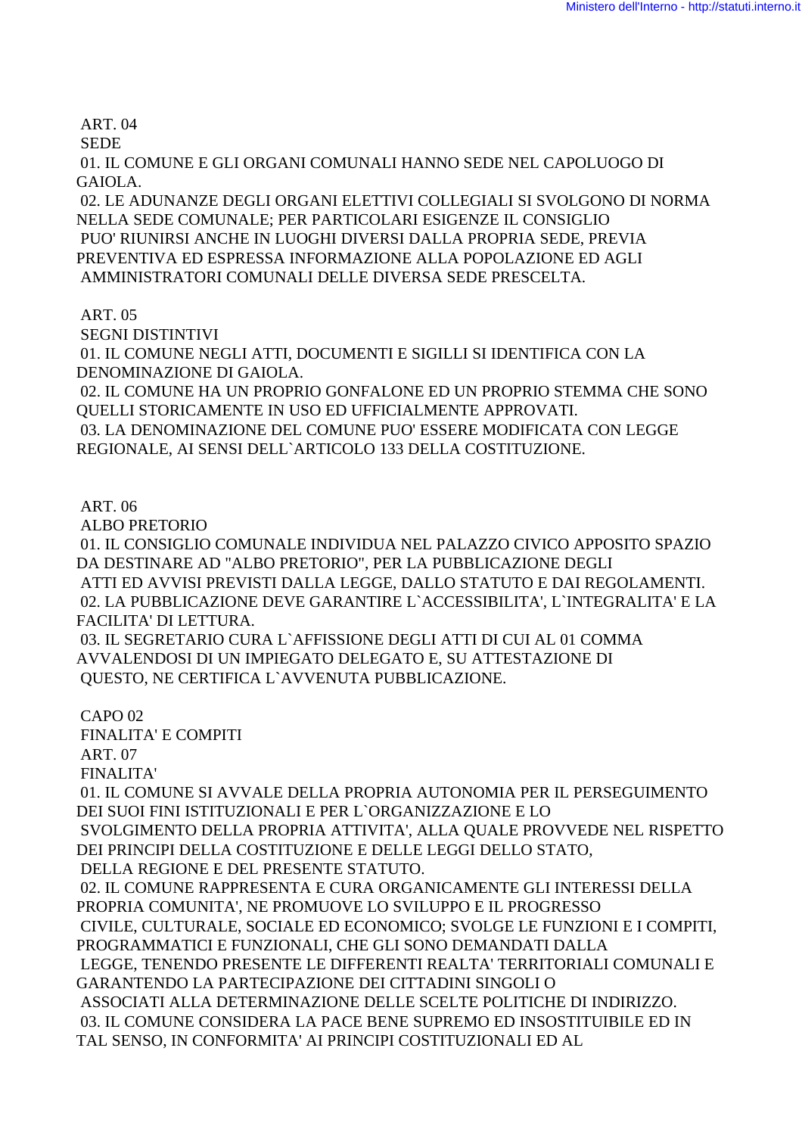ART. 04

SEDE

 01. IL COMUNE E GLI ORGANI COMUNALI HANNO SEDE NEL CAPOLUOGO DI GAIOLA.

 02. LE ADUNANZE DEGLI ORGANI ELETTIVI COLLEGIALI SI SVOLGONO DI NORMA NELLA SEDE COMUNALE; PER PARTICOLARI ESIGENZE IL CONSIGLIO PUO' RIUNIRSI ANCHE IN LUOGHI DIVERSI DALLA PROPRIA SEDE, PREVIA PREVENTIVA ED ESPRESSA INFORMAZIONE ALLA POPOLAZIONE ED AGLI AMMINISTRATORI COMUNALI DELLE DIVERSA SEDE PRESCELTA.

ART. 05

 SEGNI DISTINTIVI 01. IL COMUNE NEGLI ATTI, DOCUMENTI E SIGILLI SI IDENTIFICA CON LA DENOMINAZIONE DI GAIOLA. 02. IL COMUNE HA UN PROPRIO GONFALONE ED UN PROPRIO STEMMA CHE SONO QUELLI STORICAMENTE IN USO ED UFFICIALMENTE APPROVATI. 03. LA DENOMINAZIONE DEL COMUNE PUO' ESSERE MODIFICATA CON LEGGE REGIONALE, AI SENSI DELL`ARTICOLO 133 DELLA COSTITUZIONE.

ART. 06

ALBO PRETORIO

 01. IL CONSIGLIO COMUNALE INDIVIDUA NEL PALAZZO CIVICO APPOSITO SPAZIO DA DESTINARE AD "ALBO PRETORIO", PER LA PUBBLICAZIONE DEGLI ATTI ED AVVISI PREVISTI DALLA LEGGE, DALLO STATUTO E DAI REGOLAMENTI. 02. LA PUBBLICAZIONE DEVE GARANTIRE L`ACCESSIBILITA', L`INTEGRALITA' E LA FACILITA' DI LETTURA.

 03. IL SEGRETARIO CURA L`AFFISSIONE DEGLI ATTI DI CUI AL 01 COMMA AVVALENDOSI DI UN IMPIEGATO DELEGATO E, SU ATTESTAZIONE DI QUESTO, NE CERTIFICA L`AVVENUTA PUBBLICAZIONE.

CAPO 02

FINALITA' E COMPITI

ART. 07

FINALITA'

 01. IL COMUNE SI AVVALE DELLA PROPRIA AUTONOMIA PER IL PERSEGUIMENTO DEI SUOI FINI ISTITUZIONALI E PER L`ORGANIZZAZIONE E LO

 SVOLGIMENTO DELLA PROPRIA ATTIVITA', ALLA QUALE PROVVEDE NEL RISPETTO DEI PRINCIPI DELLA COSTITUZIONE E DELLE LEGGI DELLO STATO,

DELLA REGIONE E DEL PRESENTE STATUTO.

 02. IL COMUNE RAPPRESENTA E CURA ORGANICAMENTE GLI INTERESSI DELLA PROPRIA COMUNITA', NE PROMUOVE LO SVILUPPO E IL PROGRESSO CIVILE, CULTURALE, SOCIALE ED ECONOMICO; SVOLGE LE FUNZIONI E I COMPITI, PROGRAMMATICI E FUNZIONALI, CHE GLI SONO DEMANDATI DALLA LEGGE, TENENDO PRESENTE LE DIFFERENTI REALTA' TERRITORIALI COMUNALI E GARANTENDO LA PARTECIPAZIONE DEI CITTADINI SINGOLI O ASSOCIATI ALLA DETERMINAZIONE DELLE SCELTE POLITICHE DI INDIRIZZO. 03. IL COMUNE CONSIDERA LA PACE BENE SUPREMO ED INSOSTITUIBILE ED IN TAL SENSO, IN CONFORMITA' AI PRINCIPI COSTITUZIONALI ED AL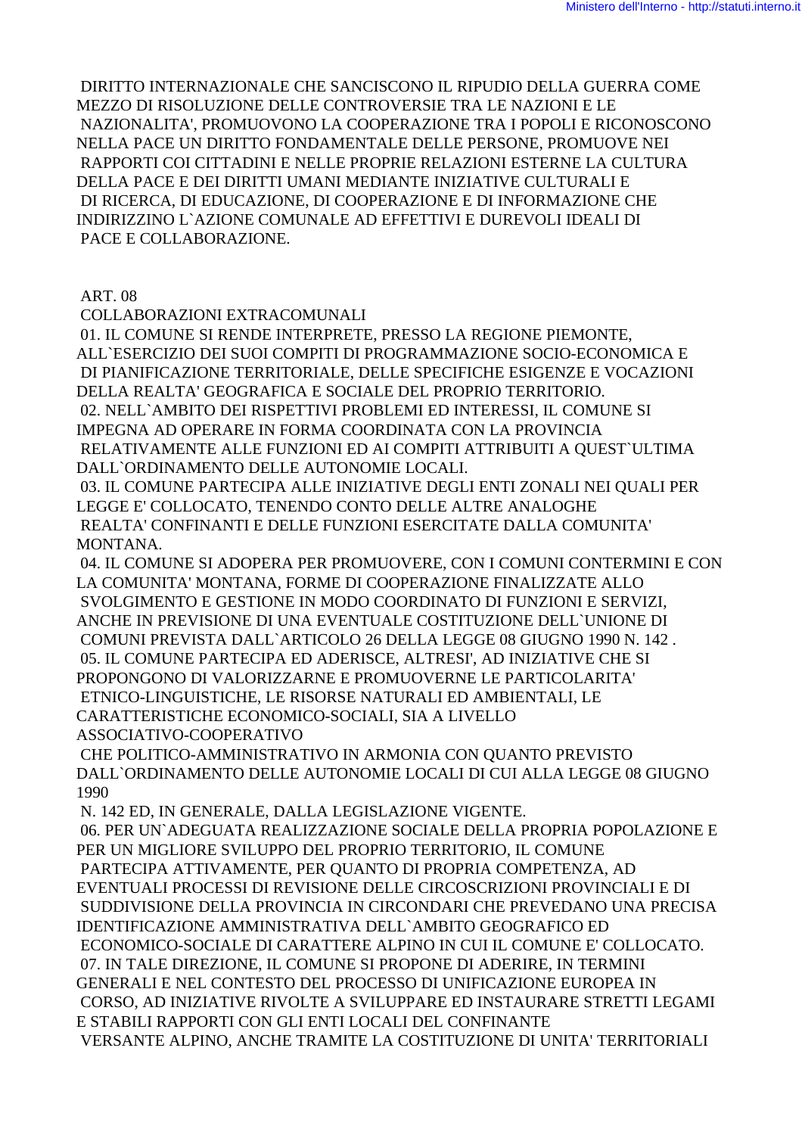DIRITTO INTERNAZIONALE CHE SANCISCONO IL RIPUDIO DELLA GUERRA COME MEZZO DI RISOLUZIONE DELLE CONTROVERSIE TRA LE NAZIONI E LE NAZIONALITA'. PROMUOVONO LA COOPERAZIONE TRA I POPOLI E RICONOSCONO NELLA PACE UN DIRITTO FONDAMENTALE DELLE PERSONE, PROMUOVE NEI RAPPORTI COI CITTADINI E NELLE PROPRIE RELAZIONI ESTERNE LA CULTURA DELLA PACE E DEI DIRITTI UMANI MEDIANTE INIZIATIVE CULTURALI E DI RICERCA. DI EDUCAZIONE. DI COOPERAZIONE E DI INFORMAZIONE CHE INDIRIZZINO L`AZIONE COMUNALE AD EFFETTIVI E DUREVOLI IDEALI DI PACE E COLLABORAZIONE.

**ART.08** 

COLLABORAZIONI EXTRACOMUNALI

01. IL COMUNE SI RENDE INTERPRETE, PRESSO LA REGIONE PIEMONTE, ALL`ESERCIZIO DEI SUOI COMPITI DI PROGRAMMAZIONE SOCIO-ECONOMICA E DI PIANIFICAZIONE TERRITORIALE, DELLE SPECIFICHE ESIGENZE E VOCAZIONI DELLA REALTA' GEOGRAFICA E SOCIALE DEL PROPRIO TERRITORIO. 02. NELL'AMBITO DEI RISPETTIVI PROBLEMI ED INTERESSI, IL COMUNE SI IMPEGNA AD OPERARE IN FORMA COORDINATA CON LA PROVINCIA RELATIVAMENTE ALLE FUNZIONI ED AI COMPITI ATTRIBUITI A QUEST ULTIMA DALL'ORDINAMENTO DELLE AUTONOMIE LOCALI. 03. IL COMUNE PARTECIPA ALLE INIZIATIVE DEGLI ENTI ZONALI NEI OUALI PER

LEGGE E' COLLOCATO, TENENDO CONTO DELLE ALTRE ANALOGHE REALTA' CONFINANTI E DELLE FUNZIONI ESERCITATE DALLA COMUNITA' MONTANA.

04. IL COMUNE SI ADOPERA PER PROMUOVERE, CON I COMUNI CONTERMINI E CON LA COMUNITA' MONTANA, FORME DI COOPERAZIONE FINALIZZATE ALLO SVOLGIMENTO E GESTIONE IN MODO COORDINATO DI FUNZIONI E SERVIZI. ANCHE IN PREVISIONE DI UNA EVENTUALE COSTITUZIONE DELL'UNIONE DI COMUNI PREVISTA DALL`ARTICOLO 26 DELLA LEGGE 08 GIUGNO 1990 N. 142. 05. IL COMUNE PARTECIPA ED ADERISCE, ALTRESI', AD INIZIATIVE CHE SI PROPONGONO DI VALORIZZARNE E PROMUOVERNE LE PARTICOLARITA' ETNICO-LINGUISTICHE, LE RISORSE NATURALI ED AMBIENTALI, LE CARATTERISTICHE ECONOMICO-SOCIALI, SIA A LIVELLO ASSOCIATIVO-COOPERATIVO

CHE POLITICO-AMMINISTRATIVO IN ARMONIA CON QUANTO PREVISTO DALL`ORDINAMENTO DELLE AUTONOMIE LOCALI DI CUI ALLA LEGGE 08 GIUGNO 1990

N. 142 ED, IN GENERALE, DALLA LEGISLAZIONE VIGENTE. 06. PER UN`ADEGUATA REALIZZAZIONE SOCIALE DELLA PROPRIA POPOLAZIONE E PER UN MIGLIORE SVILUPPO DEL PROPRIO TERRITORIO. IL COMUNE PARTECIPA ATTIVAMENTE, PER QUANTO DI PROPRIA COMPETENZA, AD EVENTUALI PROCESSI DI REVISIONE DELLE CIRCOSCRIZIONI PROVINCIALI E DI SUDDIVISIONE DELLA PROVINCIA IN CIRCONDARI CHE PREVEDANO UNA PRECISA IDENTIFICAZIONE AMMINISTRATIVA DELL'AMBITO GEOGRAFICO ED ECONOMICO-SOCIALE DI CARATTERE ALPINO IN CUI IL COMUNE E' COLLOCATO. 07. IN TALE DIREZIONE. IL COMUNE SI PROPONE DI ADERIRE. IN TERMINI GENERALI E NEL CONTESTO DEL PROCESSO DI UNIFICAZIONE EUROPEA IN CORSO, AD INIZIATIVE RIVOLTE A SVILUPPARE ED INSTAURARE STRETTI LEGAMI E STABILI RAPPORTI CON GLI ENTI LOCALI DEL CONFINANTE VERSANTE ALPINO, ANCHE TRAMITE LA COSTITUZIONE DI UNITA' TERRITORIALI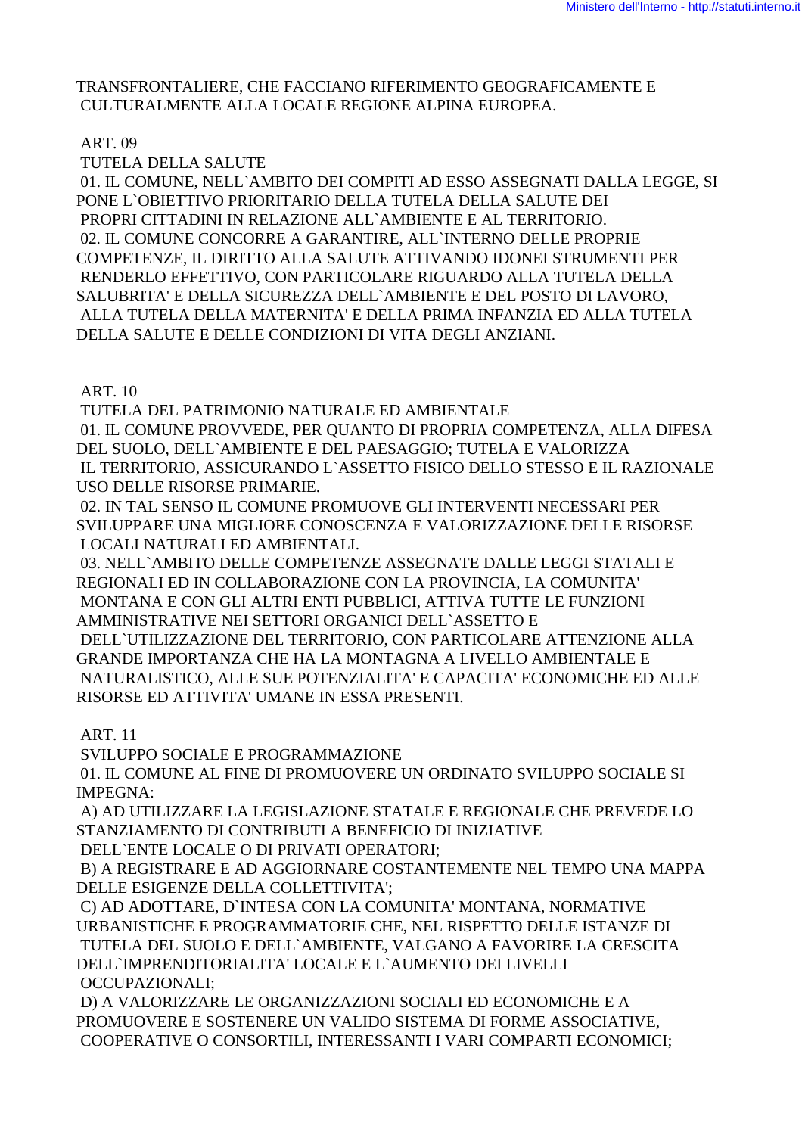#### TRANSFRONTALIERE. CHE FACCIANO RIFERIMENTO GEOGRAFICAMENTE E CULTURALMENTE ALLA LOCALE REGIONE ALPINA EUROPEA.

## ART. 09

TUTELA DELLA SALUTE

01. IL COMUNE, NELL`AMBITO DEI COMPITI AD ESSO ASSEGNATI DALLA LEGGE, SI PONE L'OBIETTIVO PRIORITARIO DELLA TUTELA DELLA SALUTE DEI PROPRI CITTADINI IN RELAZIONE ALL'AMBIENTE E AL TERRITORIO. 02. IL COMUNE CONCORRE A GARANTIRE, ALL'INTERNO DELLE PROPRIE COMPETENZE, IL DIRITTO ALLA SALUTE ATTIVANDO IDONEI STRUMENTI PER RENDERLO EFFETTIVO, CON PARTICOLARE RIGUARDO ALLA TUTELA DELLA SALUBRITA' E DELLA SICUREZZA DELL'AMBIENTE E DEL POSTO DI LAVORO, ALLA TUTELA DELLA MATERNITA' E DELLA PRIMA INFANZIA ED ALLA TUTELA DELLA SALUTE E DELLE CONDIZIONI DI VITA DEGLI ANZIANI.

## **ART. 10**

TUTELA DEL PATRIMONIO NATURALE ED AMBIENTALE

01. IL COMUNE PROVVEDE, PER QUANTO DI PROPRIA COMPETENZA, ALLA DIFESA DEL SUOLO, DELL'AMBIENTE E DEL PAESAGGIO; TUTELA E VALORIZZA IL TERRITORIO, ASSICURANDO L'ASSETTO FISICO DELLO STESSO E IL RAZIONALE USO DELLE RISORSE PRIMARIE.

02. IN TAL SENSO IL COMUNE PROMUOVE GLI INTERVENTI NECESSARI PER SVILUPPARE UNA MIGLIORE CONOSCENZA E VALORIZZAZIONE DELLE RISORSE LOCALI NATURALI ED AMBIENTALI.

03. NELL`AMBITO DELLE COMPETENZE ASSEGNATE DALLE LEGGI STATALI E REGIONALI ED IN COLLABORAZIONE CON LA PROVINCIA, LA COMUNITA' MONTANA E CON GLI ALTRI ENTI PUBBLICI, ATTIVA TUTTE LE FUNZIONI AMMINISTRATIVE NEI SETTORI ORGANICI DELL'ASSETTO E DELL'UTILIZZAZIONE DEL TERRITORIO. CON PARTICOLARE ATTENZIONE ALLA GRANDE IMPORTANZA CHE HA LA MONTAGNA A LIVELLO AMBIENTALE E NATURALISTICO, ALLE SUE POTENZIALITA' E CAPACITA' ECONOMICHE ED ALLE RISORSE ED ATTIVITA' UMANE IN ESSA PRESENTI.

## **ART. 11**

SVILUPPO SOCIALE E PROGRAMMAZIONE

01. IL COMUNE AL FINE DI PROMUOVERE UN ORDINATO SVILUPPO SOCIALE SI IMPEGNA:

A) AD UTILIZZARE LA LEGISLAZIONE STATALE E REGIONALE CHE PREVEDE LO STANZIAMENTO DI CONTRIBUTI A BENEFICIO DI INIZIATIVE

DELL'ENTE LOCALE O DI PRIVATI OPERATORI:

B) A REGISTRARE E AD AGGIORNARE COSTANTEMENTE NEL TEMPO UNA MAPPA DELLE ESIGENZE DELLA COLLETTIVITA':

C) AD ADOTTARE, D'INTESA CON LA COMUNITA' MONTANA, NORMATIVE URBANISTICHE E PROGRAMMATORIE CHE, NEL RISPETTO DELLE ISTANZE DI TUTELA DEL SUOLO E DELL'AMBIENTE, VALGANO A FAVORIRE LA CRESCITA DELL'IMPRENDITORIALITA' LOCALE E L'AUMENTO DEI LIVELLI **OCCUPAZIONALI:** 

D) A VALORIZZARE LE ORGANIZZAZIONI SOCIALI ED ECONOMICHE E A PROMUOVERE E SOSTENERE UN VALIDO SISTEMA DI FORME ASSOCIATIVE. COOPERATIVE O CONSORTILI, INTERESSANTI I VARI COMPARTI ECONOMICI;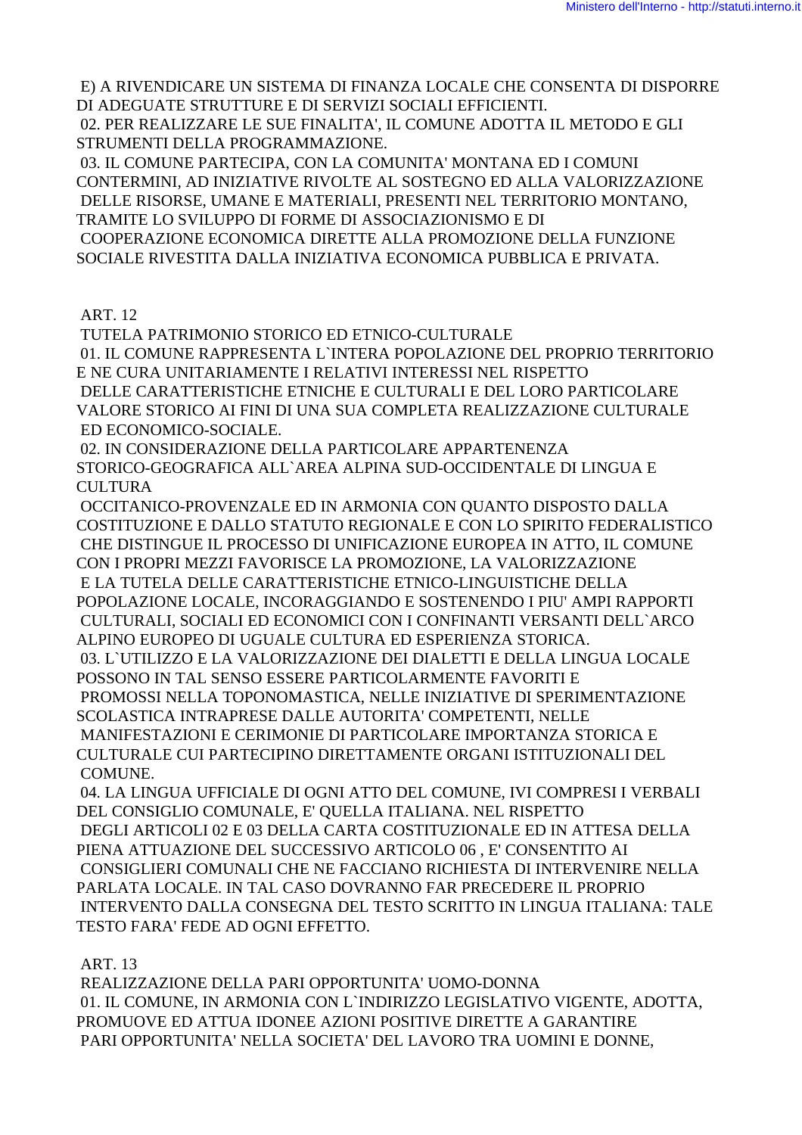E) A RIVENDICARE UN SISTEMA DI FINANZA LOCALE CHE CONSENTA DI DISPORRE DI ADEGUATE STRUTTURE E DI SERVIZI SOCIALI EFFICIENTI.

 02. PER REALIZZARE LE SUE FINALITA', IL COMUNE ADOTTA IL METODO E GLI STRUMENTI DELLA PROGRAMMAZIONE.

 03. IL COMUNE PARTECIPA, CON LA COMUNITA' MONTANA ED I COMUNI CONTERMINI, AD INIZIATIVE RIVOLTE AL SOSTEGNO ED ALLA VALORIZZAZIONE DELLE RISORSE, UMANE E MATERIALI, PRESENTI NEL TERRITORIO MONTANO, TRAMITE LO SVILUPPO DI FORME DI ASSOCIAZIONISMO E DI COOPERAZIONE ECONOMICA DIRETTE ALLA PROMOZIONE DELLA FUNZIONE SOCIALE RIVESTITA DALLA INIZIATIVA ECONOMICA PUBBLICA E PRIVATA.

## ART. 12

 TUTELA PATRIMONIO STORICO ED ETNICO-CULTURALE 01. IL COMUNE RAPPRESENTA L`INTERA POPOLAZIONE DEL PROPRIO TERRITORIO E NE CURA UNITARIAMENTE I RELATIVI INTERESSI NEL RISPETTO DELLE CARATTERISTICHE ETNICHE E CULTURALI E DEL LORO PARTICOLARE VALORE STORICO AI FINI DI UNA SUA COMPLETA REALIZZAZIONE CULTURALE ED ECONOMICO-SOCIALE.

 02. IN CONSIDERAZIONE DELLA PARTICOLARE APPARTENENZA STORICO-GEOGRAFICA ALL`AREA ALPINA SUD-OCCIDENTALE DI LINGUA E **CULTURA** 

 OCCITANICO-PROVENZALE ED IN ARMONIA CON QUANTO DISPOSTO DALLA COSTITUZIONE E DALLO STATUTO REGIONALE E CON LO SPIRITO FEDERALISTICO CHE DISTINGUE IL PROCESSO DI UNIFICAZIONE EUROPEA IN ATTO, IL COMUNE CON I PROPRI MEZZI FAVORISCE LA PROMOZIONE, LA VALORIZZAZIONE E LA TUTELA DELLE CARATTERISTICHE ETNICO-LINGUISTICHE DELLA POPOLAZIONE LOCALE, INCORAGGIANDO E SOSTENENDO I PIU' AMPI RAPPORTI CULTURALI, SOCIALI ED ECONOMICI CON I CONFINANTI VERSANTI DELL`ARCO ALPINO EUROPEO DI UGUALE CULTURA ED ESPERIENZA STORICA. 03. L`UTILIZZO E LA VALORIZZAZIONE DEI DIALETTI E DELLA LINGUA LOCALE POSSONO IN TAL SENSO ESSERE PARTICOLARMENTE FAVORITI E PROMOSSI NELLA TOPONOMASTICA, NELLE INIZIATIVE DI SPERIMENTAZIONE SCOLASTICA INTRAPRESE DALLE AUTORITA' COMPETENTI, NELLE MANIFESTAZIONI E CERIMONIE DI PARTICOLARE IMPORTANZA STORICA E CULTURALE CUI PARTECIPINO DIRETTAMENTE ORGANI ISTITUZIONALI DEL COMUNE.

 04. LA LINGUA UFFICIALE DI OGNI ATTO DEL COMUNE, IVI COMPRESI I VERBALI DEL CONSIGLIO COMUNALE, E' QUELLA ITALIANA. NEL RISPETTO DEGLI ARTICOLI 02 E 03 DELLA CARTA COSTITUZIONALE ED IN ATTESA DELLA PIENA ATTUAZIONE DEL SUCCESSIVO ARTICOLO 06 , E' CONSENTITO AI CONSIGLIERI COMUNALI CHE NE FACCIANO RICHIESTA DI INTERVENIRE NELLA PARLATA LOCALE. IN TAL CASO DOVRANNO FAR PRECEDERE IL PROPRIO INTERVENTO DALLA CONSEGNA DEL TESTO SCRITTO IN LINGUA ITALIANA: TALE TESTO FARA' FEDE AD OGNI EFFETTO.

## ART. 13

 REALIZZAZIONE DELLA PARI OPPORTUNITA' UOMO-DONNA 01. IL COMUNE, IN ARMONIA CON L`INDIRIZZO LEGISLATIVO VIGENTE, ADOTTA, PROMUOVE ED ATTUA IDONEE AZIONI POSITIVE DIRETTE A GARANTIRE PARI OPPORTUNITA' NELLA SOCIETA' DEL LAVORO TRA UOMINI E DONNE,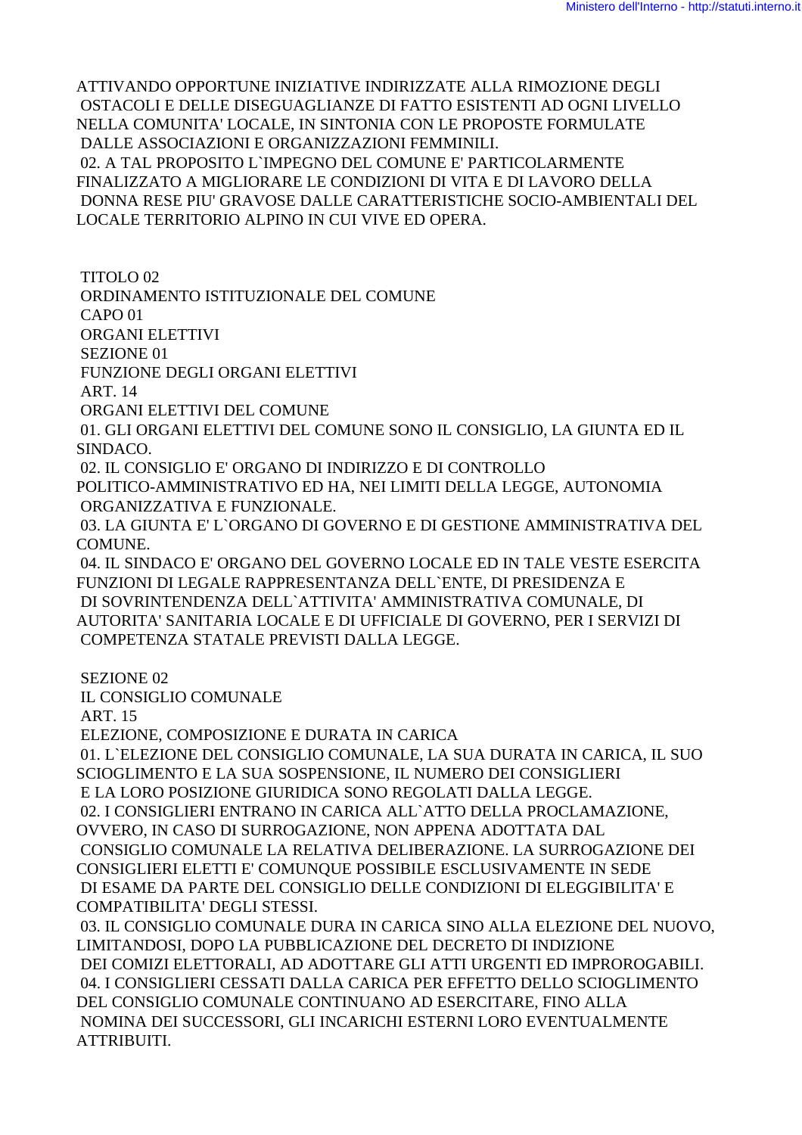ATTIVANDO OPPORTUNE INIZIATIVE INDIRIZZATE ALLA RIMOZIONE DEGLI OSTACOLI E DELLE DISEGUAGLIANZE DI FATTO ESISTENTI AD OGNI LIVELLO NELLA COMUNITA' LOCALE, IN SINTONIA CON LE PROPOSTE FORMULATE DALLE ASSOCIAZIONI E ORGANIZZAZIONI FEMMINILI. 02. A TAL PROPOSITO L`IMPEGNO DEL COMUNE E' PARTICOLARMENTE FINALIZZATO A MIGLIORARE LE CONDIZIONI DI VITA E DI LAVORO DELLA DONNA RESE PIU' GRAVOSE DALLE CARATTERISTICHE SOCIO-AMBIENTALI DEL LOCALE TERRITORIO ALPINO IN CUI VIVE ED OPERA.

 TITOLO 02 ORDINAMENTO ISTITUZIONALE DEL COMUNE CAPO 01 ORGANI ELETTIVI SEZIONE 01 FUNZIONE DEGLI ORGANI ELETTIVI ART. 14 ORGANI ELETTIVI DEL COMUNE

 01. GLI ORGANI ELETTIVI DEL COMUNE SONO IL CONSIGLIO, LA GIUNTA ED IL SINDACO.

 02. IL CONSIGLIO E' ORGANO DI INDIRIZZO E DI CONTROLLO POLITICO-AMMINISTRATIVO ED HA, NEI LIMITI DELLA LEGGE, AUTONOMIA ORGANIZZATIVA E FUNZIONALE.

 03. LA GIUNTA E' L`ORGANO DI GOVERNO E DI GESTIONE AMMINISTRATIVA DEL COMUNE.

 04. IL SINDACO E' ORGANO DEL GOVERNO LOCALE ED IN TALE VESTE ESERCITA FUNZIONI DI LEGALE RAPPRESENTANZA DELL`ENTE, DI PRESIDENZA E DI SOVRINTENDENZA DELL`ATTIVITA' AMMINISTRATIVA COMUNALE, DI AUTORITA' SANITARIA LOCALE E DI UFFICIALE DI GOVERNO, PER I SERVIZI DI COMPETENZA STATALE PREVISTI DALLA LEGGE.

SEZIONE 02

IL CONSIGLIO COMUNALE

ART. 15

ELEZIONE, COMPOSIZIONE E DURATA IN CARICA

 01. L`ELEZIONE DEL CONSIGLIO COMUNALE, LA SUA DURATA IN CARICA, IL SUO SCIOGLIMENTO E LA SUA SOSPENSIONE, IL NUMERO DEI CONSIGLIERI E LA LORO POSIZIONE GIURIDICA SONO REGOLATI DALLA LEGGE.

 02. I CONSIGLIERI ENTRANO IN CARICA ALL`ATTO DELLA PROCLAMAZIONE, OVVERO, IN CASO DI SURROGAZIONE, NON APPENA ADOTTATA DAL

 CONSIGLIO COMUNALE LA RELATIVA DELIBERAZIONE. LA SURROGAZIONE DEI CONSIGLIERI ELETTI E' COMUNQUE POSSIBILE ESCLUSIVAMENTE IN SEDE DI ESAME DA PARTE DEL CONSIGLIO DELLE CONDIZIONI DI ELEGGIBILITA' E COMPATIBILITA' DEGLI STESSI.

 03. IL CONSIGLIO COMUNALE DURA IN CARICA SINO ALLA ELEZIONE DEL NUOVO, LIMITANDOSI, DOPO LA PUBBLICAZIONE DEL DECRETO DI INDIZIONE DEI COMIZI ELETTORALI, AD ADOTTARE GLI ATTI URGENTI ED IMPROROGABILI. 04. I CONSIGLIERI CESSATI DALLA CARICA PER EFFETTO DELLO SCIOGLIMENTO DEL CONSIGLIO COMUNALE CONTINUANO AD ESERCITARE, FINO ALLA NOMINA DEI SUCCESSORI, GLI INCARICHI ESTERNI LORO EVENTUALMENTE ATTRIBUITI.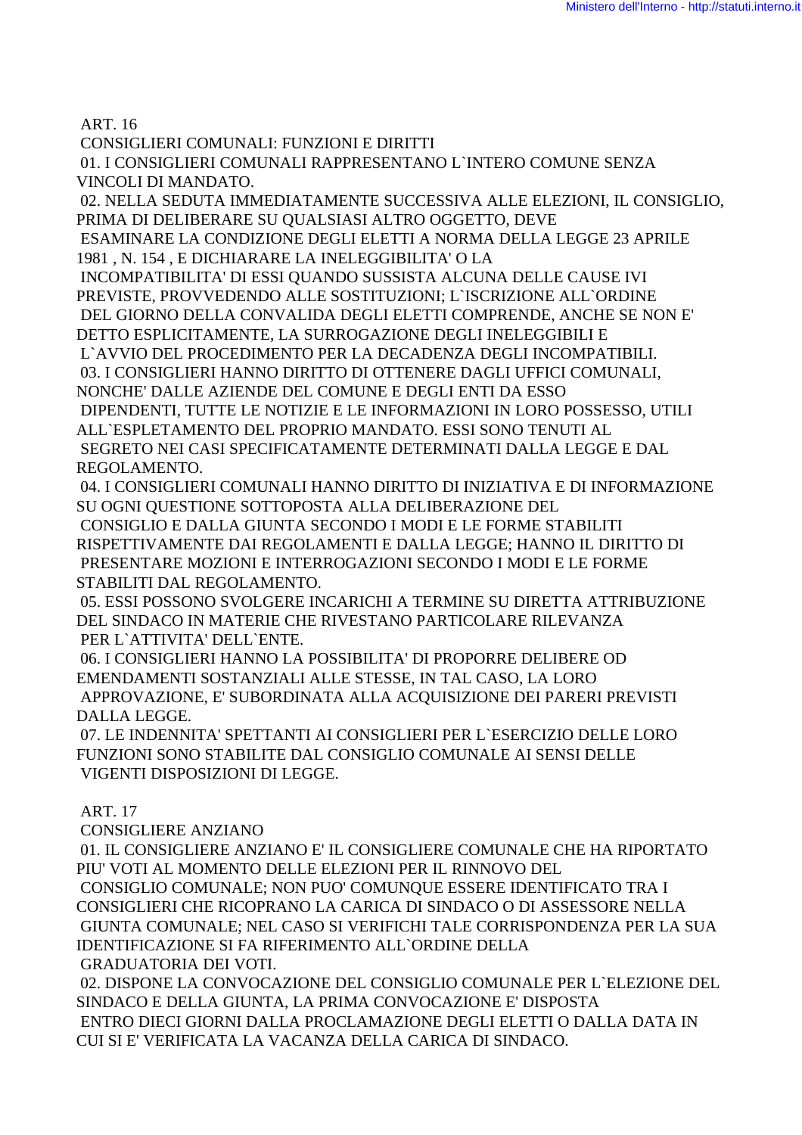ART. 16

 CONSIGLIERI COMUNALI: FUNZIONI E DIRITTI 01. I CONSIGLIERI COMUNALI RAPPRESENTANO L`INTERO COMUNE SENZA VINCOLI DI MANDATO.

 02. NELLA SEDUTA IMMEDIATAMENTE SUCCESSIVA ALLE ELEZIONI, IL CONSIGLIO, PRIMA DI DELIBERARE SU QUALSIASI ALTRO OGGETTO, DEVE

 ESAMINARE LA CONDIZIONE DEGLI ELETTI A NORMA DELLA LEGGE 23 APRILE 1981 , N. 154 , E DICHIARARE LA INELEGGIBILITA' O LA

 INCOMPATIBILITA' DI ESSI QUANDO SUSSISTA ALCUNA DELLE CAUSE IVI PREVISTE, PROVVEDENDO ALLE SOSTITUZIONI; L`ISCRIZIONE ALL`ORDINE DEL GIORNO DELLA CONVALIDA DEGLI ELETTI COMPRENDE, ANCHE SE NON E' DETTO ESPLICITAMENTE, LA SURROGAZIONE DEGLI INELEGGIBILI E

 L`AVVIO DEL PROCEDIMENTO PER LA DECADENZA DEGLI INCOMPATIBILI. 03. I CONSIGLIERI HANNO DIRITTO DI OTTENERE DAGLI UFFICI COMUNALI, NONCHE' DALLE AZIENDE DEL COMUNE E DEGLI ENTI DA ESSO

 DIPENDENTI, TUTTE LE NOTIZIE E LE INFORMAZIONI IN LORO POSSESSO, UTILI ALL`ESPLETAMENTO DEL PROPRIO MANDATO. ESSI SONO TENUTI AL SEGRETO NEI CASI SPECIFICATAMENTE DETERMINATI DALLA LEGGE E DAL REGOLAMENTO.

 04. I CONSIGLIERI COMUNALI HANNO DIRITTO DI INIZIATIVA E DI INFORMAZIONE SU OGNI QUESTIONE SOTTOPOSTA ALLA DELIBERAZIONE DEL

 CONSIGLIO E DALLA GIUNTA SECONDO I MODI E LE FORME STABILITI RISPETTIVAMENTE DAI REGOLAMENTI E DALLA LEGGE; HANNO IL DIRITTO DI PRESENTARE MOZIONI E INTERROGAZIONI SECONDO I MODI E LE FORME STABILITI DAL REGOLAMENTO.

 05. ESSI POSSONO SVOLGERE INCARICHI A TERMINE SU DIRETTA ATTRIBUZIONE DEL SINDACO IN MATERIE CHE RIVESTANO PARTICOLARE RILEVANZA PER L`ATTIVITA' DELL`ENTE.

 06. I CONSIGLIERI HANNO LA POSSIBILITA' DI PROPORRE DELIBERE OD EMENDAMENTI SOSTANZIALI ALLE STESSE, IN TAL CASO, LA LORO APPROVAZIONE, E' SUBORDINATA ALLA ACQUISIZIONE DEI PARERI PREVISTI DALLA LEGGE.

 07. LE INDENNITA' SPETTANTI AI CONSIGLIERI PER L`ESERCIZIO DELLE LORO FUNZIONI SONO STABILITE DAL CONSIGLIO COMUNALE AI SENSI DELLE VIGENTI DISPOSIZIONI DI LEGGE.

# ART. 17

CONSIGLIERE ANZIANO

 01. IL CONSIGLIERE ANZIANO E' IL CONSIGLIERE COMUNALE CHE HA RIPORTATO PIU' VOTI AL MOMENTO DELLE ELEZIONI PER IL RINNOVO DEL CONSIGLIO COMUNALE; NON PUO' COMUNQUE ESSERE IDENTIFICATO TRA I CONSIGLIERI CHE RICOPRANO LA CARICA DI SINDACO O DI ASSESSORE NELLA GIUNTA COMUNALE; NEL CASO SI VERIFICHI TALE CORRISPONDENZA PER LA SUA IDENTIFICAZIONE SI FA RIFERIMENTO ALL`ORDINE DELLA GRADUATORIA DEI VOTI.

 02. DISPONE LA CONVOCAZIONE DEL CONSIGLIO COMUNALE PER L`ELEZIONE DEL SINDACO E DELLA GIUNTA, LA PRIMA CONVOCAZIONE E' DISPOSTA ENTRO DIECI GIORNI DALLA PROCLAMAZIONE DEGLI ELETTI O DALLA DATA IN CUI SI E' VERIFICATA LA VACANZA DELLA CARICA DI SINDACO.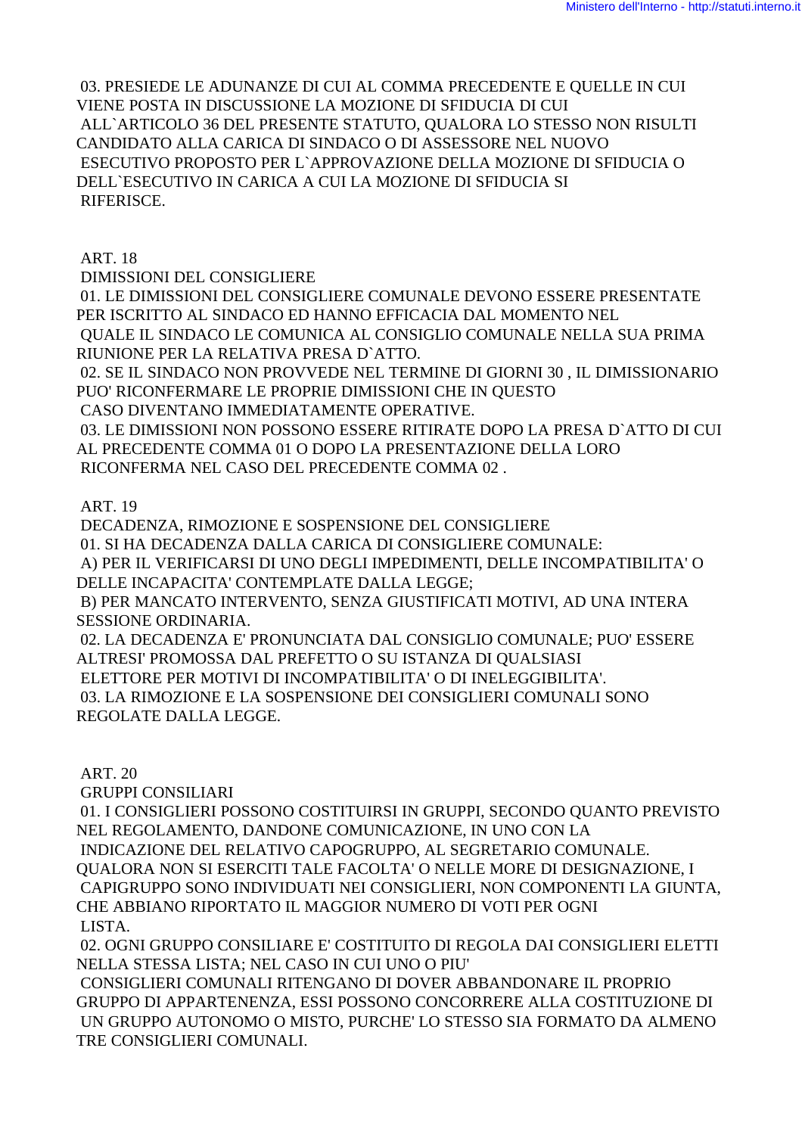03. PRESIEDE LE ADUNANZE DI CUI AL COMMA PRECEDENTE E QUELLE IN CUI VIENE POSTA IN DISCUSSIONE LA MOZIONE DI SFIDUCIA DI CUI ALL`ARTICOLO 36 DEL PRESENTE STATUTO, QUALORA LO STESSO NON RISULTI CANDIDATO ALLA CARICA DI SINDACO O DI ASSESSORE NEL NUOVO ESECUTIVO PROPOSTO PER L`APPROVAZIONE DELLA MOZIONE DI SFIDUCIA O DELL`ESECUTIVO IN CARICA A CUI LA MOZIONE DI SFIDUCIA SI RIFERISCE.

ART. 18

DIMISSIONI DEL CONSIGLIERE

 01. LE DIMISSIONI DEL CONSIGLIERE COMUNALE DEVONO ESSERE PRESENTATE PER ISCRITTO AL SINDACO ED HANNO EFFICACIA DAL MOMENTO NEL QUALE IL SINDACO LE COMUNICA AL CONSIGLIO COMUNALE NELLA SUA PRIMA

RIUNIONE PER LA RELATIVA PRESA D`ATTO.

 02. SE IL SINDACO NON PROVVEDE NEL TERMINE DI GIORNI 30 , IL DIMISSIONARIO PUO' RICONFERMARE LE PROPRIE DIMISSIONI CHE IN QUESTO

CASO DIVENTANO IMMEDIATAMENTE OPERATIVE.

 03. LE DIMISSIONI NON POSSONO ESSERE RITIRATE DOPO LA PRESA D`ATTO DI CUI AL PRECEDENTE COMMA 01 O DOPO LA PRESENTAZIONE DELLA LORO RICONFERMA NEL CASO DEL PRECEDENTE COMMA 02 .

ART. 19

DECADENZA, RIMOZIONE E SOSPENSIONE DEL CONSIGLIERE

01. SI HA DECADENZA DALLA CARICA DI CONSIGLIERE COMUNALE:

 A) PER IL VERIFICARSI DI UNO DEGLI IMPEDIMENTI, DELLE INCOMPATIBILITA' O DELLE INCAPACITA' CONTEMPLATE DALLA LEGGE;

 B) PER MANCATO INTERVENTO, SENZA GIUSTIFICATI MOTIVI, AD UNA INTERA SESSIONE ORDINARIA.

 02. LA DECADENZA E' PRONUNCIATA DAL CONSIGLIO COMUNALE; PUO' ESSERE ALTRESI' PROMOSSA DAL PREFETTO O SU ISTANZA DI QUALSIASI

ELETTORE PER MOTIVI DI INCOMPATIBILITA' O DI INELEGGIBILITA'.

 03. LA RIMOZIONE E LA SOSPENSIONE DEI CONSIGLIERI COMUNALI SONO REGOLATE DALLA LEGGE.

ART. 20

GRUPPI CONSILIARI

 01. I CONSIGLIERI POSSONO COSTITUIRSI IN GRUPPI, SECONDO QUANTO PREVISTO NEL REGOLAMENTO, DANDONE COMUNICAZIONE, IN UNO CON LA

INDICAZIONE DEL RELATIVO CAPOGRUPPO, AL SEGRETARIO COMUNALE.

QUALORA NON SI ESERCITI TALE FACOLTA' O NELLE MORE DI DESIGNAZIONE, I CAPIGRUPPO SONO INDIVIDUATI NEI CONSIGLIERI, NON COMPONENTI LA GIUNTA, CHE ABBIANO RIPORTATO IL MAGGIOR NUMERO DI VOTI PER OGNI LISTA.

 02. OGNI GRUPPO CONSILIARE E' COSTITUITO DI REGOLA DAI CONSIGLIERI ELETTI NELLA STESSA LISTA; NEL CASO IN CUI UNO O PIU'

 CONSIGLIERI COMUNALI RITENGANO DI DOVER ABBANDONARE IL PROPRIO GRUPPO DI APPARTENENZA, ESSI POSSONO CONCORRERE ALLA COSTITUZIONE DI UN GRUPPO AUTONOMO O MISTO, PURCHE' LO STESSO SIA FORMATO DA ALMENO TRE CONSIGLIERI COMUNALI.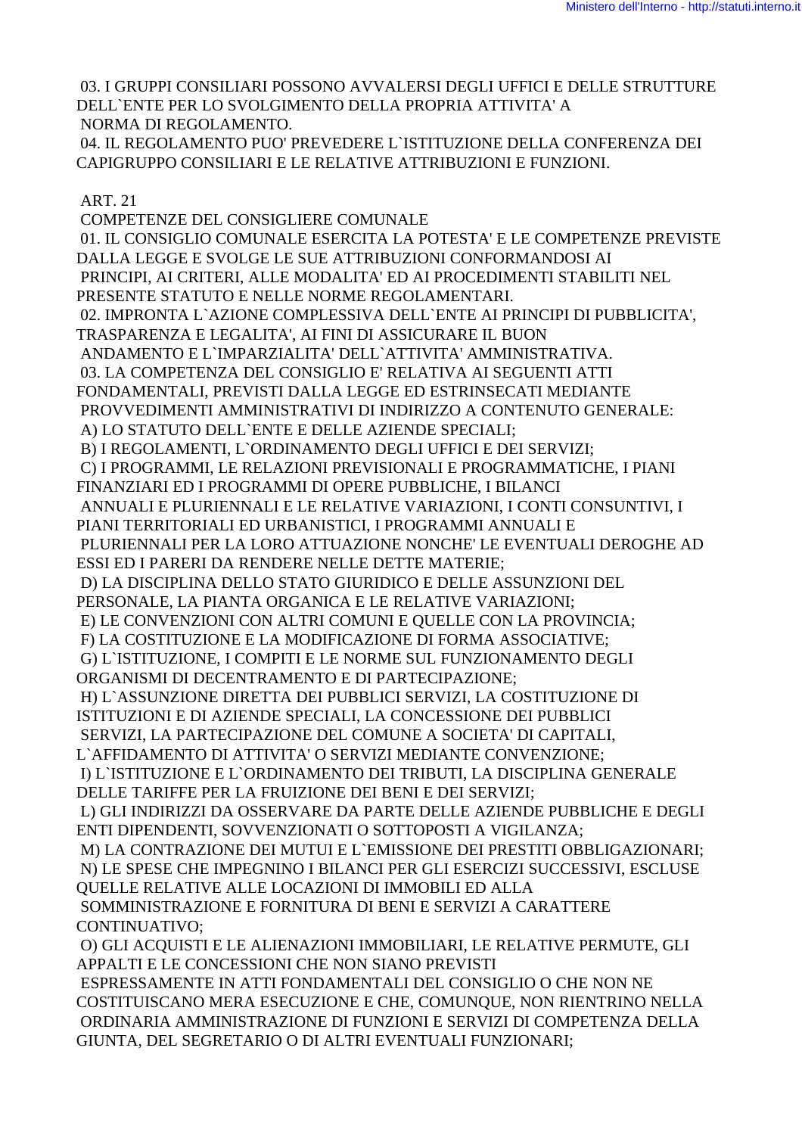03. I GRUPPI CONSILIARI POSSONO AVVALERSI DEGLI UFFICI E DELLE STRUTTURE DELL`ENTE PER LO SVOLGIMENTO DELLA PROPRIA ATTIVITA' A NORMA DI REGOLAMENTO.

 04. IL REGOLAMENTO PUO' PREVEDERE L`ISTITUZIONE DELLA CONFERENZA DEI CAPIGRUPPO CONSILIARI E LE RELATIVE ATTRIBUZIONI E FUNZIONI.

ART. 21

 COMPETENZE DEL CONSIGLIERE COMUNALE 01. IL CONSIGLIO COMUNALE ESERCITA LA POTESTA' E LE COMPETENZE PREVISTE DALLA LEGGE E SVOLGE LE SUE ATTRIBUZIONI CONFORMANDOSI AI PRINCIPI, AI CRITERI, ALLE MODALITA' ED AI PROCEDIMENTI STABILITI NEL PRESENTE STATUTO E NELLE NORME REGOLAMENTARI. 02. IMPRONTA L`AZIONE COMPLESSIVA DELL`ENTE AI PRINCIPI DI PUBBLICITA', TRASPARENZA E LEGALITA', AI FINI DI ASSICURARE IL BUON ANDAMENTO E L`IMPARZIALITA' DELL`ATTIVITA' AMMINISTRATIVA. 03. LA COMPETENZA DEL CONSIGLIO E' RELATIVA AI SEGUENTI ATTI FONDAMENTALI, PREVISTI DALLA LEGGE ED ESTRINSECATI MEDIANTE PROVVEDIMENTI AMMINISTRATIVI DI INDIRIZZO A CONTENUTO GENERALE: A) LO STATUTO DELL`ENTE E DELLE AZIENDE SPECIALI; B) I REGOLAMENTI, L`ORDINAMENTO DEGLI UFFICI E DEI SERVIZI; C) I PROGRAMMI, LE RELAZIONI PREVISIONALI E PROGRAMMATICHE, I PIANI FINANZIARI ED I PROGRAMMI DI OPERE PUBBLICHE, I BILANCI ANNUALI E PLURIENNALI E LE RELATIVE VARIAZIONI, I CONTI CONSUNTIVI, I PIANI TERRITORIALI ED URBANISTICI, I PROGRAMMI ANNUALI E PLURIENNALI PER LA LORO ATTUAZIONE NONCHE' LE EVENTUALI DEROGHE AD ESSI ED I PARERI DA RENDERE NELLE DETTE MATERIE; D) LA DISCIPLINA DELLO STATO GIURIDICO E DELLE ASSUNZIONI DEL PERSONALE, LA PIANTA ORGANICA E LE RELATIVE VARIAZIONI; E) LE CONVENZIONI CON ALTRI COMUNI E QUELLE CON LA PROVINCIA; F) LA COSTITUZIONE E LA MODIFICAZIONE DI FORMA ASSOCIATIVE; G) L`ISTITUZIONE, I COMPITI E LE NORME SUL FUNZIONAMENTO DEGLI ORGANISMI DI DECENTRAMENTO E DI PARTECIPAZIONE; H) L`ASSUNZIONE DIRETTA DEI PUBBLICI SERVIZI, LA COSTITUZIONE DI ISTITUZIONI E DI AZIENDE SPECIALI, LA CONCESSIONE DEI PUBBLICI SERVIZI, LA PARTECIPAZIONE DEL COMUNE A SOCIETA' DI CAPITALI, L`AFFIDAMENTO DI ATTIVITA' O SERVIZI MEDIANTE CONVENZIONE; I) L`ISTITUZIONE E L`ORDINAMENTO DEI TRIBUTI, LA DISCIPLINA GENERALE DELLE TARIFFE PER LA FRUIZIONE DEI BENI E DEI SERVIZI; L) GLI INDIRIZZI DA OSSERVARE DA PARTE DELLE AZIENDE PUBBLICHE E DEGLI ENTI DIPENDENTI, SOVVENZIONATI O SOTTOPOSTI A VIGILANZA; M) LA CONTRAZIONE DEI MUTUI E L`EMISSIONE DEI PRESTITI OBBLIGAZIONARI; N) LE SPESE CHE IMPEGNINO I BILANCI PER GLI ESERCIZI SUCCESSIVI, ESCLUSE QUELLE RELATIVE ALLE LOCAZIONI DI IMMOBILI ED ALLA SOMMINISTRAZIONE E FORNITURA DI BENI E SERVIZI A CARATTERE CONTINUATIVO; O) GLI ACQUISTI E LE ALIENAZIONI IMMOBILIARI, LE RELATIVE PERMUTE, GLI APPALTI E LE CONCESSIONI CHE NON SIANO PREVISTI ESPRESSAMENTE IN ATTI FONDAMENTALI DEL CONSIGLIO O CHE NON NE COSTITUISCANO MERA ESECUZIONE E CHE, COMUNQUE, NON RIENTRINO NELLA

ORDINARIA AMMINISTRAZIONE DI FUNZIONI E SERVIZI DI COMPETENZA DELLA

GIUNTA, DEL SEGRETARIO O DI ALTRI EVENTUALI FUNZIONARI;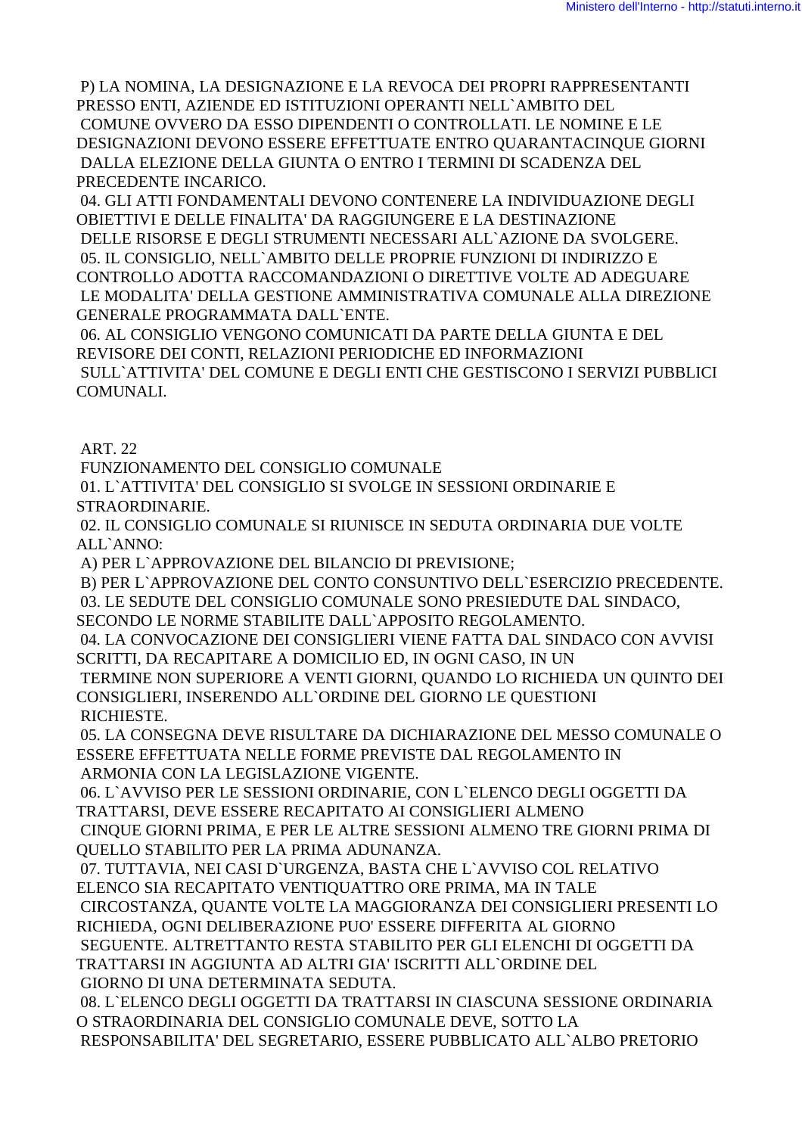P) LA NOMINA, LA DESIGNAZIONE E LA REVOCA DEI PROPRI RAPPRESENTANTI PRESSO ENTI, AZIENDE ED ISTITUZIONI OPERANTI NELL`AMBITO DEL COMUNE OVVERO DA ESSO DIPENDENTI O CONTROLLATI. LE NOMINE E LE DESIGNAZIONI DEVONO ESSERE EFFETTUATE ENTRO QUARANTACINQUE GIORNI DALLA ELEZIONE DELLA GIUNTA O ENTRO I TERMINI DI SCADENZA DEL PRECEDENTE INCARICO.

 04. GLI ATTI FONDAMENTALI DEVONO CONTENERE LA INDIVIDUAZIONE DEGLI OBIETTIVI E DELLE FINALITA' DA RAGGIUNGERE E LA DESTINAZIONE DELLE RISORSE E DEGLI STRUMENTI NECESSARI ALL`AZIONE DA SVOLGERE. 05. IL CONSIGLIO, NELL`AMBITO DELLE PROPRIE FUNZIONI DI INDIRIZZO E CONTROLLO ADOTTA RACCOMANDAZIONI O DIRETTIVE VOLTE AD ADEGUARE LE MODALITA' DELLA GESTIONE AMMINISTRATIVA COMUNALE ALLA DIREZIONE GENERALE PROGRAMMATA DALL`ENTE.

 06. AL CONSIGLIO VENGONO COMUNICATI DA PARTE DELLA GIUNTA E DEL REVISORE DEI CONTI, RELAZIONI PERIODICHE ED INFORMAZIONI SULL`ATTIVITA' DEL COMUNE E DEGLI ENTI CHE GESTISCONO I SERVIZI PUBBLICI COMUNALI.

ART. 22

FUNZIONAMENTO DEL CONSIGLIO COMUNALE

 01. L`ATTIVITA' DEL CONSIGLIO SI SVOLGE IN SESSIONI ORDINARIE E STRAORDINARIE.

 02. IL CONSIGLIO COMUNALE SI RIUNISCE IN SEDUTA ORDINARIA DUE VOLTE ALL`ANNO:

A) PER L`APPROVAZIONE DEL BILANCIO DI PREVISIONE;

B) PER L`APPROVAZIONE DEL CONTO CONSUNTIVO DELL`ESERCIZIO PRECEDENTE.

03. LE SEDUTE DEL CONSIGLIO COMUNALE SONO PRESIEDUTE DAL SINDACO,

SECONDO LE NORME STABILITE DALL`APPOSITO REGOLAMENTO.

 04. LA CONVOCAZIONE DEI CONSIGLIERI VIENE FATTA DAL SINDACO CON AVVISI SCRITTI, DA RECAPITARE A DOMICILIO ED, IN OGNI CASO, IN UN

 TERMINE NON SUPERIORE A VENTI GIORNI, QUANDO LO RICHIEDA UN QUINTO DEI CONSIGLIERI, INSERENDO ALL`ORDINE DEL GIORNO LE QUESTIONI RICHIESTE.

 05. LA CONSEGNA DEVE RISULTARE DA DICHIARAZIONE DEL MESSO COMUNALE O ESSERE EFFETTUATA NELLE FORME PREVISTE DAL REGOLAMENTO IN ARMONIA CON LA LEGISLAZIONE VIGENTE.

 06. L`AVVISO PER LE SESSIONI ORDINARIE, CON L`ELENCO DEGLI OGGETTI DA TRATTARSI, DEVE ESSERE RECAPITATO AI CONSIGLIERI ALMENO

 CINQUE GIORNI PRIMA, E PER LE ALTRE SESSIONI ALMENO TRE GIORNI PRIMA DI QUELLO STABILITO PER LA PRIMA ADUNANZA.

 07. TUTTAVIA, NEI CASI D`URGENZA, BASTA CHE L`AVVISO COL RELATIVO ELENCO SIA RECAPITATO VENTIQUATTRO ORE PRIMA, MA IN TALE

 CIRCOSTANZA, QUANTE VOLTE LA MAGGIORANZA DEI CONSIGLIERI PRESENTI LO RICHIEDA, OGNI DELIBERAZIONE PUO' ESSERE DIFFERITA AL GIORNO

 SEGUENTE. ALTRETTANTO RESTA STABILITO PER GLI ELENCHI DI OGGETTI DA TRATTARSI IN AGGIUNTA AD ALTRI GIA' ISCRITTI ALL`ORDINE DEL GIORNO DI UNA DETERMINATA SEDUTA.

 08. L`ELENCO DEGLI OGGETTI DA TRATTARSI IN CIASCUNA SESSIONE ORDINARIA O STRAORDINARIA DEL CONSIGLIO COMUNALE DEVE, SOTTO LA RESPONSABILITA' DEL SEGRETARIO, ESSERE PUBBLICATO ALL`ALBO PRETORIO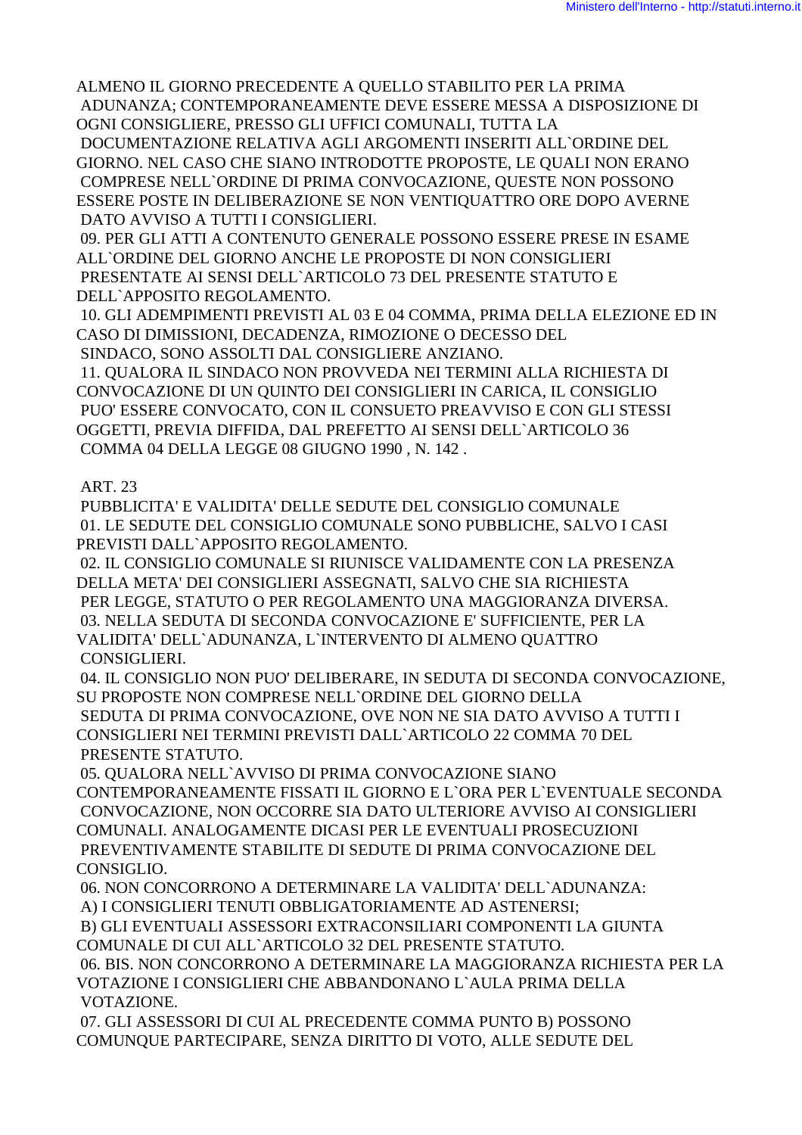ALMENO IL GIORNO PRECEDENTE A QUELLO STABILITO PER LA PRIMA ADUNANZA; CONTEMPORANEAMENTE DEVE ESSERE MESSA A DISPOSIZIONE DI OGNI CONSIGLIERE, PRESSO GLI UFFICI COMUNALI, TUTTA LA

DOCUMENTAZIONE RELATIVA AGLI ARGOMENTI INSERITI ALL`ORDINE DEL GIORNO. NEL CASO CHE SIANO INTRODOTTE PROPOSTE, LE QUALI NON ERANO COMPRESE NELL`ORDINE DI PRIMA CONVOCAZIONE, QUESTE NON POSSONO ESSERE POSTE IN DELIBERAZIONE SE NON VENTIOUATTRO ORE DOPO AVERNE DATO AVVISO A TUTTI I CONSIGLIERI.

09. PER GLI ATTI A CONTENUTO GENERALE POSSONO ESSERE PRESE IN ESAME ALL`ORDINE DEL GIORNO ANCHE LE PROPOSTE DI NON CONSIGLIERI PRESENTATE AI SENSI DELL'ARTICOLO 73 DEL PRESENTE STATUTO E DELL'APPOSITO REGOLAMENTO.

10. GLI ADEMPIMENTI PREVISTI AL 03 E 04 COMMA, PRIMA DELLA ELEZIONE ED IN CASO DI DIMISSIONI, DECADENZA, RIMOZIONE O DECESSO DEL

SINDACO, SONO ASSOLTI DAL CONSIGLIERE ANZIANO.

11. OUALORA IL SINDACO NON PROVVEDA NEI TERMINI ALLA RICHIESTA DI CONVOCAZIONE DI UN QUINTO DEI CONSIGLIERI IN CARICA, IL CONSIGLIO PUO' ESSERE CONVOCATO, CON IL CONSUETO PREAVVISO E CON GLI STESSI OGGETTI, PREVIA DIFFIDA, DAL PREFETTO AI SENSI DELL'ARTICOLO 36 COMMA 04 DELLA LEGGE 08 GIUGNO 1990, N. 142.

## **ART. 23**

PUBBLICITA' E VALIDITA' DELLE SEDUTE DEL CONSIGLIO COMUNALE 01. LE SEDUTE DEL CONSIGLIO COMUNALE SONO PUBBLICHE. SALVO I CASI PREVISTI DALL`APPOSITO REGOLAMENTO.

02. IL CONSIGLIO COMUNALE SI RIUNISCE VALIDAMENTE CON LA PRESENZA DELLA META' DEI CONSIGLIERI ASSEGNATI, SALVO CHE SIA RICHIESTA PER LEGGE, STATUTO O PER REGOLAMENTO UNA MAGGIORANZA DIVERSA. 03. NELLA SEDUTA DI SECONDA CONVOCAZIONE E' SUFFICIENTE, PER LA VALIDITA' DELL`ADUNANZA, L`INTERVENTO DI ALMENO OUATTRO CONSIGLIERI

04. IL CONSIGLIO NON PUO' DELIBERARE, IN SEDUTA DI SECONDA CONVOCAZIONE, SU PROPOSTE NON COMPRESE NELL'ORDINE DEL GIORNO DELLA SEDUTA DI PRIMA CONVOCAZIONE, OVE NON NE SIA DATO AVVISO A TUTTI I CONSIGLIERI NEI TERMINI PREVISTI DALL`ARTICOLO 22 COMMA 70 DEL PRESENTE STATUTO.

05. QUALORA NELL`AVVISO DI PRIMA CONVOCAZIONE SIANO CONTEMPORANEAMENTE FISSATI IL GIORNO E L'ORA PER L'EVENTUALE SECONDA CONVOCAZIONE, NON OCCORRE SIA DATO ULTERIORE AVVISO AI CONSIGLIERI COMUNALI. ANALOGAMENTE DICASI PER LE EVENTUALI PROSECUZIONI PREVENTIVAMENTE STABILITE DI SEDUTE DI PRIMA CONVOCAZIONE DEL CONSIGLIO.

06. NON CONCORRONO A DETERMINARE LA VALIDITA' DELL'ADUNANZA:

A) I CONSIGLIERI TENUTI OBBLIGATORIAMENTE AD ASTENERSI;

B) GLI EVENTUALI ASSESSORI EXTRACONSILIARI COMPONENTI LA GIUNTA COMUNALE DI CUI ALL'ARTICOLO 32 DEL PRESENTE STATUTO.

06. BIS. NON CONCORRONO A DETERMINARE LA MAGGIORANZA RICHIESTA PER LA VOTAZIONE I CONSIGLIERI CHE ABBANDONANO L'AULA PRIMA DELLA VOTAZIONE.

07. GLI ASSESSORI DI CUI AL PRECEDENTE COMMA PUNTO B) POSSONO COMUNQUE PARTECIPARE, SENZA DIRITTO DI VOTO, ALLE SEDUTE DEL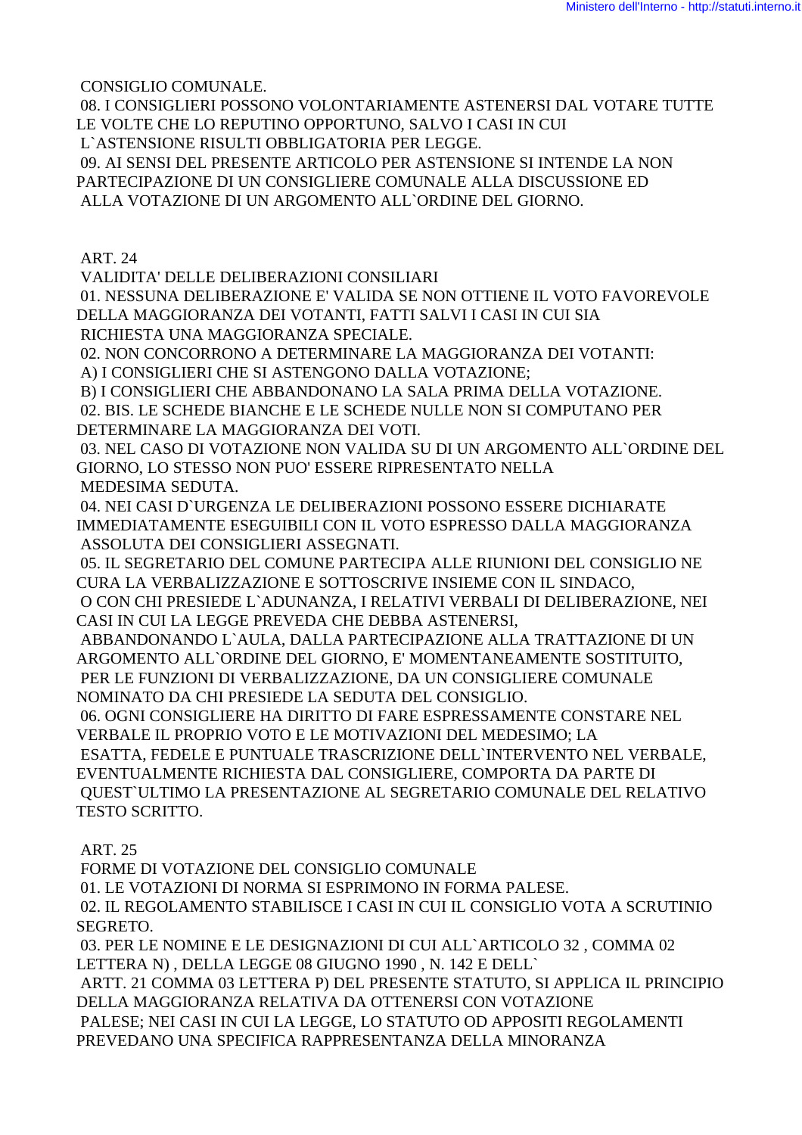CONSIGLIO COMUNALE.

 08. I CONSIGLIERI POSSONO VOLONTARIAMENTE ASTENERSI DAL VOTARE TUTTE LE VOLTE CHE LO REPUTINO OPPORTUNO, SALVO I CASI IN CUI L`ASTENSIONE RISULTI OBBLIGATORIA PER LEGGE.

 09. AI SENSI DEL PRESENTE ARTICOLO PER ASTENSIONE SI INTENDE LA NON PARTECIPAZIONE DI UN CONSIGLIERE COMUNALE ALLA DISCUSSIONE ED ALLA VOTAZIONE DI UN ARGOMENTO ALL`ORDINE DEL GIORNO.

ART. 24

VALIDITA' DELLE DELIBERAZIONI CONSILIARI

 01. NESSUNA DELIBERAZIONE E' VALIDA SE NON OTTIENE IL VOTO FAVOREVOLE DELLA MAGGIORANZA DEI VOTANTI, FATTI SALVI I CASI IN CUI SIA RICHIESTA UNA MAGGIORANZA SPECIALE.

 02. NON CONCORRONO A DETERMINARE LA MAGGIORANZA DEI VOTANTI: A) I CONSIGLIERI CHE SI ASTENGONO DALLA VOTAZIONE;

 B) I CONSIGLIERI CHE ABBANDONANO LA SALA PRIMA DELLA VOTAZIONE. 02. BIS. LE SCHEDE BIANCHE E LE SCHEDE NULLE NON SI COMPUTANO PER

DETERMINARE LA MAGGIORANZA DEI VOTI.

 03. NEL CASO DI VOTAZIONE NON VALIDA SU DI UN ARGOMENTO ALL`ORDINE DEL GIORNO, LO STESSO NON PUO' ESSERE RIPRESENTATO NELLA MEDESIMA SEDUTA.

 04. NEI CASI D`URGENZA LE DELIBERAZIONI POSSONO ESSERE DICHIARATE IMMEDIATAMENTE ESEGUIBILI CON IL VOTO ESPRESSO DALLA MAGGIORANZA ASSOLUTA DEI CONSIGLIERI ASSEGNATI.

 05. IL SEGRETARIO DEL COMUNE PARTECIPA ALLE RIUNIONI DEL CONSIGLIO NE CURA LA VERBALIZZAZIONE E SOTTOSCRIVE INSIEME CON IL SINDACO,

 O CON CHI PRESIEDE L`ADUNANZA, I RELATIVI VERBALI DI DELIBERAZIONE, NEI CASI IN CUI LA LEGGE PREVEDA CHE DEBBA ASTENERSI,

 ABBANDONANDO L`AULA, DALLA PARTECIPAZIONE ALLA TRATTAZIONE DI UN ARGOMENTO ALL`ORDINE DEL GIORNO, E' MOMENTANEAMENTE SOSTITUITO, PER LE FUNZIONI DI VERBALIZZAZIONE, DA UN CONSIGLIERE COMUNALE NOMINATO DA CHI PRESIEDE LA SEDUTA DEL CONSIGLIO.

 06. OGNI CONSIGLIERE HA DIRITTO DI FARE ESPRESSAMENTE CONSTARE NEL VERBALE IL PROPRIO VOTO E LE MOTIVAZIONI DEL MEDESIMO; LA

 ESATTA, FEDELE E PUNTUALE TRASCRIZIONE DELL`INTERVENTO NEL VERBALE, EVENTUALMENTE RICHIESTA DAL CONSIGLIERE, COMPORTA DA PARTE DI QUEST`ULTIMO LA PRESENTAZIONE AL SEGRETARIO COMUNALE DEL RELATIVO TESTO SCRITTO.

ART. 25

FORME DI VOTAZIONE DEL CONSIGLIO COMUNALE

01. LE VOTAZIONI DI NORMA SI ESPRIMONO IN FORMA PALESE.

 02. IL REGOLAMENTO STABILISCE I CASI IN CUI IL CONSIGLIO VOTA A SCRUTINIO SEGRETO.

 03. PER LE NOMINE E LE DESIGNAZIONI DI CUI ALL`ARTICOLO 32 , COMMA 02 LETTERA N) , DELLA LEGGE 08 GIUGNO 1990 , N. 142 E DELL`

 ARTT. 21 COMMA 03 LETTERA P) DEL PRESENTE STATUTO, SI APPLICA IL PRINCIPIO DELLA MAGGIORANZA RELATIVA DA OTTENERSI CON VOTAZIONE

 PALESE; NEI CASI IN CUI LA LEGGE, LO STATUTO OD APPOSITI REGOLAMENTI PREVEDANO UNA SPECIFICA RAPPRESENTANZA DELLA MINORANZA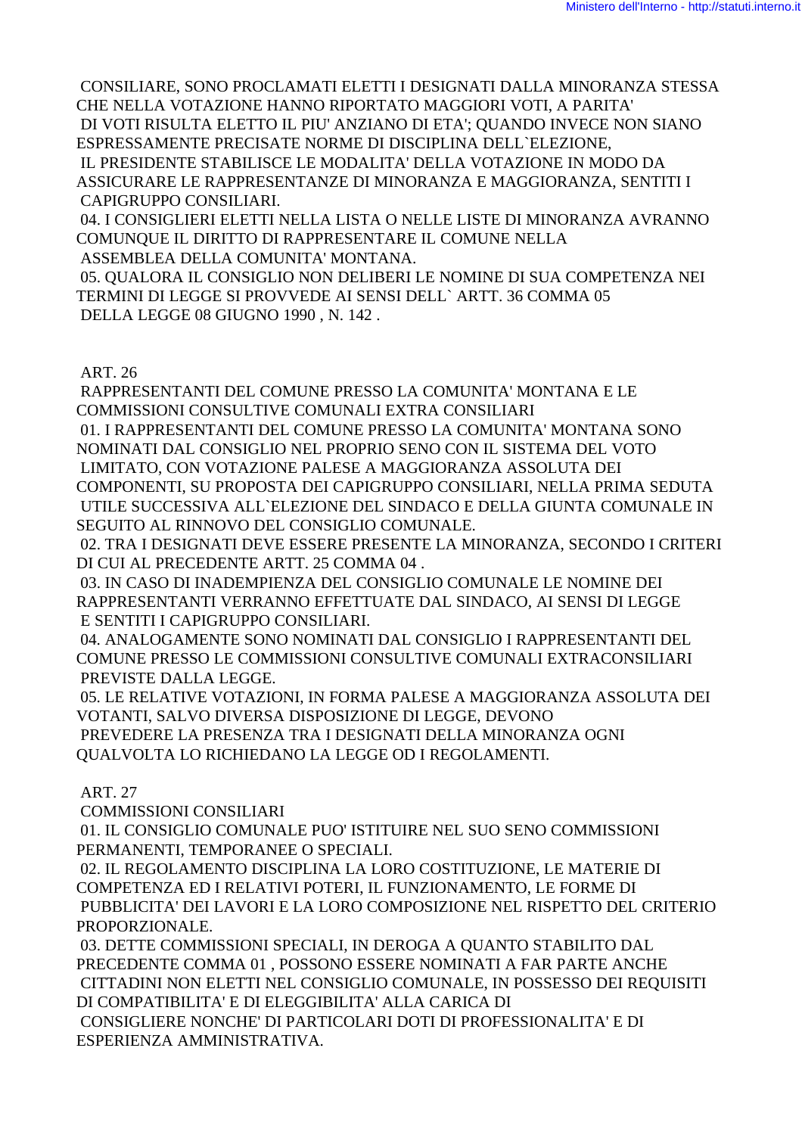CONSILIARE, SONO PROCLAMATI ELETTI I DESIGNATI DALLA MINORANZA STESSA CHE NELLA VOTAZIONE HANNO RIPORTATO MAGGIORI VOTI, A PARITA' DI VOTI RISULTA ELETTO IL PIU' ANZIANO DI ETA'; QUANDO INVECE NON SIANO ESPRESSAMENTE PRECISATE NORME DI DISCIPLINA DELL`ELEZIONE, IL PRESIDENTE STABILISCE LE MODALITA' DELLA VOTAZIONE IN MODO DA ASSICURARE LE RAPPRESENTANZE DI MINORANZA E MAGGIORANZA, SENTITI I

CAPIGRUPPO CONSILIARI.

 04. I CONSIGLIERI ELETTI NELLA LISTA O NELLE LISTE DI MINORANZA AVRANNO COMUNQUE IL DIRITTO DI RAPPRESENTARE IL COMUNE NELLA ASSEMBLEA DELLA COMUNITA' MONTANA.

 05. QUALORA IL CONSIGLIO NON DELIBERI LE NOMINE DI SUA COMPETENZA NEI TERMINI DI LEGGE SI PROVVEDE AI SENSI DELL` ARTT. 36 COMMA 05 DELLA LEGGE 08 GIUGNO 1990 , N. 142 .

ART. 26

 RAPPRESENTANTI DEL COMUNE PRESSO LA COMUNITA' MONTANA E LE COMMISSIONI CONSULTIVE COMUNALI EXTRA CONSILIARI

 01. I RAPPRESENTANTI DEL COMUNE PRESSO LA COMUNITA' MONTANA SONO NOMINATI DAL CONSIGLIO NEL PROPRIO SENO CON IL SISTEMA DEL VOTO LIMITATO, CON VOTAZIONE PALESE A MAGGIORANZA ASSOLUTA DEI COMPONENTI, SU PROPOSTA DEI CAPIGRUPPO CONSILIARI, NELLA PRIMA SEDUTA UTILE SUCCESSIVA ALL`ELEZIONE DEL SINDACO E DELLA GIUNTA COMUNALE IN SEGUITO AL RINNOVO DEL CONSIGLIO COMUNALE.

 02. TRA I DESIGNATI DEVE ESSERE PRESENTE LA MINORANZA, SECONDO I CRITERI DI CUI AL PRECEDENTE ARTT. 25 COMMA 04 .

 03. IN CASO DI INADEMPIENZA DEL CONSIGLIO COMUNALE LE NOMINE DEI RAPPRESENTANTI VERRANNO EFFETTUATE DAL SINDACO, AI SENSI DI LEGGE E SENTITI I CAPIGRUPPO CONSILIARI.

 04. ANALOGAMENTE SONO NOMINATI DAL CONSIGLIO I RAPPRESENTANTI DEL COMUNE PRESSO LE COMMISSIONI CONSULTIVE COMUNALI EXTRACONSILIARI PREVISTE DALLA LEGGE.

 05. LE RELATIVE VOTAZIONI, IN FORMA PALESE A MAGGIORANZA ASSOLUTA DEI VOTANTI, SALVO DIVERSA DISPOSIZIONE DI LEGGE, DEVONO PREVEDERE LA PRESENZA TRA I DESIGNATI DELLA MINORANZA OGNI QUALVOLTA LO RICHIEDANO LA LEGGE OD I REGOLAMENTI.

ART. 27

COMMISSIONI CONSILIARI

 01. IL CONSIGLIO COMUNALE PUO' ISTITUIRE NEL SUO SENO COMMISSIONI PERMANENTI, TEMPORANEE O SPECIALI.

 02. IL REGOLAMENTO DISCIPLINA LA LORO COSTITUZIONE, LE MATERIE DI COMPETENZA ED I RELATIVI POTERI, IL FUNZIONAMENTO, LE FORME DI PUBBLICITA' DEI LAVORI E LA LORO COMPOSIZIONE NEL RISPETTO DEL CRITERIO PROPORZIONALE.

 03. DETTE COMMISSIONI SPECIALI, IN DEROGA A QUANTO STABILITO DAL PRECEDENTE COMMA 01 , POSSONO ESSERE NOMINATI A FAR PARTE ANCHE CITTADINI NON ELETTI NEL CONSIGLIO COMUNALE, IN POSSESSO DEI REQUISITI DI COMPATIBILITA' E DI ELEGGIBILITA' ALLA CARICA DI CONSIGLIERE NONCHE' DI PARTICOLARI DOTI DI PROFESSIONALITA' E DI ESPERIENZA AMMINISTRATIVA.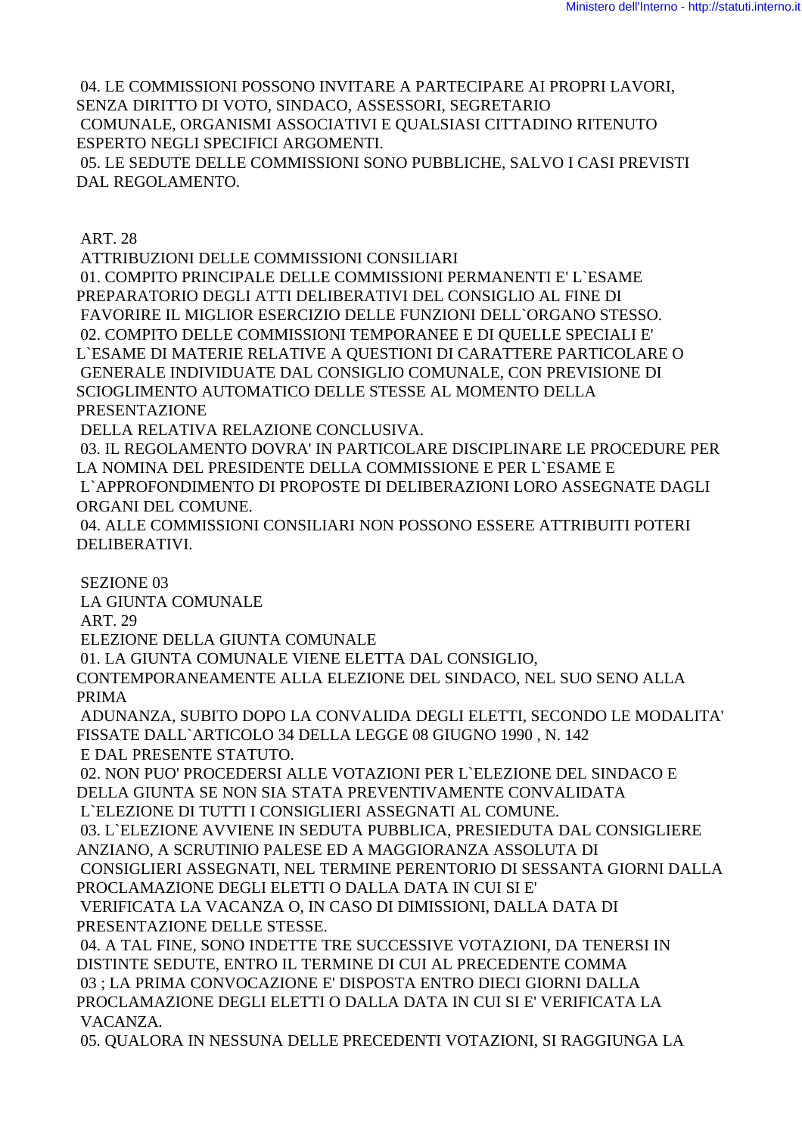04. LE COMMISSIONI POSSONO INVITARE A PARTECIPARE AI PROPRI LAVORI, SENZA DIRITTO DI VOTO, SINDACO, ASSESSORI, SEGRETARIO COMUNALE, ORGANISMI ASSOCIATIVI E QUALSIASI CITTADINO RITENUTO ESPERTO NEGLI SPECIFICI ARGOMENTI. 05. LE SEDUTE DELLE COMMISSIONI SONO PUBBLICHE, SALVO I CASI PREVISTI DAL REGOLAMENTO.

ART. 28

ATTRIBUZIONI DELLE COMMISSIONI CONSILIARI

 01. COMPITO PRINCIPALE DELLE COMMISSIONI PERMANENTI E' L`ESAME PREPARATORIO DEGLI ATTI DELIBERATIVI DEL CONSIGLIO AL FINE DI FAVORIRE IL MIGLIOR ESERCIZIO DELLE FUNZIONI DELL`ORGANO STESSO. 02. COMPITO DELLE COMMISSIONI TEMPORANEE E DI QUELLE SPECIALI E' L`ESAME DI MATERIE RELATIVE A QUESTIONI DI CARATTERE PARTICOLARE O GENERALE INDIVIDUATE DAL CONSIGLIO COMUNALE, CON PREVISIONE DI SCIOGLIMENTO AUTOMATICO DELLE STESSE AL MOMENTO DELLA PRESENTAZIONE

DELLA RELATIVA RELAZIONE CONCLUSIVA.

 03. IL REGOLAMENTO DOVRA' IN PARTICOLARE DISCIPLINARE LE PROCEDURE PER LA NOMINA DEL PRESIDENTE DELLA COMMISSIONE E PER L`ESAME E L`APPROFONDIMENTO DI PROPOSTE DI DELIBERAZIONI LORO ASSEGNATE DAGLI ORGANI DEL COMUNE.

 04. ALLE COMMISSIONI CONSILIARI NON POSSONO ESSERE ATTRIBUITI POTERI DELIBERATIVI.

 SEZIONE 03 LA GIUNTA COMUNALE ART. 29 ELEZIONE DELLA GIUNTA COMUNALE 01. LA GIUNTA COMUNALE VIENE ELETTA DAL CONSIGLIO, CONTEMPORANEAMENTE ALLA ELEZIONE DEL SINDACO, NEL SUO SENO ALLA PRIMA ADUNANZA, SUBITO DOPO LA CONVALIDA DEGLI ELETTI, SECONDO LE MODALITA' FISSATE DALL`ARTICOLO 34 DELLA LEGGE 08 GIUGNO 1990 , N. 142 E DAL PRESENTE STATUTO. 02. NON PUO' PROCEDERSI ALLE VOTAZIONI PER L`ELEZIONE DEL SINDACO E DELLA GIUNTA SE NON SIA STATA PREVENTIVAMENTE CONVALIDATA L`ELEZIONE DI TUTTI I CONSIGLIERI ASSEGNATI AL COMUNE. 03. L`ELEZIONE AVVIENE IN SEDUTA PUBBLICA, PRESIEDUTA DAL CONSIGLIERE ANZIANO, A SCRUTINIO PALESE ED A MAGGIORANZA ASSOLUTA DI CONSIGLIERI ASSEGNATI, NEL TERMINE PERENTORIO DI SESSANTA GIORNI DALLA PROCLAMAZIONE DEGLI ELETTI O DALLA DATA IN CUI SI E' VERIFICATA LA VACANZA O, IN CASO DI DIMISSIONI, DALLA DATA DI PRESENTAZIONE DELLE STESSE. 04. A TAL FINE, SONO INDETTE TRE SUCCESSIVE VOTAZIONI, DA TENERSI IN DISTINTE SEDUTE, ENTRO IL TERMINE DI CUI AL PRECEDENTE COMMA

 03 ; LA PRIMA CONVOCAZIONE E' DISPOSTA ENTRO DIECI GIORNI DALLA PROCLAMAZIONE DEGLI ELETTI O DALLA DATA IN CUI SI E' VERIFICATA LA VACANZA.

05. QUALORA IN NESSUNA DELLE PRECEDENTI VOTAZIONI, SI RAGGIUNGA LA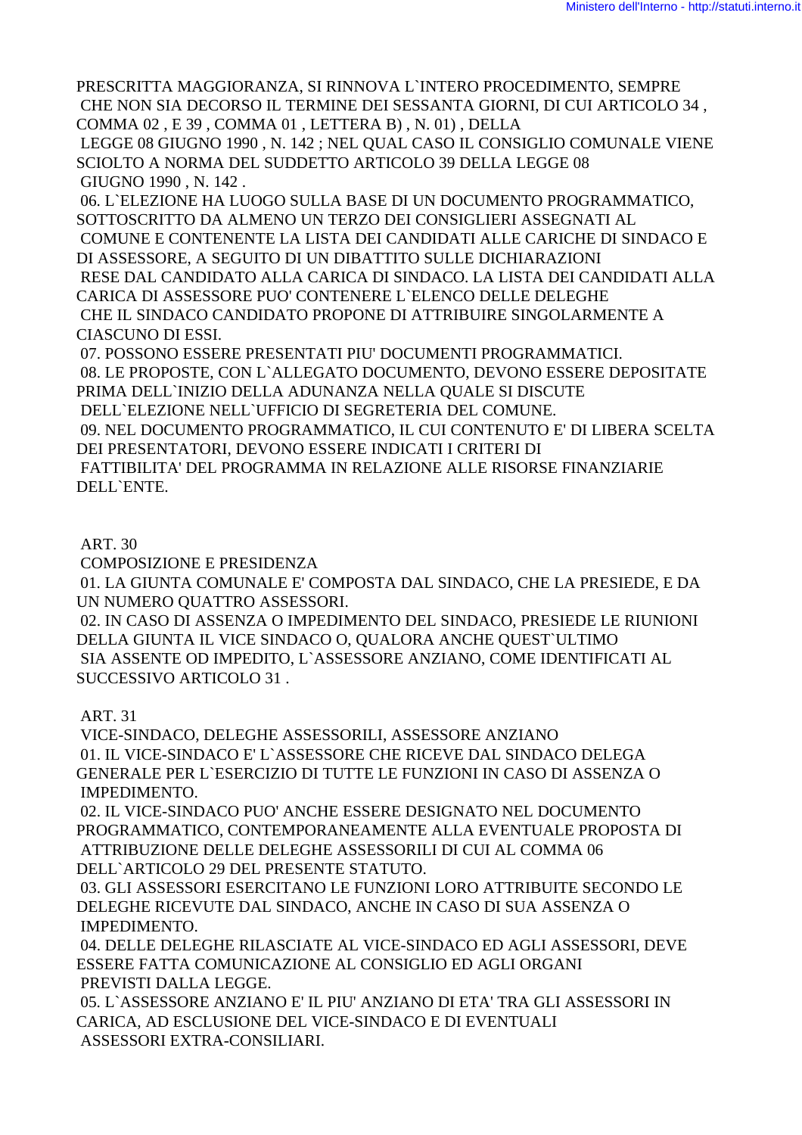PRESCRITTA MAGGIORANZA, SI RINNOVA L'INTERO PROCEDIMENTO, SEMPRE CHE NON SIA DECORSO IL TERMINE DEI SESSANTA GIORNI, DI CUI ARTICOLO 34, COMMA 02, E 39, COMMA 01, LETTERA B), N, 01), DELLA

LEGGE 08 GIUGNO 1990 . N. 142 : NEL OUAL CASO IL CONSIGLIO COMUNALE VIENE SCIOLTO A NORMA DEL SUDDETTO ARTICOLO 39 DELLA LEGGE 08 GIUGNO 1990, N. 142.

06. L'ELEZIONE HA LUOGO SULLA BASE DI UN DOCUMENTO PROGRAMMATICO. SOTTOSCRITTO DA ALMENO UN TERZO DEI CONSIGLIERI ASSEGNATI AL COMUNE E CONTENENTE LA LISTA DEI CANDIDATI ALLE CARICHE DI SINDACO E DI ASSESSORE, A SEGUITO DI UN DIBATTITO SULLE DICHIARAZIONI RESE DAL CANDIDATO ALLA CARICA DI SINDACO. LA LISTA DEI CANDIDATI ALLA CARICA DI ASSESSORE PUO' CONTENERE L'ELENCO DELLE DELEGHE CHE IL SINDACO CANDIDATO PROPONE DI ATTRIBUIRE SINGOLARMENTE A CIASCUNO DI ESSI.

07. POSSONO ESSERE PRESENTATI PIU' DOCUMENTI PROGRAMMATICI. 08. LE PROPOSTE, CON L'ALLEGATO DOCUMENTO, DEVONO ESSERE DEPOSITATE PRIMA DELL'INIZIO DELLA ADUNANZA NELLA QUALE SI DISCUTE DELL'ELEZIONE NELL'UFFICIO DI SEGRETERIA DEL COMUNE. 09. NEL DOCUMENTO PROGRAMMATICO, IL CUI CONTENUTO E' DI LIBERA SCELTA DEI PRESENTATORI, DEVONO ESSERE INDICATI I CRITERI DI FATTIBILITA' DEL PROGRAMMA IN RELAZIONE ALLE RISORSE FINANZIARIE DELL'ENTE.

### **ART. 30**

**COMPOSIZIONE E PRESIDENZA** 

01. LA GIUNTA COMUNALE E' COMPOSTA DAL SINDACO, CHE LA PRESIEDE, E DA UN NUMERO QUATTRO ASSESSORI.

02. IN CASO DI ASSENZA O IMPEDIMENTO DEL SINDACO, PRESIEDE LE RIUNIONI DELLA GIUNTA IL VICE SINDACO O. OUALORA ANCHE OUEST ULTIMO SIA ASSENTE OD IMPEDITO, L`ASSESSORE ANZIANO, COME IDENTIFICATI AL SUCCESSIVO ARTICOLO 31.

### **ART. 31**

VICE-SINDACO, DELEGHE ASSESSORILI, ASSESSORE ANZIANO 01. IL VICE-SINDACO E' L'ASSESSORE CHE RICEVE DAL SINDACO DELEGA GENERALE PER L'ESERCIZIO DI TUTTE LE FUNZIONI IN CASO DI ASSENZA O **IMPEDIMENTO.** 

02. IL VICE-SINDACO PUO' ANCHE ESSERE DESIGNATO NEL DOCUMENTO PROGRAMMATICO, CONTEMPORANEAMENTE ALLA EVENTUALE PROPOSTA DI ATTRIBUZIONE DELLE DELEGHE ASSESSORILI DI CUI AL COMMA 06 DELL'ARTICOLO 29 DEL PRESENTE STATUTO.

03. GLI ASSESSORI ESERCITANO LE FUNZIONI LORO ATTRIBUITE SECONDO LE DELEGHE RICEVUTE DAL SINDACO, ANCHE IN CASO DI SUA ASSENZA O IMPEDIMENTO.

04. DELLE DELEGHE RILASCIATE AL VICE-SINDACO ED AGLI ASSESSORI, DEVE ESSERE FATTA COMUNICAZIONE AL CONSIGLIO ED AGLI ORGANI PREVISTI DALLA LEGGE.

05. L`ASSESSORE ANZIANO E' IL PIU' ANZIANO DI ETA' TRA GLI ASSESSORI IN CARICA, AD ESCLUSIONE DEL VICE-SINDACO E DI EVENTUALI ASSESSORI EXTRA-CONSILIARI.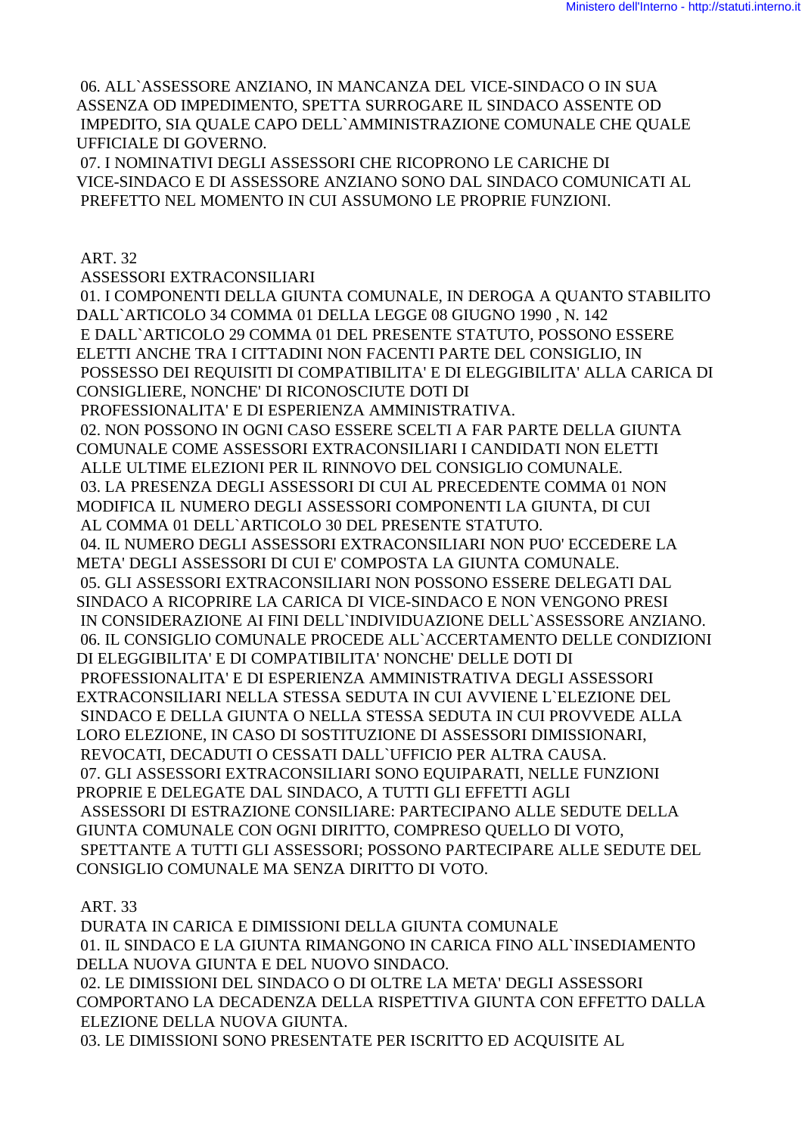06. ALL`ASSESSORE ANZIANO, IN MANCANZA DEL VICE-SINDACO O IN SUA ASSENZA OD IMPEDIMENTO, SPETTA SURROGARE IL SINDACO ASSENTE OD IMPEDITO, SIA QUALE CAPO DELL`AMMINISTRAZIONE COMUNALE CHE QUALE UFFICIALE DI GOVERNO.

 07. I NOMINATIVI DEGLI ASSESSORI CHE RICOPRONO LE CARICHE DI VICE-SINDACO E DI ASSESSORE ANZIANO SONO DAL SINDACO COMUNICATI AL PREFETTO NEL MOMENTO IN CUI ASSUMONO LE PROPRIE FUNZIONI.

ART. 32

ASSESSORI EXTRACONSILIARI

 01. I COMPONENTI DELLA GIUNTA COMUNALE, IN DEROGA A QUANTO STABILITO DALL`ARTICOLO 34 COMMA 01 DELLA LEGGE 08 GIUGNO 1990 , N. 142 E DALL`ARTICOLO 29 COMMA 01 DEL PRESENTE STATUTO, POSSONO ESSERE ELETTI ANCHE TRA I CITTADINI NON FACENTI PARTE DEL CONSIGLIO, IN POSSESSO DEI REQUISITI DI COMPATIBILITA' E DI ELEGGIBILITA' ALLA CARICA DI CONSIGLIERE, NONCHE' DI RICONOSCIUTE DOTI DI PROFESSIONALITA' E DI ESPERIENZA AMMINISTRATIVA.

 02. NON POSSONO IN OGNI CASO ESSERE SCELTI A FAR PARTE DELLA GIUNTA COMUNALE COME ASSESSORI EXTRACONSILIARI I CANDIDATI NON ELETTI ALLE ULTIME ELEZIONI PER IL RINNOVO DEL CONSIGLIO COMUNALE. 03. LA PRESENZA DEGLI ASSESSORI DI CUI AL PRECEDENTE COMMA 01 NON MODIFICA IL NUMERO DEGLI ASSESSORI COMPONENTI LA GIUNTA, DI CUI AL COMMA 01 DELL`ARTICOLO 30 DEL PRESENTE STATUTO.

 04. IL NUMERO DEGLI ASSESSORI EXTRACONSILIARI NON PUO' ECCEDERE LA META' DEGLI ASSESSORI DI CUI E' COMPOSTA LA GIUNTA COMUNALE. 05. GLI ASSESSORI EXTRACONSILIARI NON POSSONO ESSERE DELEGATI DAL SINDACO A RICOPRIRE LA CARICA DI VICE-SINDACO E NON VENGONO PRESI IN CONSIDERAZIONE AI FINI DELL`INDIVIDUAZIONE DELL`ASSESSORE ANZIANO. 06. IL CONSIGLIO COMUNALE PROCEDE ALL`ACCERTAMENTO DELLE CONDIZIONI DI ELEGGIBILITA' E DI COMPATIBILITA' NONCHE' DELLE DOTI DI PROFESSIONALITA' E DI ESPERIENZA AMMINISTRATIVA DEGLI ASSESSORI EXTRACONSILIARI NELLA STESSA SEDUTA IN CUI AVVIENE L`ELEZIONE DEL SINDACO E DELLA GIUNTA O NELLA STESSA SEDUTA IN CUI PROVVEDE ALLA LORO ELEZIONE, IN CASO DI SOSTITUZIONE DI ASSESSORI DIMISSIONARI, REVOCATI, DECADUTI O CESSATI DALL`UFFICIO PER ALTRA CAUSA. 07. GLI ASSESSORI EXTRACONSILIARI SONO EQUIPARATI, NELLE FUNZIONI PROPRIE E DELEGATE DAL SINDACO, A TUTTI GLI EFFETTI AGLI ASSESSORI DI ESTRAZIONE CONSILIARE: PARTECIPANO ALLE SEDUTE DELLA GIUNTA COMUNALE CON OGNI DIRITTO, COMPRESO QUELLO DI VOTO, SPETTANTE A TUTTI GLI ASSESSORI; POSSONO PARTECIPARE ALLE SEDUTE DEL CONSIGLIO COMUNALE MA SENZA DIRITTO DI VOTO.

ART. 33

 DURATA IN CARICA E DIMISSIONI DELLA GIUNTA COMUNALE 01. IL SINDACO E LA GIUNTA RIMANGONO IN CARICA FINO ALL`INSEDIAMENTO DELLA NUOVA GIUNTA E DEL NUOVO SINDACO. 02. LE DIMISSIONI DEL SINDACO O DI OLTRE LA META' DEGLI ASSESSORI COMPORTANO LA DECADENZA DELLA RISPETTIVA GIUNTA CON EFFETTO DALLA ELEZIONE DELLA NUOVA GIUNTA. 03. LE DIMISSIONI SONO PRESENTATE PER ISCRITTO ED ACQUISITE AL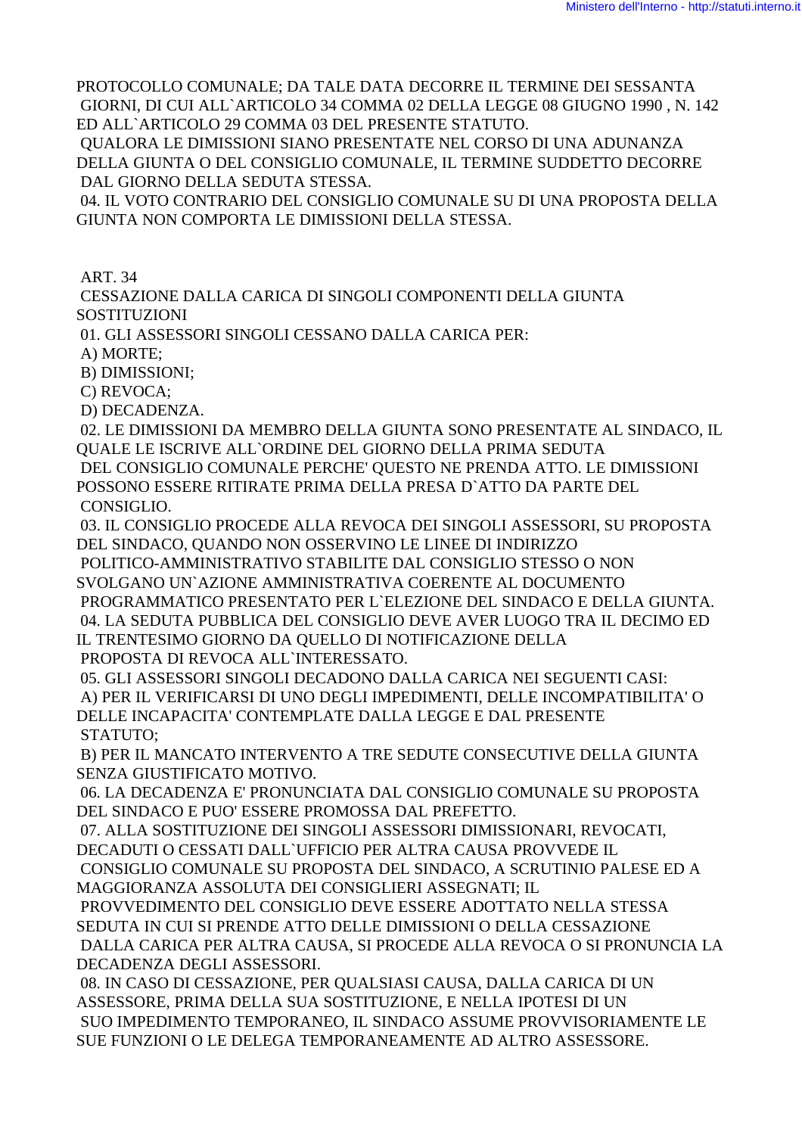PROTOCOLLO COMUNALE; DA TALE DATA DECORRE IL TERMINE DEI SESSANTA GIORNI, DI CUI ALL`ARTICOLO 34 COMMA 02 DELLA LEGGE 08 GIUGNO 1990 , N. 142 ED ALL`ARTICOLO 29 COMMA 03 DEL PRESENTE STATUTO.

 QUALORA LE DIMISSIONI SIANO PRESENTATE NEL CORSO DI UNA ADUNANZA DELLA GIUNTA O DEL CONSIGLIO COMUNALE, IL TERMINE SUDDETTO DECORRE DAL GIORNO DELLA SEDUTA STESSA.

 04. IL VOTO CONTRARIO DEL CONSIGLIO COMUNALE SU DI UNA PROPOSTA DELLA GIUNTA NON COMPORTA LE DIMISSIONI DELLA STESSA.

ART. 34

 CESSAZIONE DALLA CARICA DI SINGOLI COMPONENTI DELLA GIUNTA SOSTITUZIONI

01. GLI ASSESSORI SINGOLI CESSANO DALLA CARICA PER:

A) MORTE;

B) DIMISSIONI;

C) REVOCA;

D) DECADENZA.

 02. LE DIMISSIONI DA MEMBRO DELLA GIUNTA SONO PRESENTATE AL SINDACO, IL QUALE LE ISCRIVE ALL`ORDINE DEL GIORNO DELLA PRIMA SEDUTA DEL CONSIGLIO COMUNALE PERCHE' QUESTO NE PRENDA ATTO. LE DIMISSIONI POSSONO ESSERE RITIRATE PRIMA DELLA PRESA D`ATTO DA PARTE DEL CONSIGLIO.

 03. IL CONSIGLIO PROCEDE ALLA REVOCA DEI SINGOLI ASSESSORI, SU PROPOSTA DEL SINDACO, QUANDO NON OSSERVINO LE LINEE DI INDIRIZZO

 POLITICO-AMMINISTRATIVO STABILITE DAL CONSIGLIO STESSO O NON SVOLGANO UN`AZIONE AMMINISTRATIVA COERENTE AL DOCUMENTO

 PROGRAMMATICO PRESENTATO PER L`ELEZIONE DEL SINDACO E DELLA GIUNTA. 04. LA SEDUTA PUBBLICA DEL CONSIGLIO DEVE AVER LUOGO TRA IL DECIMO ED IL TRENTESIMO GIORNO DA QUELLO DI NOTIFICAZIONE DELLA

PROPOSTA DI REVOCA ALL`INTERESSATO.

 05. GLI ASSESSORI SINGOLI DECADONO DALLA CARICA NEI SEGUENTI CASI: A) PER IL VERIFICARSI DI UNO DEGLI IMPEDIMENTI, DELLE INCOMPATIBILITA' O DELLE INCAPACITA' CONTEMPLATE DALLA LEGGE E DAL PRESENTE STATUTO;

 B) PER IL MANCATO INTERVENTO A TRE SEDUTE CONSECUTIVE DELLA GIUNTA SENZA GIUSTIFICATO MOTIVO.

 06. LA DECADENZA E' PRONUNCIATA DAL CONSIGLIO COMUNALE SU PROPOSTA DEL SINDACO E PUO' ESSERE PROMOSSA DAL PREFETTO.

 07. ALLA SOSTITUZIONE DEI SINGOLI ASSESSORI DIMISSIONARI, REVOCATI, DECADUTI O CESSATI DALL`UFFICIO PER ALTRA CAUSA PROVVEDE IL CONSIGLIO COMUNALE SU PROPOSTA DEL SINDACO, A SCRUTINIO PALESE ED A

MAGGIORANZA ASSOLUTA DEI CONSIGLIERI ASSEGNATI; IL

 PROVVEDIMENTO DEL CONSIGLIO DEVE ESSERE ADOTTATO NELLA STESSA SEDUTA IN CUI SI PRENDE ATTO DELLE DIMISSIONI O DELLA CESSAZIONE DALLA CARICA PER ALTRA CAUSA, SI PROCEDE ALLA REVOCA O SI PRONUNCIA LA DECADENZA DEGLI ASSESSORI.

 08. IN CASO DI CESSAZIONE, PER QUALSIASI CAUSA, DALLA CARICA DI UN ASSESSORE, PRIMA DELLA SUA SOSTITUZIONE, E NELLA IPOTESI DI UN SUO IMPEDIMENTO TEMPORANEO, IL SINDACO ASSUME PROVVISORIAMENTE LE SUE FUNZIONI O LE DELEGA TEMPORANEAMENTE AD ALTRO ASSESSORE.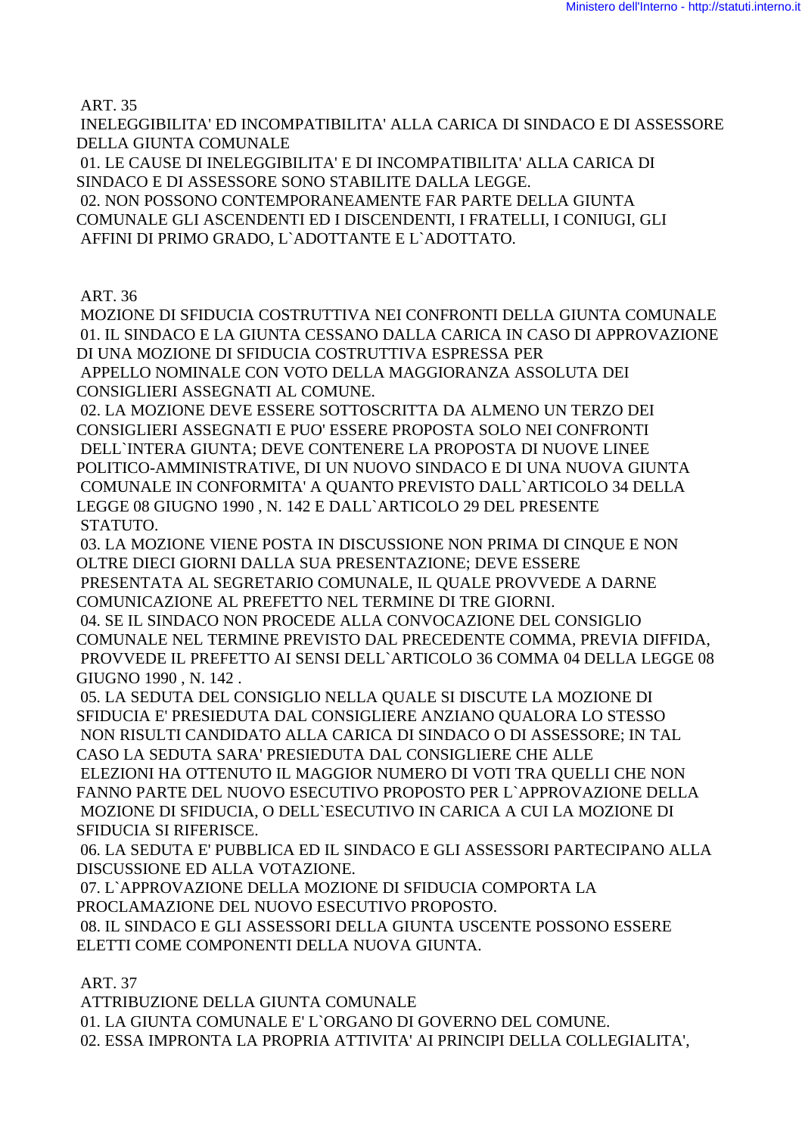ART. 35

 INELEGGIBILITA' ED INCOMPATIBILITA' ALLA CARICA DI SINDACO E DI ASSESSORE DELLA GIUNTA COMUNALE

 01. LE CAUSE DI INELEGGIBILITA' E DI INCOMPATIBILITA' ALLA CARICA DI SINDACO E DI ASSESSORE SONO STABILITE DALLA LEGGE.

 02. NON POSSONO CONTEMPORANEAMENTE FAR PARTE DELLA GIUNTA COMUNALE GLI ASCENDENTI ED I DISCENDENTI, I FRATELLI, I CONIUGI, GLI AFFINI DI PRIMO GRADO, L`ADOTTANTE E L`ADOTTATO.

ART. 36

 MOZIONE DI SFIDUCIA COSTRUTTIVA NEI CONFRONTI DELLA GIUNTA COMUNALE 01. IL SINDACO E LA GIUNTA CESSANO DALLA CARICA IN CASO DI APPROVAZIONE DI UNA MOZIONE DI SFIDUCIA COSTRUTTIVA ESPRESSA PER APPELLO NOMINALE CON VOTO DELLA MAGGIORANZA ASSOLUTA DEI CONSIGLIERI ASSEGNATI AL COMUNE.

 02. LA MOZIONE DEVE ESSERE SOTTOSCRITTA DA ALMENO UN TERZO DEI CONSIGLIERI ASSEGNATI E PUO' ESSERE PROPOSTA SOLO NEI CONFRONTI DELL`INTERA GIUNTA; DEVE CONTENERE LA PROPOSTA DI NUOVE LINEE POLITICO-AMMINISTRATIVE, DI UN NUOVO SINDACO E DI UNA NUOVA GIUNTA COMUNALE IN CONFORMITA' A QUANTO PREVISTO DALL`ARTICOLO 34 DELLA LEGGE 08 GIUGNO 1990 , N. 142 E DALL`ARTICOLO 29 DEL PRESENTE STATUTO.

 03. LA MOZIONE VIENE POSTA IN DISCUSSIONE NON PRIMA DI CINQUE E NON OLTRE DIECI GIORNI DALLA SUA PRESENTAZIONE; DEVE ESSERE

 PRESENTATA AL SEGRETARIO COMUNALE, IL QUALE PROVVEDE A DARNE COMUNICAZIONE AL PREFETTO NEL TERMINE DI TRE GIORNI.

 04. SE IL SINDACO NON PROCEDE ALLA CONVOCAZIONE DEL CONSIGLIO COMUNALE NEL TERMINE PREVISTO DAL PRECEDENTE COMMA, PREVIA DIFFIDA, PROVVEDE IL PREFETTO AI SENSI DELL`ARTICOLO 36 COMMA 04 DELLA LEGGE 08 GIUGNO 1990 , N. 142 .

 05. LA SEDUTA DEL CONSIGLIO NELLA QUALE SI DISCUTE LA MOZIONE DI SFIDUCIA E' PRESIEDUTA DAL CONSIGLIERE ANZIANO QUALORA LO STESSO NON RISULTI CANDIDATO ALLA CARICA DI SINDACO O DI ASSESSORE; IN TAL

CASO LA SEDUTA SARA' PRESIEDUTA DAL CONSIGLIERE CHE ALLE ELEZIONI HA OTTENUTO IL MAGGIOR NUMERO DI VOTI TRA QUELLI CHE NON FANNO PARTE DEL NUOVO ESECUTIVO PROPOSTO PER L`APPROVAZIONE DELLA MOZIONE DI SFIDUCIA, O DELL`ESECUTIVO IN CARICA A CUI LA MOZIONE DI SFIDUCIA SI RIFERISCE.

 06. LA SEDUTA E' PUBBLICA ED IL SINDACO E GLI ASSESSORI PARTECIPANO ALLA DISCUSSIONE ED ALLA VOTAZIONE.

 07. L`APPROVAZIONE DELLA MOZIONE DI SFIDUCIA COMPORTA LA PROCLAMAZIONE DEL NUOVO ESECUTIVO PROPOSTO.

 08. IL SINDACO E GLI ASSESSORI DELLA GIUNTA USCENTE POSSONO ESSERE ELETTI COME COMPONENTI DELLA NUOVA GIUNTA.

ART. 37

 ATTRIBUZIONE DELLA GIUNTA COMUNALE 01. LA GIUNTA COMUNALE E' L`ORGANO DI GOVERNO DEL COMUNE. 02. ESSA IMPRONTA LA PROPRIA ATTIVITA' AI PRINCIPI DELLA COLLEGIALITA',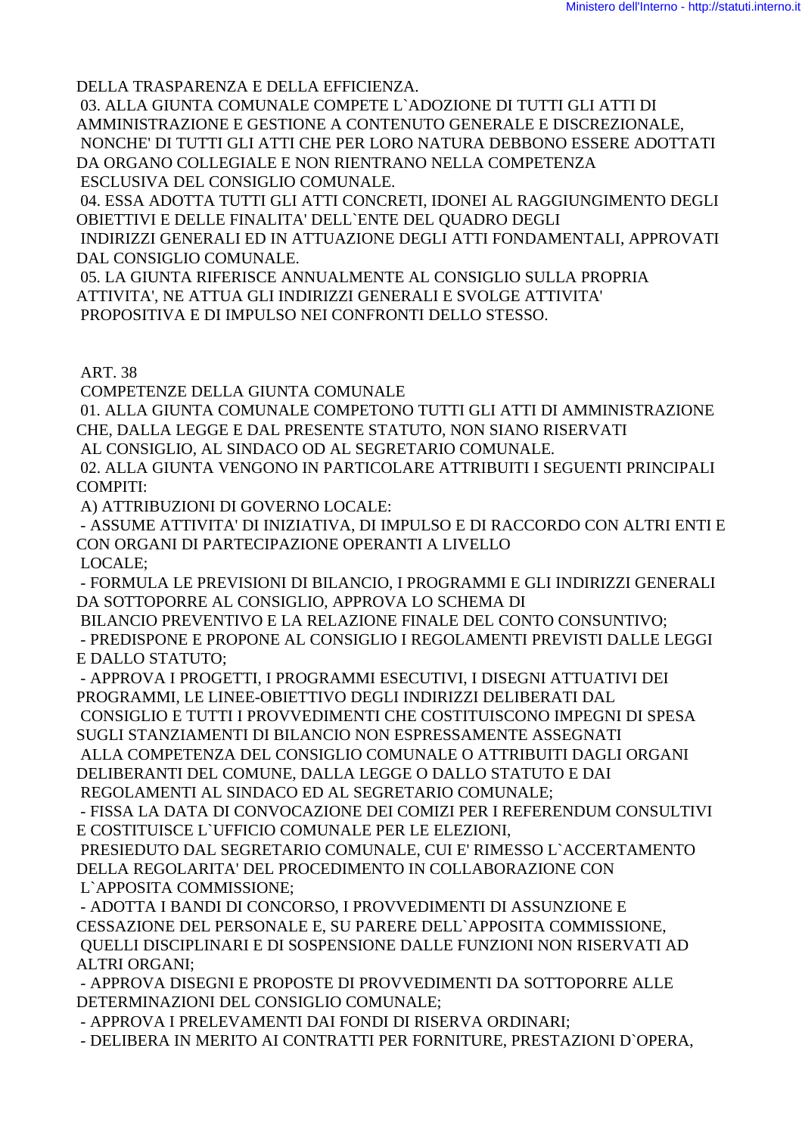DELLA TRASPARENZA E DELLA EFFICIENZA.

 03. ALLA GIUNTA COMUNALE COMPETE L`ADOZIONE DI TUTTI GLI ATTI DI AMMINISTRAZIONE E GESTIONE A CONTENUTO GENERALE E DISCREZIONALE, NONCHE' DI TUTTI GLI ATTI CHE PER LORO NATURA DEBBONO ESSERE ADOTTATI DA ORGANO COLLEGIALE E NON RIENTRANO NELLA COMPETENZA ESCLUSIVA DEL CONSIGLIO COMUNALE.

 04. ESSA ADOTTA TUTTI GLI ATTI CONCRETI, IDONEI AL RAGGIUNGIMENTO DEGLI OBIETTIVI E DELLE FINALITA' DELL`ENTE DEL QUADRO DEGLI

 INDIRIZZI GENERALI ED IN ATTUAZIONE DEGLI ATTI FONDAMENTALI, APPROVATI DAL CONSIGLIO COMUNALE.

 05. LA GIUNTA RIFERISCE ANNUALMENTE AL CONSIGLIO SULLA PROPRIA ATTIVITA', NE ATTUA GLI INDIRIZZI GENERALI E SVOLGE ATTIVITA' PROPOSITIVA E DI IMPULSO NEI CONFRONTI DELLO STESSO.

ART. 38

COMPETENZE DELLA GIUNTA COMUNALE

 01. ALLA GIUNTA COMUNALE COMPETONO TUTTI GLI ATTI DI AMMINISTRAZIONE CHE, DALLA LEGGE E DAL PRESENTE STATUTO, NON SIANO RISERVATI

AL CONSIGLIO, AL SINDACO OD AL SEGRETARIO COMUNALE.

 02. ALLA GIUNTA VENGONO IN PARTICOLARE ATTRIBUITI I SEGUENTI PRINCIPALI COMPITI:

A) ATTRIBUZIONI DI GOVERNO LOCALE:

 - ASSUME ATTIVITA' DI INIZIATIVA, DI IMPULSO E DI RACCORDO CON ALTRI ENTI E CON ORGANI DI PARTECIPAZIONE OPERANTI A LIVELLO

LOCALE;

 - FORMULA LE PREVISIONI DI BILANCIO, I PROGRAMMI E GLI INDIRIZZI GENERALI DA SOTTOPORRE AL CONSIGLIO, APPROVA LO SCHEMA DI

BILANCIO PREVENTIVO E LA RELAZIONE FINALE DEL CONTO CONSUNTIVO;

 - PREDISPONE E PROPONE AL CONSIGLIO I REGOLAMENTI PREVISTI DALLE LEGGI E DALLO STATUTO;

 - APPROVA I PROGETTI, I PROGRAMMI ESECUTIVI, I DISEGNI ATTUATIVI DEI PROGRAMMI, LE LINEE-OBIETTIVO DEGLI INDIRIZZI DELIBERATI DAL CONSIGLIO E TUTTI I PROVVEDIMENTI CHE COSTITUISCONO IMPEGNI DI SPESA

SUGLI STANZIAMENTI DI BILANCIO NON ESPRESSAMENTE ASSEGNATI

 ALLA COMPETENZA DEL CONSIGLIO COMUNALE O ATTRIBUITI DAGLI ORGANI DELIBERANTI DEL COMUNE, DALLA LEGGE O DALLO STATUTO E DAI

REGOLAMENTI AL SINDACO ED AL SEGRETARIO COMUNALE;

 - FISSA LA DATA DI CONVOCAZIONE DEI COMIZI PER I REFERENDUM CONSULTIVI E COSTITUISCE L`UFFICIO COMUNALE PER LE ELEZIONI,

 PRESIEDUTO DAL SEGRETARIO COMUNALE, CUI E' RIMESSO L`ACCERTAMENTO DELLA REGOLARITA' DEL PROCEDIMENTO IN COLLABORAZIONE CON L`APPOSITA COMMISSIONE;

 - ADOTTA I BANDI DI CONCORSO, I PROVVEDIMENTI DI ASSUNZIONE E CESSAZIONE DEL PERSONALE E, SU PARERE DELL`APPOSITA COMMISSIONE, QUELLI DISCIPLINARI E DI SOSPENSIONE DALLE FUNZIONI NON RISERVATI AD ALTRI ORGANI;

 - APPROVA DISEGNI E PROPOSTE DI PROVVEDIMENTI DA SOTTOPORRE ALLE DETERMINAZIONI DEL CONSIGLIO COMUNALE;

- APPROVA I PRELEVAMENTI DAI FONDI DI RISERVA ORDINARI;

- DELIBERA IN MERITO AI CONTRATTI PER FORNITURE, PRESTAZIONI D`OPERA,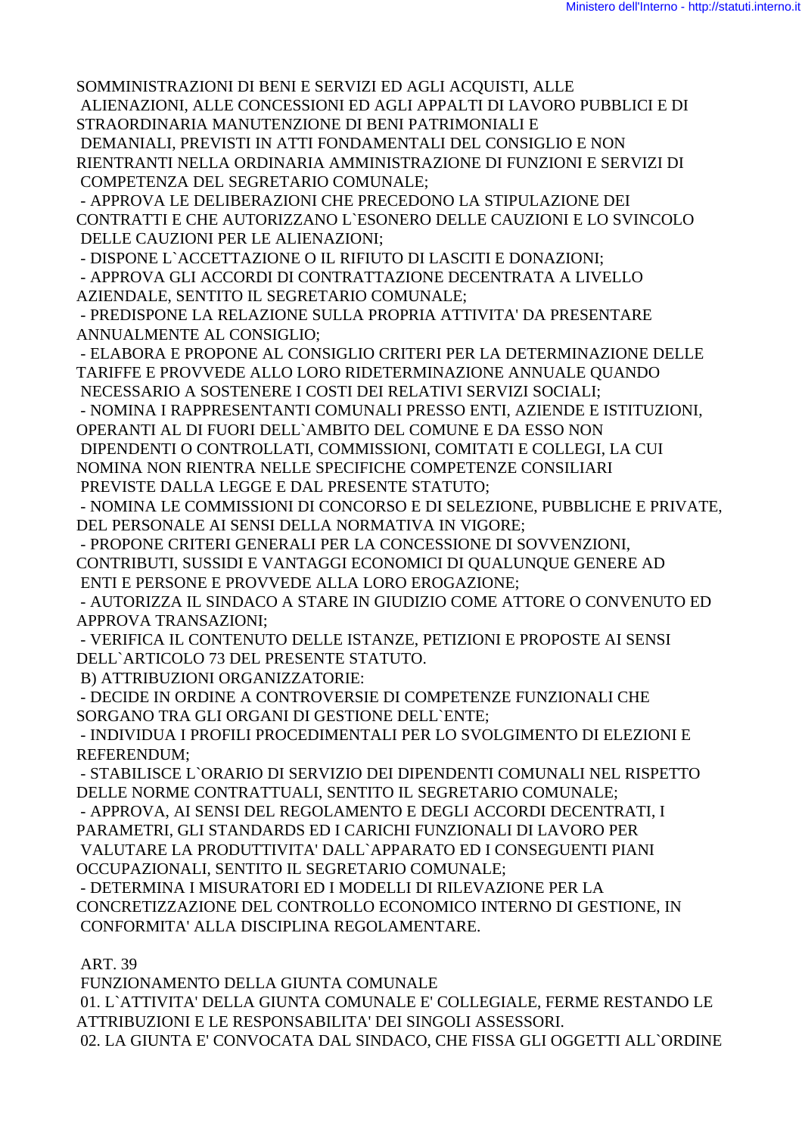SOMMINISTRAZIONI DI BENI E SERVIZI ED AGLI ACQUISTI, ALLE ALIENAZIONI, ALLE CONCESSIONI ED AGLI APPALTI DI LAVORO PUBBLICI E DI STRAORDINARIA MANUTENZIONE DI BENI PATRIMONIALI E DEMANIALI, PREVISTI IN ATTI FONDAMENTALI DEL CONSIGLIO E NON RIENTRANTI NELLA ORDINARIA AMMINISTRAZIONE DI FUNZIONI E SERVIZI DI

COMPETENZA DEL SEGRETARIO COMUNALE;

 - APPROVA LE DELIBERAZIONI CHE PRECEDONO LA STIPULAZIONE DEI CONTRATTI E CHE AUTORIZZANO L`ESONERO DELLE CAUZIONI E LO SVINCOLO DELLE CAUZIONI PER LE ALIENAZIONI;

- DISPONE L`ACCETTAZIONE O IL RIFIUTO DI LASCITI E DONAZIONI;

 - APPROVA GLI ACCORDI DI CONTRATTAZIONE DECENTRATA A LIVELLO AZIENDALE, SENTITO IL SEGRETARIO COMUNALE;

 - PREDISPONE LA RELAZIONE SULLA PROPRIA ATTIVITA' DA PRESENTARE ANNUALMENTE AL CONSIGLIO;

 - ELABORA E PROPONE AL CONSIGLIO CRITERI PER LA DETERMINAZIONE DELLE TARIFFE E PROVVEDE ALLO LORO RIDETERMINAZIONE ANNUALE QUANDO NECESSARIO A SOSTENERE I COSTI DEI RELATIVI SERVIZI SOCIALI;

 - NOMINA I RAPPRESENTANTI COMUNALI PRESSO ENTI, AZIENDE E ISTITUZIONI, OPERANTI AL DI FUORI DELL`AMBITO DEL COMUNE E DA ESSO NON

 DIPENDENTI O CONTROLLATI, COMMISSIONI, COMITATI E COLLEGI, LA CUI NOMINA NON RIENTRA NELLE SPECIFICHE COMPETENZE CONSILIARI

PREVISTE DALLA LEGGE E DAL PRESENTE STATUTO;

 - NOMINA LE COMMISSIONI DI CONCORSO E DI SELEZIONE, PUBBLICHE E PRIVATE, DEL PERSONALE AI SENSI DELLA NORMATIVA IN VIGORE;

 - PROPONE CRITERI GENERALI PER LA CONCESSIONE DI SOVVENZIONI, CONTRIBUTI, SUSSIDI E VANTAGGI ECONOMICI DI QUALUNQUE GENERE AD ENTI E PERSONE E PROVVEDE ALLA LORO EROGAZIONE;

 - AUTORIZZA IL SINDACO A STARE IN GIUDIZIO COME ATTORE O CONVENUTO ED APPROVA TRANSAZIONI;

 - VERIFICA IL CONTENUTO DELLE ISTANZE, PETIZIONI E PROPOSTE AI SENSI DELL`ARTICOLO 73 DEL PRESENTE STATUTO.

B) ATTRIBUZIONI ORGANIZZATORIE:

 - DECIDE IN ORDINE A CONTROVERSIE DI COMPETENZE FUNZIONALI CHE SORGANO TRA GLI ORGANI DI GESTIONE DELL`ENTE;

 - INDIVIDUA I PROFILI PROCEDIMENTALI PER LO SVOLGIMENTO DI ELEZIONI E REFERENDUM;

 - STABILISCE L`ORARIO DI SERVIZIO DEI DIPENDENTI COMUNALI NEL RISPETTO DELLE NORME CONTRATTUALI, SENTITO IL SEGRETARIO COMUNALE;

 - APPROVA, AI SENSI DEL REGOLAMENTO E DEGLI ACCORDI DECENTRATI, I PARAMETRI, GLI STANDARDS ED I CARICHI FUNZIONALI DI LAVORO PER VALUTARE LA PRODUTTIVITA' DALL`APPARATO ED I CONSEGUENTI PIANI OCCUPAZIONALI, SENTITO IL SEGRETARIO COMUNALE;

 - DETERMINA I MISURATORI ED I MODELLI DI RILEVAZIONE PER LA CONCRETIZZAZIONE DEL CONTROLLO ECONOMICO INTERNO DI GESTIONE, IN CONFORMITA' ALLA DISCIPLINA REGOLAMENTARE.

### ART. 39

FUNZIONAMENTO DELLA GIUNTA COMUNALE

 01. L`ATTIVITA' DELLA GIUNTA COMUNALE E' COLLEGIALE, FERME RESTANDO LE ATTRIBUZIONI E LE RESPONSABILITA' DEI SINGOLI ASSESSORI.

02. LA GIUNTA E' CONVOCATA DAL SINDACO, CHE FISSA GLI OGGETTI ALL`ORDINE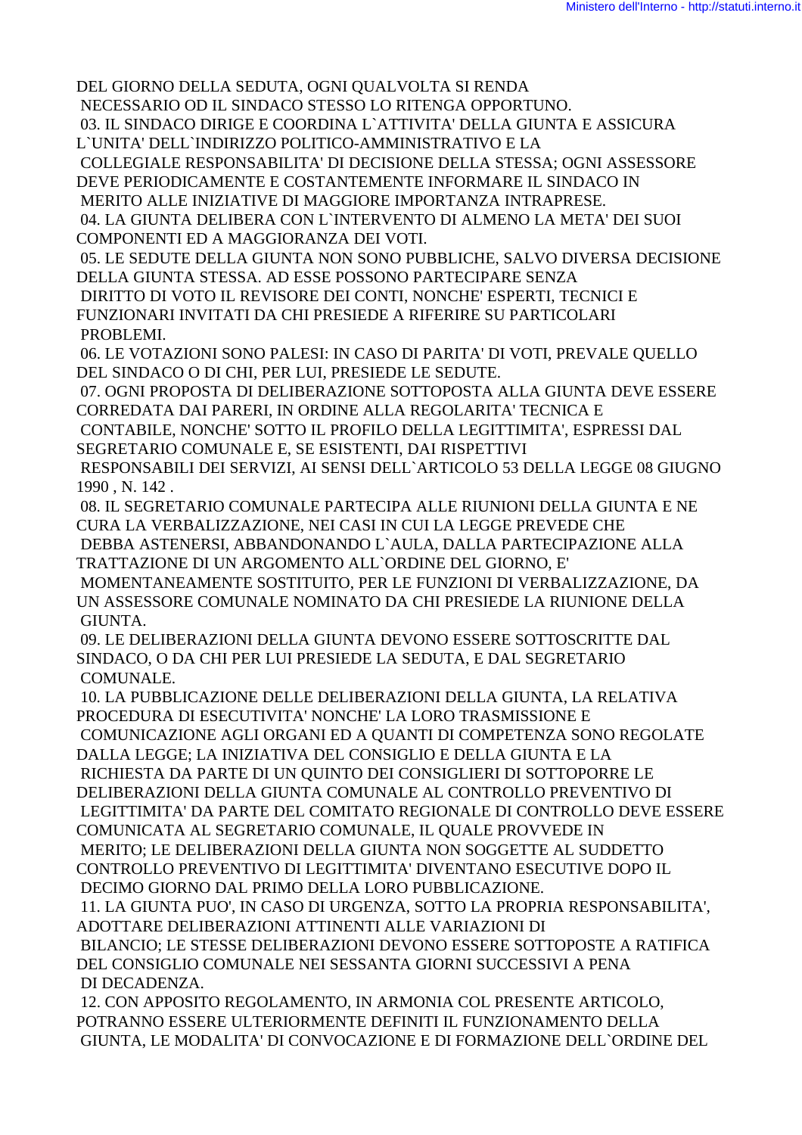DEL GIORNO DELLA SEDUTA, OGNI QUALVOLTA SI RENDA NECESSARIO OD IL SINDACO STESSO LO RITENGA OPPORTUNO.

 03. IL SINDACO DIRIGE E COORDINA L`ATTIVITA' DELLA GIUNTA E ASSICURA L`UNITA' DELL`INDIRIZZO POLITICO-AMMINISTRATIVO E LA

 COLLEGIALE RESPONSABILITA' DI DECISIONE DELLA STESSA; OGNI ASSESSORE DEVE PERIODICAMENTE E COSTANTEMENTE INFORMARE IL SINDACO IN

MERITO ALLE INIZIATIVE DI MAGGIORE IMPORTANZA INTRAPRESE.

 04. LA GIUNTA DELIBERA CON L`INTERVENTO DI ALMENO LA META' DEI SUOI COMPONENTI ED A MAGGIORANZA DEI VOTI.

 05. LE SEDUTE DELLA GIUNTA NON SONO PUBBLICHE, SALVO DIVERSA DECISIONE DELLA GIUNTA STESSA. AD ESSE POSSONO PARTECIPARE SENZA

 DIRITTO DI VOTO IL REVISORE DEI CONTI, NONCHE' ESPERTI, TECNICI E FUNZIONARI INVITATI DA CHI PRESIEDE A RIFERIRE SU PARTICOLARI PROBLEMI.

 06. LE VOTAZIONI SONO PALESI: IN CASO DI PARITA' DI VOTI, PREVALE QUELLO DEL SINDACO O DI CHI, PER LUI, PRESIEDE LE SEDUTE.

 07. OGNI PROPOSTA DI DELIBERAZIONE SOTTOPOSTA ALLA GIUNTA DEVE ESSERE CORREDATA DAI PARERI, IN ORDINE ALLA REGOLARITA' TECNICA E

 CONTABILE, NONCHE' SOTTO IL PROFILO DELLA LEGITTIMITA', ESPRESSI DAL SEGRETARIO COMUNALE E, SE ESISTENTI, DAI RISPETTIVI

 RESPONSABILI DEI SERVIZI, AI SENSI DELL`ARTICOLO 53 DELLA LEGGE 08 GIUGNO 1990 , N. 142 .

 08. IL SEGRETARIO COMUNALE PARTECIPA ALLE RIUNIONI DELLA GIUNTA E NE CURA LA VERBALIZZAZIONE, NEI CASI IN CUI LA LEGGE PREVEDE CHE

 DEBBA ASTENERSI, ABBANDONANDO L`AULA, DALLA PARTECIPAZIONE ALLA TRATTAZIONE DI UN ARGOMENTO ALL`ORDINE DEL GIORNO, E'

 MOMENTANEAMENTE SOSTITUITO, PER LE FUNZIONI DI VERBALIZZAZIONE, DA UN ASSESSORE COMUNALE NOMINATO DA CHI PRESIEDE LA RIUNIONE DELLA GIUNTA.

 09. LE DELIBERAZIONI DELLA GIUNTA DEVONO ESSERE SOTTOSCRITTE DAL SINDACO, O DA CHI PER LUI PRESIEDE LA SEDUTA, E DAL SEGRETARIO COMUNALE.

 10. LA PUBBLICAZIONE DELLE DELIBERAZIONI DELLA GIUNTA, LA RELATIVA PROCEDURA DI ESECUTIVITA' NONCHE' LA LORO TRASMISSIONE E

 COMUNICAZIONE AGLI ORGANI ED A QUANTI DI COMPETENZA SONO REGOLATE DALLA LEGGE; LA INIZIATIVA DEL CONSIGLIO E DELLA GIUNTA E LA

 RICHIESTA DA PARTE DI UN QUINTO DEI CONSIGLIERI DI SOTTOPORRE LE DELIBERAZIONI DELLA GIUNTA COMUNALE AL CONTROLLO PREVENTIVO DI LEGITTIMITA' DA PARTE DEL COMITATO REGIONALE DI CONTROLLO DEVE ESSERE COMUNICATA AL SEGRETARIO COMUNALE, IL QUALE PROVVEDE IN MERITO; LE DELIBERAZIONI DELLA GIUNTA NON SOGGETTE AL SUDDETTO CONTROLLO PREVENTIVO DI LEGITTIMITA' DIVENTANO ESECUTIVE DOPO IL DECIMO GIORNO DAL PRIMO DELLA LORO PUBBLICAZIONE.

 11. LA GIUNTA PUO', IN CASO DI URGENZA, SOTTO LA PROPRIA RESPONSABILITA', ADOTTARE DELIBERAZIONI ATTINENTI ALLE VARIAZIONI DI

 BILANCIO; LE STESSE DELIBERAZIONI DEVONO ESSERE SOTTOPOSTE A RATIFICA DEL CONSIGLIO COMUNALE NEI SESSANTA GIORNI SUCCESSIVI A PENA DI DECADENZA.

 12. CON APPOSITO REGOLAMENTO, IN ARMONIA COL PRESENTE ARTICOLO, POTRANNO ESSERE ULTERIORMENTE DEFINITI IL FUNZIONAMENTO DELLA GIUNTA, LE MODALITA' DI CONVOCAZIONE E DI FORMAZIONE DELL`ORDINE DEL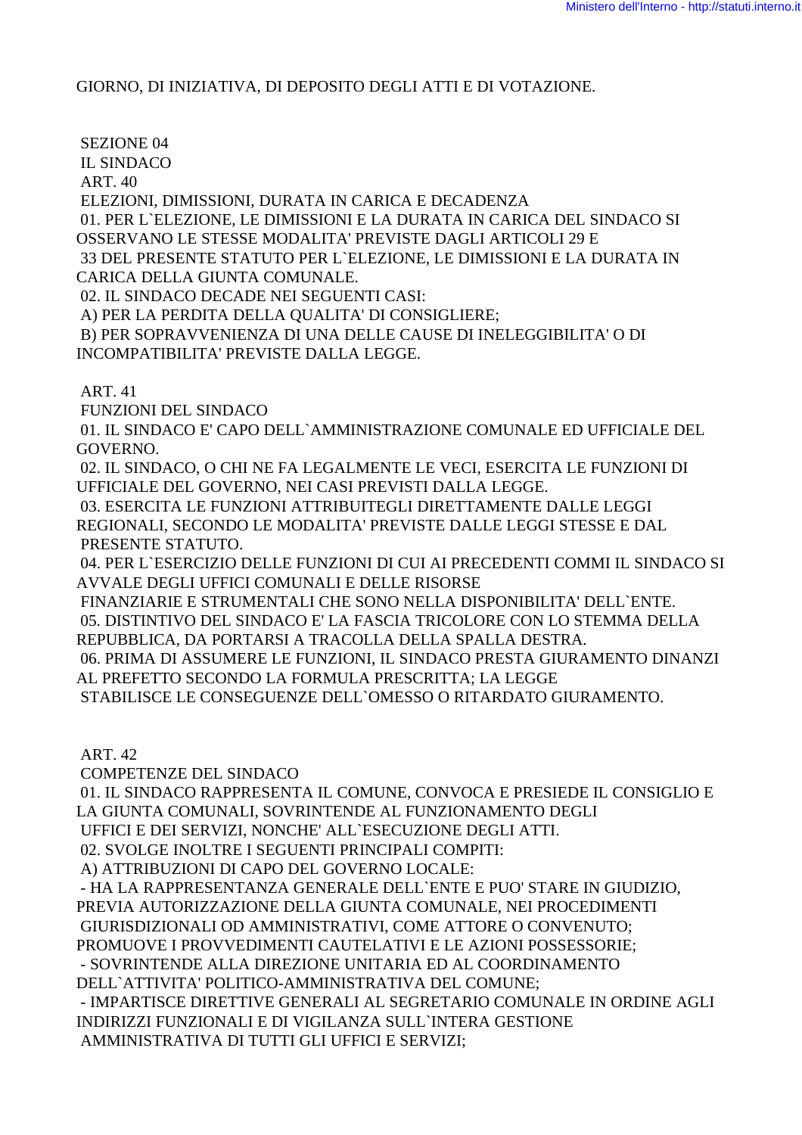GIORNO, DI INIZIATIVA, DI DEPOSITO DEGLI ATTI E DI VOTAZIONE.

SEZIONE 04

IL SINDACO

ART. 40

 ELEZIONI, DIMISSIONI, DURATA IN CARICA E DECADENZA 01. PER L`ELEZIONE, LE DIMISSIONI E LA DURATA IN CARICA DEL SINDACO SI OSSERVANO LE STESSE MODALITA' PREVISTE DAGLI ARTICOLI 29 E 33 DEL PRESENTE STATUTO PER L`ELEZIONE, LE DIMISSIONI E LA DURATA IN CARICA DELLA GIUNTA COMUNALE. 02. IL SINDACO DECADE NEI SEGUENTI CASI: A) PER LA PERDITA DELLA QUALITA' DI CONSIGLIERE;

 B) PER SOPRAVVENIENZA DI UNA DELLE CAUSE DI INELEGGIBILITA' O DI INCOMPATIBILITA' PREVISTE DALLA LEGGE.

ART. 41

FUNZIONI DEL SINDACO

 01. IL SINDACO E' CAPO DELL`AMMINISTRAZIONE COMUNALE ED UFFICIALE DEL GOVERNO.

 02. IL SINDACO, O CHI NE FA LEGALMENTE LE VECI, ESERCITA LE FUNZIONI DI UFFICIALE DEL GOVERNO, NEI CASI PREVISTI DALLA LEGGE.

 03. ESERCITA LE FUNZIONI ATTRIBUITEGLI DIRETTAMENTE DALLE LEGGI REGIONALI, SECONDO LE MODALITA' PREVISTE DALLE LEGGI STESSE E DAL PRESENTE STATUTO.

 04. PER L`ESERCIZIO DELLE FUNZIONI DI CUI AI PRECEDENTI COMMI IL SINDACO SI AVVALE DEGLI UFFICI COMUNALI E DELLE RISORSE

 FINANZIARIE E STRUMENTALI CHE SONO NELLA DISPONIBILITA' DELL`ENTE. 05. DISTINTIVO DEL SINDACO E' LA FASCIA TRICOLORE CON LO STEMMA DELLA REPUBBLICA, DA PORTARSI A TRACOLLA DELLA SPALLA DESTRA.

 06. PRIMA DI ASSUMERE LE FUNZIONI, IL SINDACO PRESTA GIURAMENTO DINANZI AL PREFETTO SECONDO LA FORMULA PRESCRITTA; LA LEGGE

STABILISCE LE CONSEGUENZE DELL`OMESSO O RITARDATO GIURAMENTO.

ART. 42

COMPETENZE DEL SINDACO

 01. IL SINDACO RAPPRESENTA IL COMUNE, CONVOCA E PRESIEDE IL CONSIGLIO E LA GIUNTA COMUNALI, SOVRINTENDE AL FUNZIONAMENTO DEGLI

UFFICI E DEI SERVIZI, NONCHE' ALL`ESECUZIONE DEGLI ATTI.

02. SVOLGE INOLTRE I SEGUENTI PRINCIPALI COMPITI:

A) ATTRIBUZIONI DI CAPO DEL GOVERNO LOCALE:

 - HA LA RAPPRESENTANZA GENERALE DELL`ENTE E PUO' STARE IN GIUDIZIO, PREVIA AUTORIZZAZIONE DELLA GIUNTA COMUNALE, NEI PROCEDIMENTI GIURISDIZIONALI OD AMMINISTRATIVI, COME ATTORE O CONVENUTO; PROMUOVE I PROVVEDIMENTI CAUTELATIVI E LE AZIONI POSSESSORIE; - SOVRINTENDE ALLA DIREZIONE UNITARIA ED AL COORDINAMENTO DELL`ATTIVITA' POLITICO-AMMINISTRATIVA DEL COMUNE; - IMPARTISCE DIRETTIVE GENERALI AL SEGRETARIO COMUNALE IN ORDINE AGLI INDIRIZZI FUNZIONALI E DI VIGILANZA SULL`INTERA GESTIONE AMMINISTRATIVA DI TUTTI GLI UFFICI E SERVIZI;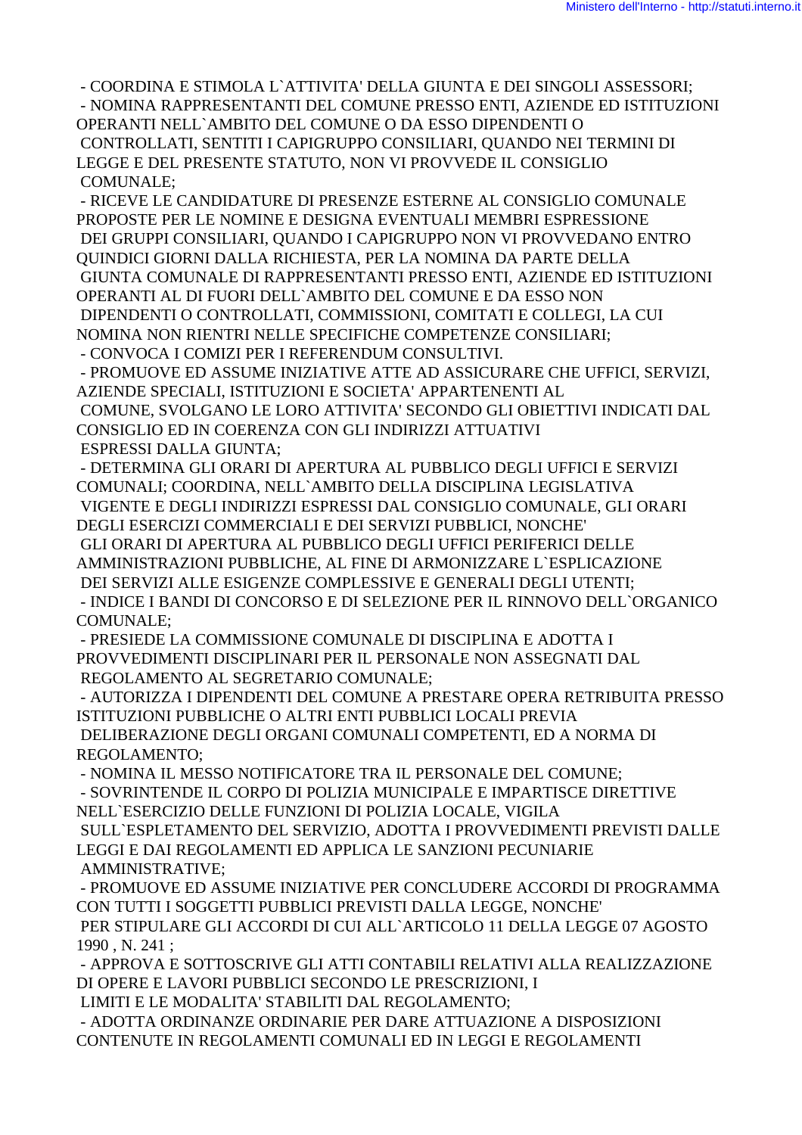- COORDINA E STIMOLA L`ATTIVITA' DELLA GIUNTA E DEI SINGOLI ASSESSORI; - NOMINA RAPPRESENTANTI DEL COMUNE PRESSO ENTI, AZIENDE ED ISTITUZIONI OPERANTI NELL`AMBITO DEL COMUNE O DA ESSO DIPENDENTI O CONTROLLATI, SENTITI I CAPIGRUPPO CONSILIARI, QUANDO NEI TERMINI DI LEGGE E DEL PRESENTE STATUTO, NON VI PROVVEDE IL CONSIGLIO COMUNALE;

 - RICEVE LE CANDIDATURE DI PRESENZE ESTERNE AL CONSIGLIO COMUNALE PROPOSTE PER LE NOMINE E DESIGNA EVENTUALI MEMBRI ESPRESSIONE DEI GRUPPI CONSILIARI, QUANDO I CAPIGRUPPO NON VI PROVVEDANO ENTRO QUINDICI GIORNI DALLA RICHIESTA, PER LA NOMINA DA PARTE DELLA GIUNTA COMUNALE DI RAPPRESENTANTI PRESSO ENTI, AZIENDE ED ISTITUZIONI OPERANTI AL DI FUORI DELL`AMBITO DEL COMUNE E DA ESSO NON DIPENDENTI O CONTROLLATI, COMMISSIONI, COMITATI E COLLEGI, LA CUI NOMINA NON RIENTRI NELLE SPECIFICHE COMPETENZE CONSILIARI;

- CONVOCA I COMIZI PER I REFERENDUM CONSULTIVI.

 - PROMUOVE ED ASSUME INIZIATIVE ATTE AD ASSICURARE CHE UFFICI, SERVIZI, AZIENDE SPECIALI, ISTITUZIONI E SOCIETA' APPARTENENTI AL

 COMUNE, SVOLGANO LE LORO ATTIVITA' SECONDO GLI OBIETTIVI INDICATI DAL CONSIGLIO ED IN COERENZA CON GLI INDIRIZZI ATTUATIVI ESPRESSI DALLA GIUNTA;

 - DETERMINA GLI ORARI DI APERTURA AL PUBBLICO DEGLI UFFICI E SERVIZI COMUNALI; COORDINA, NELL`AMBITO DELLA DISCIPLINA LEGISLATIVA VIGENTE E DEGLI INDIRIZZI ESPRESSI DAL CONSIGLIO COMUNALE, GLI ORARI DEGLI ESERCIZI COMMERCIALI E DEI SERVIZI PUBBLICI, NONCHE' GLI ORARI DI APERTURA AL PUBBLICO DEGLI UFFICI PERIFERICI DELLE

AMMINISTRAZIONI PUBBLICHE, AL FINE DI ARMONIZZARE L`ESPLICAZIONE

DEI SERVIZI ALLE ESIGENZE COMPLESSIVE E GENERALI DEGLI UTENTI;

 - INDICE I BANDI DI CONCORSO E DI SELEZIONE PER IL RINNOVO DELL`ORGANICO COMUNALE;

 - PRESIEDE LA COMMISSIONE COMUNALE DI DISCIPLINA E ADOTTA I PROVVEDIMENTI DISCIPLINARI PER IL PERSONALE NON ASSEGNATI DAL REGOLAMENTO AL SEGRETARIO COMUNALE;

 - AUTORIZZA I DIPENDENTI DEL COMUNE A PRESTARE OPERA RETRIBUITA PRESSO ISTITUZIONI PUBBLICHE O ALTRI ENTI PUBBLICI LOCALI PREVIA DELIBERAZIONE DEGLI ORGANI COMUNALI COMPETENTI, ED A NORMA DI REGOLAMENTO;

- NOMINA IL MESSO NOTIFICATORE TRA IL PERSONALE DEL COMUNE;

 - SOVRINTENDE IL CORPO DI POLIZIA MUNICIPALE E IMPARTISCE DIRETTIVE NELL`ESERCIZIO DELLE FUNZIONI DI POLIZIA LOCALE, VIGILA SULL`ESPLETAMENTO DEL SERVIZIO, ADOTTA I PROVVEDIMENTI PREVISTI DALLE LEGGI E DAI REGOLAMENTI ED APPLICA LE SANZIONI PECUNIARIE AMMINISTRATIVE;

 - PROMUOVE ED ASSUME INIZIATIVE PER CONCLUDERE ACCORDI DI PROGRAMMA CON TUTTI I SOGGETTI PUBBLICI PREVISTI DALLA LEGGE, NONCHE'

 PER STIPULARE GLI ACCORDI DI CUI ALL`ARTICOLO 11 DELLA LEGGE 07 AGOSTO 1990 , N. 241 ;

 - APPROVA E SOTTOSCRIVE GLI ATTI CONTABILI RELATIVI ALLA REALIZZAZIONE DI OPERE E LAVORI PUBBLICI SECONDO LE PRESCRIZIONI, I

LIMITI E LE MODALITA' STABILITI DAL REGOLAMENTO;

 - ADOTTA ORDINANZE ORDINARIE PER DARE ATTUAZIONE A DISPOSIZIONI CONTENUTE IN REGOLAMENTI COMUNALI ED IN LEGGI E REGOLAMENTI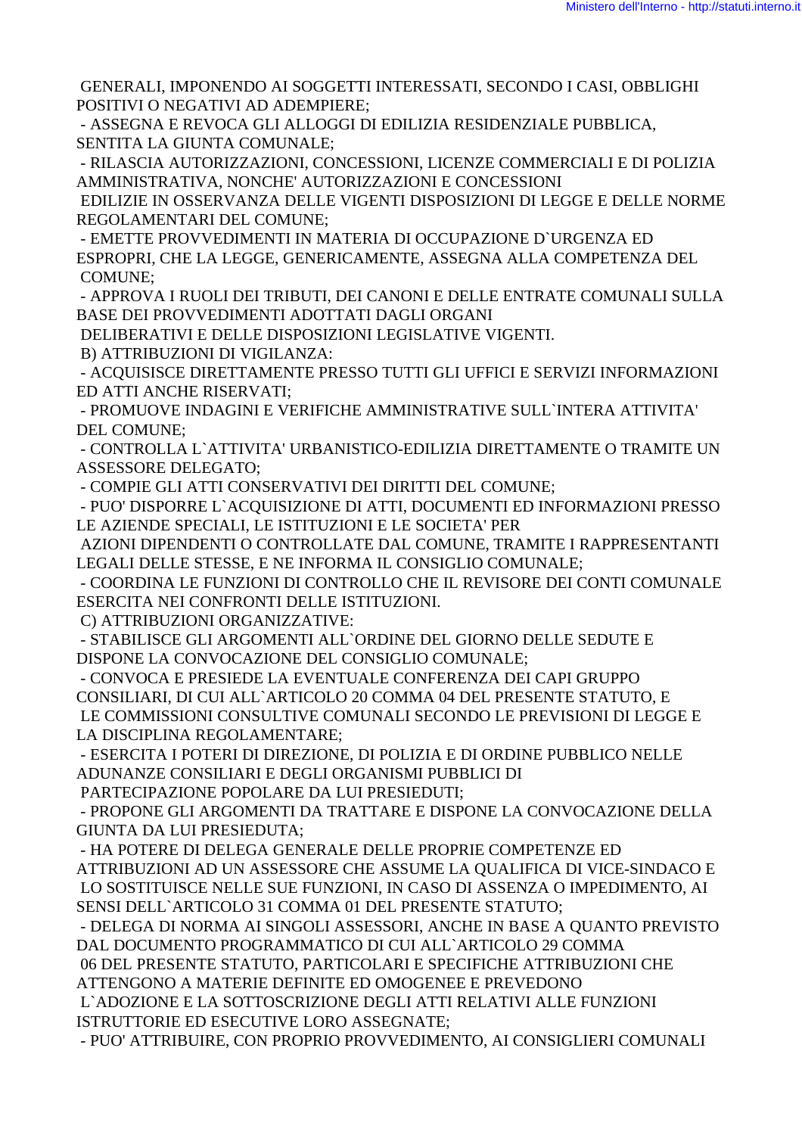GENERALI, IMPONENDO AI SOGGETTI INTERESSATI, SECONDO I CASI, OBBLIGHI POSITIVI O NEGATIVI AD ADEMPIERE:

- ASSEGNA E REVOCA GLI ALLOGGI DI EDILIZIA RESIDENZIALE PUBBLICA. SENTITA LA GIUNTA COMUNALE:

- RILASCIA AUTORIZZAZIONI, CONCESSIONI, LICENZE COMMERCIALI E DI POLIZIA AMMINISTRATIVA, NONCHE' AUTORIZZAZIONI E CONCESSIONI

EDILIZIE IN OSSERVANZA DELLE VIGENTI DISPOSIZIONI DI LEGGE E DELLE NORME REGOLAMENTARI DEL COMUNE:

- EMETTE PROVVEDIMENTI IN MATERIA DI OCCUPAZIONE D'URGENZA ED ESPROPRI, CHE LA LEGGE, GENERICAMENTE, ASSEGNA ALLA COMPETENZA DEL **COMUNE:** 

- APPROVA I RUOLI DEI TRIBUTI. DEI CANONI E DELLE ENTRATE COMUNALI SULLA BASE DEI PROVVEDIMENTI ADOTTATI DAGLI ORGANI

DELIBERATIVI E DELLE DISPOSIZIONI LEGISLATIVE VIGENTI.

B) ATTRIBUZIONI DI VIGILANZA:

- ACQUISISCE DIRETTAMENTE PRESSO TUTTI GLI UFFICI E SERVIZI INFORMAZIONI ED ATTI ANCHE RISERVATI:

- PROMUOVE INDAGINI E VERIFICHE AMMINISTRATIVE SULL'INTERA ATTIVITA' DEL COMUNE;

- CONTROLLA L'ATTIVITA' URBANISTICO-EDILIZIA DIRETTAMENTE O TRAMITE UN **ASSESSORE DELEGATO:** 

- COMPIE GLI ATTI CONSERVATIVI DEI DIRITTI DEL COMUNE;

- PUO' DISPORRE L`ACOUISIZIONE DI ATTI, DOCUMENTI ED INFORMAZIONI PRESSO LE AZIENDE SPECIALI, LE ISTITUZIONI E LE SOCIETA' PER

AZIONI DIPENDENTI O CONTROLLATE DAL COMUNE, TRAMITE I RAPPRESENTANTI LEGALI DELLE STESSE, E NE INFORMA IL CONSIGLIO COMUNALE:

- COORDINA LE FUNZIONI DI CONTROLLO CHE IL REVISORE DEI CONTI COMUNALE ESERCITA NEI CONFRONTI DELLE ISTITUZIONI.

C) ATTRIBUZIONI ORGANIZZATIVE:

- STABILISCE GLI ARGOMENTI ALL`ORDINE DEL GIORNO DELLE SEDUTE E DISPONE LA CONVOCAZIONE DEL CONSIGLIO COMUNALE:

- CONVOCA E PRESIEDE LA EVENTUALE CONFERENZA DEI CAPI GRUPPO CONSILIARI, DI CUI ALL'ARTICOLO 20 COMMA 04 DEL PRESENTE STATUTO, E LE COMMISSIONI CONSULTIVE COMUNALI SECONDO LE PREVISIONI DI LEGGE E LA DISCIPLINA REGOLAMENTARE;

- ESERCITA I POTERI DI DIREZIONE, DI POLIZIA E DI ORDINE PUBBLICO NELLE ADUNANZE CONSILIARI E DEGLI ORGANISMI PUBBLICI DI

PARTECIPAZIONE POPOLARE DA LUI PRESIEDUTI:

- PROPONE GLI ARGOMENTI DA TRATTARE E DISPONE LA CONVOCAZIONE DELLA **GIUNTA DA LUI PRESIEDUTA:** 

- HA POTERE DI DELEGA GENERALE DELLE PROPRIE COMPETENZE ED ATTRIBUZIONI AD UN ASSESSORE CHE ASSUME LA QUALIFICA DI VICE-SINDACO E LO SOSTITUISCE NELLE SUE FUNZIONI, IN CASO DI ASSENZA O IMPEDIMENTO, AI SENSI DELL'ARTICOLO 31 COMMA 01 DEL PRESENTE STATUTO;

- DELEGA DI NORMA AI SINGOLI ASSESSORI, ANCHE IN BASE A QUANTO PREVISTO DAL DOCUMENTO PROGRAMMATICO DI CUI ALL`ARTICOLO 29 COMMA

06 DEL PRESENTE STATUTO, PARTICOLARI E SPECIFICHE ATTRIBUZIONI CHE ATTENGONO A MATERIE DEFINITE ED OMOGENEE E PREVEDONO

L'ADOZIONE E LA SOTTOSCRIZIONE DEGLI ATTI RELATIVI ALLE FUNZIONI ISTRUTTORIE ED ESECUTIVE LORO ASSEGNATE:

- PUO' ATTRIBUIRE, CON PROPRIO PROVVEDIMENTO, AI CONSIGLIERI COMUNALI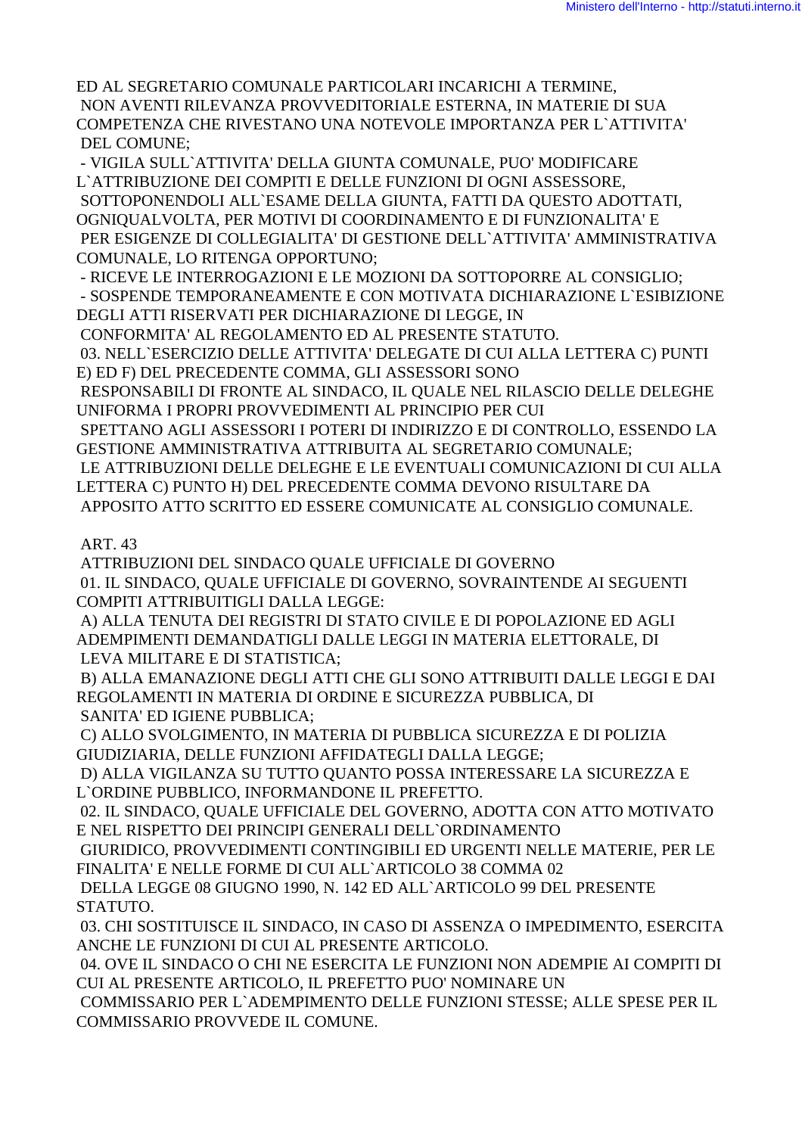ED AL SEGRETARIO COMUNALE PARTICOLARI INCARICHI A TERMINE, NON AVENTI RILEVANZA PROVVEDITORIALE ESTERNA, IN MATERIE DI SUA COMPETENZA CHE RIVESTANO UNA NOTEVOLE IMPORTANZA PER L`ATTIVITA' DEL COMUNE;

 - VIGILA SULL`ATTIVITA' DELLA GIUNTA COMUNALE, PUO' MODIFICARE L`ATTRIBUZIONE DEI COMPITI E DELLE FUNZIONI DI OGNI ASSESSORE, SOTTOPONENDOLI ALL`ESAME DELLA GIUNTA, FATTI DA QUESTO ADOTTATI, OGNIQUALVOLTA, PER MOTIVI DI COORDINAMENTO E DI FUNZIONALITA' E PER ESIGENZE DI COLLEGIALITA' DI GESTIONE DELL`ATTIVITA' AMMINISTRATIVA COMUNALE, LO RITENGA OPPORTUNO;

 - RICEVE LE INTERROGAZIONI E LE MOZIONI DA SOTTOPORRE AL CONSIGLIO; - SOSPENDE TEMPORANEAMENTE E CON MOTIVATA DICHIARAZIONE L`ESIBIZIONE DEGLI ATTI RISERVATI PER DICHIARAZIONE DI LEGGE, IN

CONFORMITA' AL REGOLAMENTO ED AL PRESENTE STATUTO.

 03. NELL`ESERCIZIO DELLE ATTIVITA' DELEGATE DI CUI ALLA LETTERA C) PUNTI E) ED F) DEL PRECEDENTE COMMA, GLI ASSESSORI SONO

 RESPONSABILI DI FRONTE AL SINDACO, IL QUALE NEL RILASCIO DELLE DELEGHE UNIFORMA I PROPRI PROVVEDIMENTI AL PRINCIPIO PER CUI

 SPETTANO AGLI ASSESSORI I POTERI DI INDIRIZZO E DI CONTROLLO, ESSENDO LA GESTIONE AMMINISTRATIVA ATTRIBUITA AL SEGRETARIO COMUNALE;

 LE ATTRIBUZIONI DELLE DELEGHE E LE EVENTUALI COMUNICAZIONI DI CUI ALLA LETTERA C) PUNTO H) DEL PRECEDENTE COMMA DEVONO RISULTARE DA

APPOSITO ATTO SCRITTO ED ESSERE COMUNICATE AL CONSIGLIO COMUNALE.

## ART. 43

 ATTRIBUZIONI DEL SINDACO QUALE UFFICIALE DI GOVERNO 01. IL SINDACO, QUALE UFFICIALE DI GOVERNO, SOVRAINTENDE AI SEGUENTI COMPITI ATTRIBUITIGLI DALLA LEGGE:

 A) ALLA TENUTA DEI REGISTRI DI STATO CIVILE E DI POPOLAZIONE ED AGLI ADEMPIMENTI DEMANDATIGLI DALLE LEGGI IN MATERIA ELETTORALE, DI LEVA MILITARE E DI STATISTICA;

 B) ALLA EMANAZIONE DEGLI ATTI CHE GLI SONO ATTRIBUITI DALLE LEGGI E DAI REGOLAMENTI IN MATERIA DI ORDINE E SICUREZZA PUBBLICA, DI SANITA' ED IGIENE PUBBLICA;

 C) ALLO SVOLGIMENTO, IN MATERIA DI PUBBLICA SICUREZZA E DI POLIZIA GIUDIZIARIA, DELLE FUNZIONI AFFIDATEGLI DALLA LEGGE;

 D) ALLA VIGILANZA SU TUTTO QUANTO POSSA INTERESSARE LA SICUREZZA E L`ORDINE PUBBLICO, INFORMANDONE IL PREFETTO.

 02. IL SINDACO, QUALE UFFICIALE DEL GOVERNO, ADOTTA CON ATTO MOTIVATO E NEL RISPETTO DEI PRINCIPI GENERALI DELL`ORDINAMENTO

 GIURIDICO, PROVVEDIMENTI CONTINGIBILI ED URGENTI NELLE MATERIE, PER LE FINALITA' E NELLE FORME DI CUI ALL`ARTICOLO 38 COMMA 02

 DELLA LEGGE 08 GIUGNO 1990, N. 142 ED ALL`ARTICOLO 99 DEL PRESENTE STATUTO.

 03. CHI SOSTITUISCE IL SINDACO, IN CASO DI ASSENZA O IMPEDIMENTO, ESERCITA ANCHE LE FUNZIONI DI CUI AL PRESENTE ARTICOLO.

 04. OVE IL SINDACO O CHI NE ESERCITA LE FUNZIONI NON ADEMPIE AI COMPITI DI CUI AL PRESENTE ARTICOLO, IL PREFETTO PUO' NOMINARE UN

 COMMISSARIO PER L`ADEMPIMENTO DELLE FUNZIONI STESSE; ALLE SPESE PER IL COMMISSARIO PROVVEDE IL COMUNE.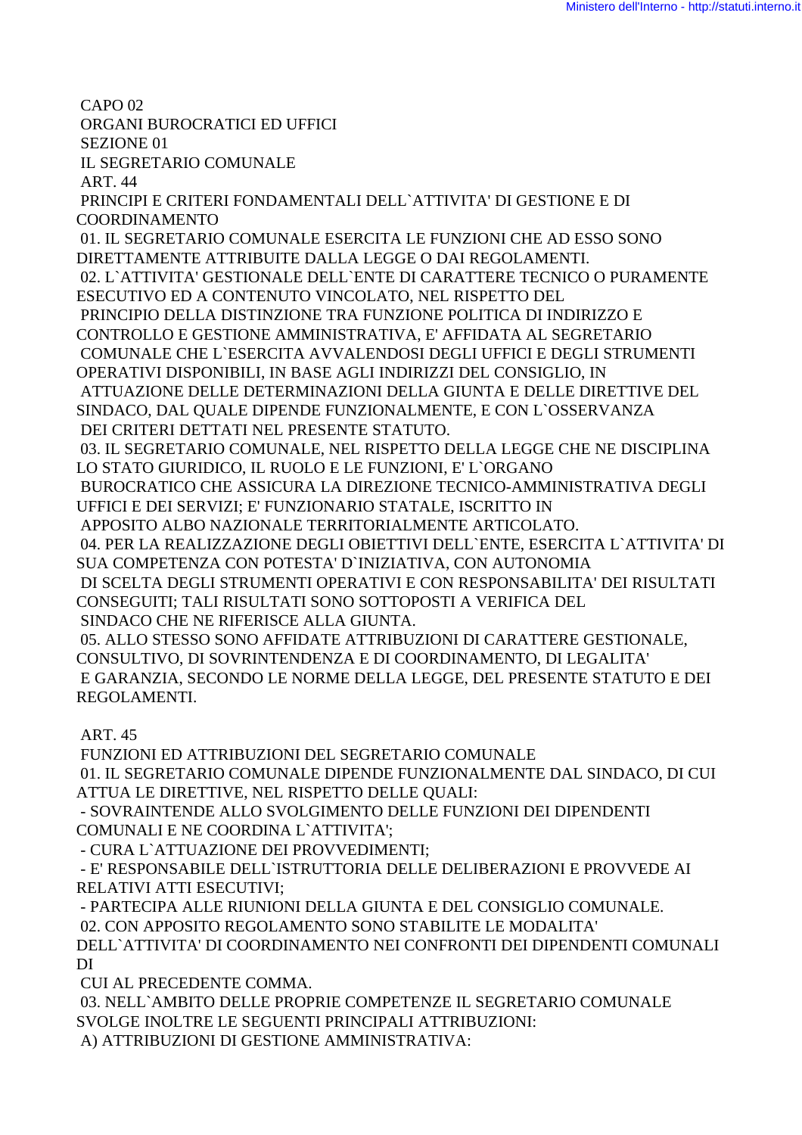CAPO<sub>02</sub>

ORGANI BUROCRATICI ED UFFICI

SEZIONE 01 **IL SEGRETARIO COMUNALE** 

**ART. 44** 

PRINCIPI E CRITERI FONDAMENTALI DELL'ATTIVITA' DI GESTIONE E DI **COORDINAMENTO** 

01. IL SEGRETARIO COMUNALE ESERCITA LE FUNZIONI CHE AD ESSO SONO DIRETTAMENTE ATTRIBUITE DALLA LEGGE O DAI REGOLAMENTI. 02. L'ATTIVITA' GESTIONALE DELL'ENTE DI CARATTERE TECNICO O PURAMENTE

ESECUTIVO ED A CONTENUTO VINCOLATO, NEL RISPETTO DEL

PRINCIPIO DELLA DISTINZIONE TRA FUNZIONE POLITICA DI INDIRIZZO E

CONTROLLO E GESTIONE AMMINISTRATIVA, E' AFFIDATA AL SEGRETARIO COMUNALE CHE L'ESERCITA AVVALENDOSI DEGLI UFFICI E DEGLI STRUMENTI

OPERATIVI DISPONIBILI, IN BASE AGLI INDIRIZZI DEL CONSIGLIO, IN

ATTUAZIONE DELLE DETERMINAZIONI DELLA GIUNTA E DELLE DIRETTIVE DEL

SINDACO, DAL QUALE DIPENDE FUNZIONALMENTE, E CON L'OSSERVANZA DEI CRITERI DETTATI NEL PRESENTE STATUTO.

03. IL SEGRETARIO COMUNALE, NEL RISPETTO DELLA LEGGE CHE NE DISCIPLINA LO STATO GIURIDICO, IL RUOLO E LE FUNZIONI, E' L'ORGANO

BUROCRATICO CHE ASSICURA LA DIREZIONE TECNICO-AMMINISTRATIVA DEGLI UFFICI E DEI SERVIZI; E' FUNZIONARIO STATALE, ISCRITTO IN

APPOSITO ALBO NAZIONALE TERRITORIALMENTE ARTICOLATO.

04. PER LA REALIZZAZIONE DEGLI OBIETTIVI DELL'ENTE, ESERCITA L'ATTIVITA' DI SUA COMPETENZA CON POTESTA' D'INIZIATIVA, CON AUTONOMIA

DI SCELTA DEGLI STRUMENTI OPERATIVI E CON RESPONSABILITA' DEI RISULTATI CONSEGUITI; TALI RISULTATI SONO SOTTOPOSTI A VERIFICA DEL

SINDACO CHE NE RIFERISCE ALLA GIUNTA.

05. ALLO STESSO SONO AFFIDATE ATTRIBUZIONI DI CARATTERE GESTIONALE. CONSULTIVO, DI SOVRINTENDENZA E DI COORDINAMENTO, DI LEGALITA' E GARANZIA, SECONDO LE NORME DELLA LEGGE, DEL PRESENTE STATUTO E DEI REGOLAMENTI.

**ART. 45** 

FUNZIONI ED ATTRIBUZIONI DEL SEGRETARIO COMUNALE 01. IL SEGRETARIO COMUNALE DIPENDE FUNZIONALMENTE DAL SINDACO, DI CUI ATTUA LE DIRETTIVE. NEL RISPETTO DELLE OUALI:

- SOVRAINTENDE ALLO SVOLGIMENTO DELLE FUNZIONI DEI DIPENDENTI COMUNALI E NE COORDINA L'ATTIVITA':

- CURA L'ATTUAZIONE DEI PROVVEDIMENTI:

- E' RESPONSABILE DELL`ISTRUTTORIA DELLE DELIBERAZIONI E PROVVEDE AI RELATIVI ATTI ESECUTIVI:

- PARTECIPA ALLE RIUNIONI DELLA GIUNTA E DEL CONSIGLIO COMUNALE. 02. CON APPOSITO REGOLAMENTO SONO STABILITE LE MODALITA' DELL'ATTIVITA' DI COORDINAMENTO NEI CONFRONTI DEI DIPENDENTI COMUNALI  $DI$ 

CUI AL PRECEDENTE COMMA.

03. NELL`AMBITO DELLE PROPRIE COMPETENZE IL SEGRETARIO COMUNALE SVOLGE INOLTRE LE SEGUENTI PRINCIPALI ATTRIBUZIONI:

A) ATTRIBUZIONI DI GESTIONE AMMINISTRATIVA: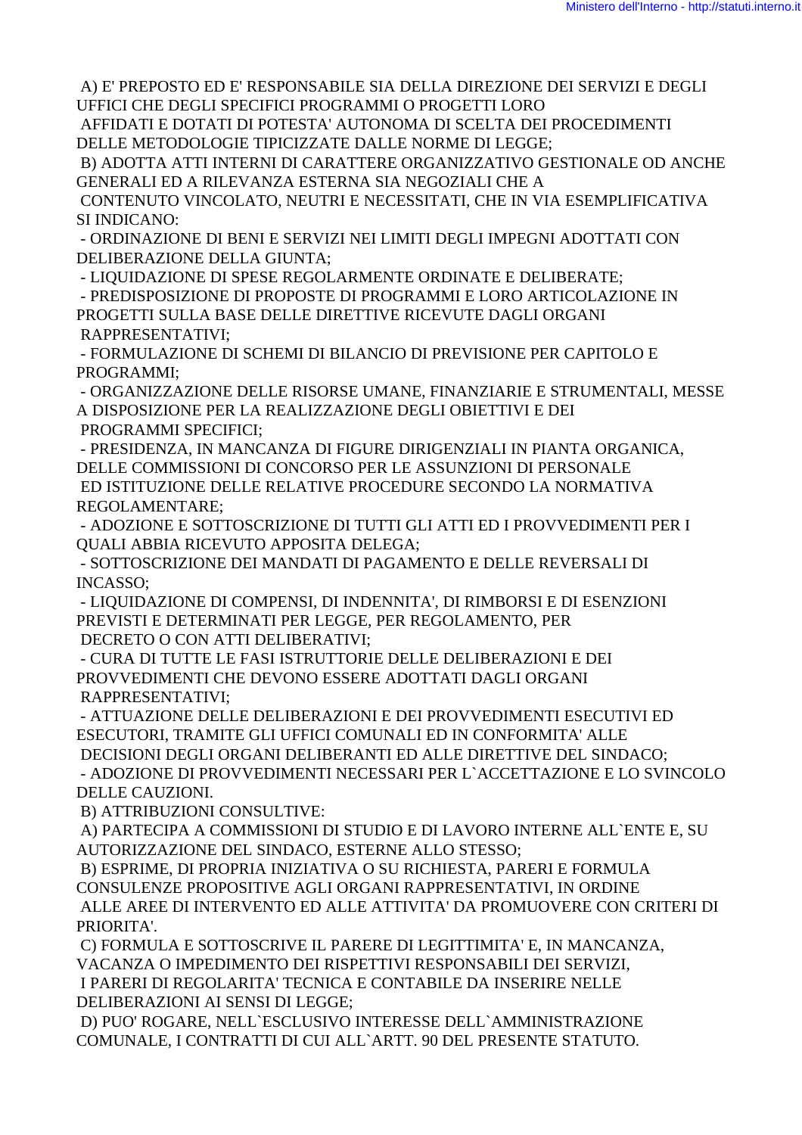A) E' PREPOSTO ED E' RESPONSABILE SIA DELLA DIREZIONE DEI SERVIZI E DEGLI UFFICI CHE DEGLI SPECIFICI PROGRAMMI O PROGETTI LORO

 AFFIDATI E DOTATI DI POTESTA' AUTONOMA DI SCELTA DEI PROCEDIMENTI DELLE METODOLOGIE TIPICIZZATE DALLE NORME DI LEGGE;

 B) ADOTTA ATTI INTERNI DI CARATTERE ORGANIZZATIVO GESTIONALE OD ANCHE GENERALI ED A RILEVANZA ESTERNA SIA NEGOZIALI CHE A

 CONTENUTO VINCOLATO, NEUTRI E NECESSITATI, CHE IN VIA ESEMPLIFICATIVA SI INDICANO:

 - ORDINAZIONE DI BENI E SERVIZI NEI LIMITI DEGLI IMPEGNI ADOTTATI CON DELIBERAZIONE DELLA GIUNTA;

- LIQUIDAZIONE DI SPESE REGOLARMENTE ORDINATE E DELIBERATE;

 - PREDISPOSIZIONE DI PROPOSTE DI PROGRAMMI E LORO ARTICOLAZIONE IN PROGETTI SULLA BASE DELLE DIRETTIVE RICEVUTE DAGLI ORGANI RAPPRESENTATIVI;

 - FORMULAZIONE DI SCHEMI DI BILANCIO DI PREVISIONE PER CAPITOLO E PROGRAMMI;

 - ORGANIZZAZIONE DELLE RISORSE UMANE, FINANZIARIE E STRUMENTALI, MESSE A DISPOSIZIONE PER LA REALIZZAZIONE DEGLI OBIETTIVI E DEI PROGRAMMI SPECIFICI;

 - PRESIDENZA, IN MANCANZA DI FIGURE DIRIGENZIALI IN PIANTA ORGANICA, DELLE COMMISSIONI DI CONCORSO PER LE ASSUNZIONI DI PERSONALE ED ISTITUZIONE DELLE RELATIVE PROCEDURE SECONDO LA NORMATIVA REGOLAMENTARE;

 - ADOZIONE E SOTTOSCRIZIONE DI TUTTI GLI ATTI ED I PROVVEDIMENTI PER I QUALI ABBIA RICEVUTO APPOSITA DELEGA;

 - SOTTOSCRIZIONE DEI MANDATI DI PAGAMENTO E DELLE REVERSALI DI INCASSO;

 - LIQUIDAZIONE DI COMPENSI, DI INDENNITA', DI RIMBORSI E DI ESENZIONI PREVISTI E DETERMINATI PER LEGGE, PER REGOLAMENTO, PER DECRETO O CON ATTI DELIBERATIVI;

 - CURA DI TUTTE LE FASI ISTRUTTORIE DELLE DELIBERAZIONI E DEI PROVVEDIMENTI CHE DEVONO ESSERE ADOTTATI DAGLI ORGANI RAPPRESENTATIVI;

 - ATTUAZIONE DELLE DELIBERAZIONI E DEI PROVVEDIMENTI ESECUTIVI ED ESECUTORI, TRAMITE GLI UFFICI COMUNALI ED IN CONFORMITA' ALLE

 DECISIONI DEGLI ORGANI DELIBERANTI ED ALLE DIRETTIVE DEL SINDACO; - ADOZIONE DI PROVVEDIMENTI NECESSARI PER L`ACCETTAZIONE E LO SVINCOLO DELLE CAUZIONI.

B) ATTRIBUZIONI CONSULTIVE:

 A) PARTECIPA A COMMISSIONI DI STUDIO E DI LAVORO INTERNE ALL`ENTE E, SU AUTORIZZAZIONE DEL SINDACO, ESTERNE ALLO STESSO;

 B) ESPRIME, DI PROPRIA INIZIATIVA O SU RICHIESTA, PARERI E FORMULA CONSULENZE PROPOSITIVE AGLI ORGANI RAPPRESENTATIVI, IN ORDINE ALLE AREE DI INTERVENTO ED ALLE ATTIVITA' DA PROMUOVERE CON CRITERI DI PRIORITA'.

 C) FORMULA E SOTTOSCRIVE IL PARERE DI LEGITTIMITA' E, IN MANCANZA, VACANZA O IMPEDIMENTO DEI RISPETTIVI RESPONSABILI DEI SERVIZI, I PARERI DI REGOLARITA' TECNICA E CONTABILE DA INSERIRE NELLE DELIBERAZIONI AI SENSI DI LEGGE;

 D) PUO' ROGARE, NELL`ESCLUSIVO INTERESSE DELL`AMMINISTRAZIONE COMUNALE, I CONTRATTI DI CUI ALL`ARTT. 90 DEL PRESENTE STATUTO.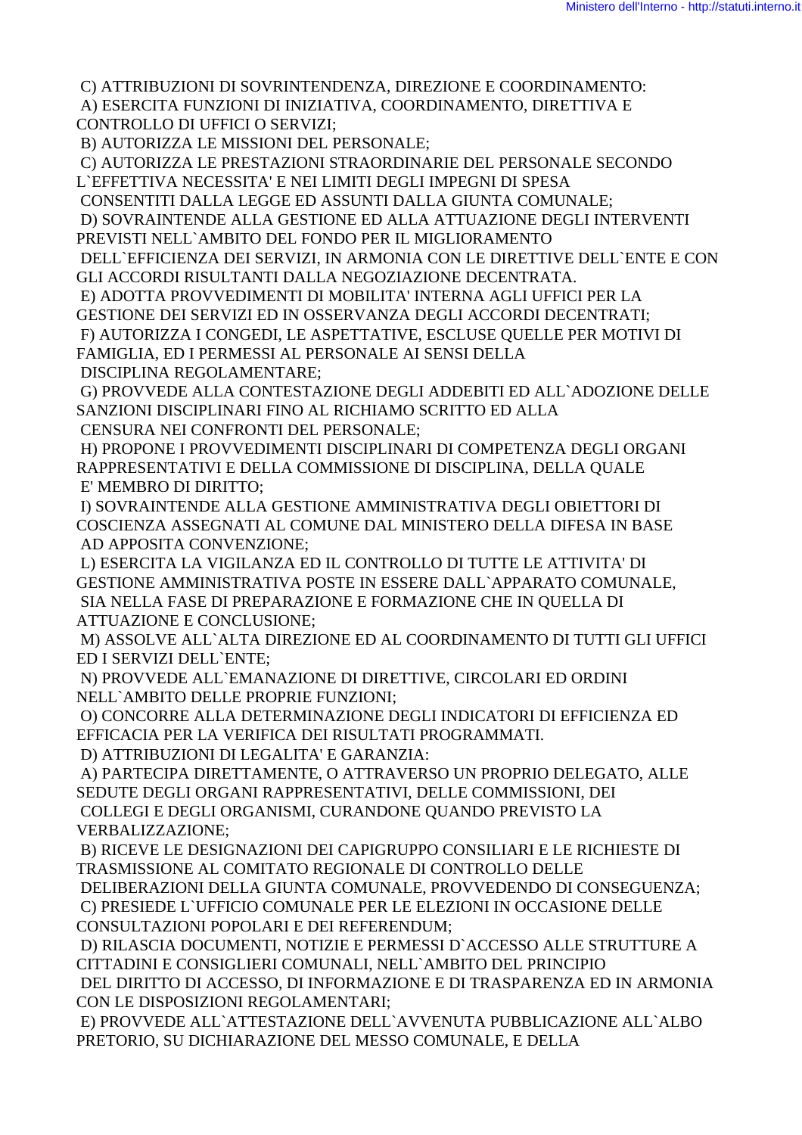C) ATTRIBUZIONI DI SOVRINTENDENZA, DIREZIONE E COORDINAMENTO:

A) ESERCITA FUNZIONI DI INIZIATIVA, COORDINAMENTO, DIRETTIVA E **CONTROLLO DI UFFICI O SERVIZI:** 

B) AUTORIZZA LE MISSIONI DEL PERSONALE:

C) AUTORIZZA LE PRESTAZIONI STRAORDINARIE DEL PERSONALE SECONDO L'EFFETTIVA NECESSITA' E NEI LIMITI DEGLI IMPEGNI DI SPESA

CONSENTITI DALLA LEGGE ED ASSUNTI DALLA GIUNTA COMUNALE:

D) SOVRAINTENDE ALLA GESTIONE ED ALLA ATTUAZIONE DEGLI INTERVENTI PREVISTI NELL'AMBITO DEL FONDO PER IL MIGLIORAMENTO

DELL'EFFICIENZA DEI SERVIZI, IN ARMONIA CON LE DIRETTIVE DELL'ENTE E CON GLI ACCORDI RISULTANTI DALLA NEGOZIAZIONE DECENTRATA.

E) ADOTTA PROVVEDIMENTI DI MOBILITA' INTERNA AGLI UFFICI PER LA

GESTIONE DEI SERVIZI ED IN OSSERVANZA DEGLI ACCORDI DECENTRATI;

F) AUTORIZZA I CONGEDI, LE ASPETTATIVE, ESCLUSE QUELLE PER MOTIVI DI

FAMIGLIA, ED I PERMESSI AL PERSONALE AI SENSI DELLA

DISCIPLINA REGOLAMENTARE;

G) PROVVEDE ALLA CONTESTAZIONE DEGLI ADDEBITI ED ALL`ADOZIONE DELLE SANZIONI DISCIPLINARI FINO AL RICHIAMO SCRITTO ED ALLA

CENSURA NEI CONFRONTI DEL PERSONALE;

H) PROPONE I PROVVEDIMENTI DISCIPLINARI DI COMPETENZA DEGLI ORGANI RAPPRESENTATIVI E DELLA COMMISSIONE DI DISCIPLINA. DELLA OUALE E' MEMBRO DI DIRITTO;

I) SOVRAINTENDE ALLA GESTIONE AMMINISTRATIVA DEGLI OBIETTORI DI COSCIENZA ASSEGNATI AL COMUNE DAL MINISTERO DELLA DIFESA IN BASE AD APPOSITA CONVENZIONE;

L) ESERCITA LA VIGILANZA ED IL CONTROLLO DI TUTTE LE ATTIVITA' DI GESTIONE AMMINISTRATIVA POSTE IN ESSERE DALL`APPARATO COMUNALE, SIA NELLA FASE DI PREPARAZIONE E FORMAZIONE CHE IN QUELLA DI **ATTUAZIONE E CONCLUSIONE;** 

M) ASSOLVE ALL`ALTA DIREZIONE ED AL COORDINAMENTO DI TUTTI GLI UFFICI ED I SERVIZI DELL'ENTE:

N) PROVVEDE ALL EMANAZIONE DI DIRETTIVE, CIRCOLARI ED ORDINI NELL'AMBITO DELLE PROPRIE FUNZIONI;

O) CONCORRE ALLA DETERMINAZIONE DEGLI INDICATORI DI EFFICIENZA ED EFFICACIA PER LA VERIFICA DEI RISULTATI PROGRAMMATI.

D) ATTRIBUZIONI DI LEGALITA' E GARANZIA:

A) PARTECIPA DIRETTAMENTE, O ATTRAVERSO UN PROPRIO DELEGATO, ALLE SEDUTE DEGLI ORGANI RAPPRESENTATIVI. DELLE COMMISSIONI. DEI COLLEGI E DEGLI ORGANISMI, CURANDONE QUANDO PREVISTO LA **VERBALIZZAZIONE;** 

B) RICEVE LE DESIGNAZIONI DEI CAPIGRUPPO CONSILIARI E LE RICHIESTE DI TRASMISSIONE AL COMITATO REGIONALE DI CONTROLLO DELLE

DELIBERAZIONI DELLA GIUNTA COMUNALE, PROVVEDENDO DI CONSEGUENZA; C) PRESIEDE L'UFFICIO COMUNALE PER LE ELEZIONI IN OCCASIONE DELLE CONSULTAZIONI POPOLARI E DEI REFERENDUM;

D) RILASCIA DOCUMENTI, NOTIZIE E PERMESSI D'ACCESSO ALLE STRUTTURE A CITTADINI E CONSIGLIERI COMUNALI, NELL'AMBITO DEL PRINCIPIO

DEL DIRITTO DI ACCESSO, DI INFORMAZIONE E DI TRASPARENZA ED IN ARMONIA CON LE DISPOSIZIONI REGOLAMENTARI:

E) PROVVEDE ALL`ATTESTAZIONE DELL`AVVENUTA PUBBLICAZIONE ALL`ALBO PRETORIO, SU DICHIARAZIONE DEL MESSO COMUNALE, E DELLA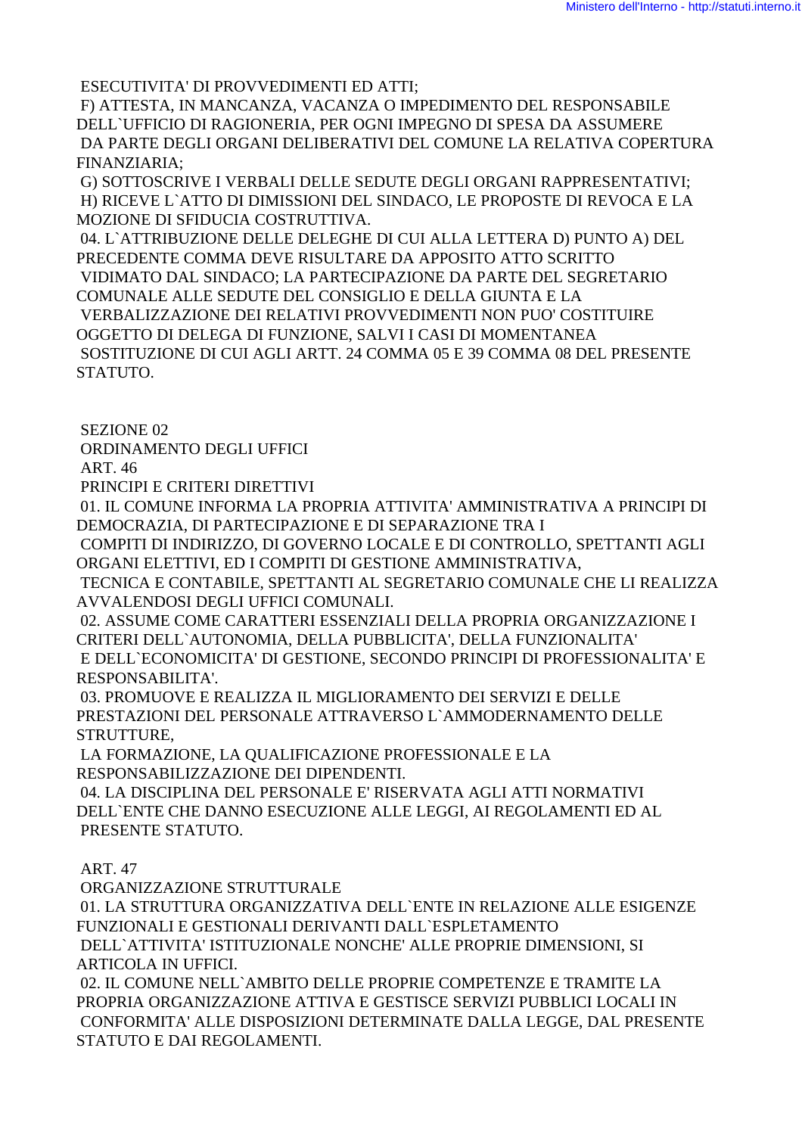ESECUTIVITA' DI PROVVEDIMENTI ED ATTI;

 F) ATTESTA, IN MANCANZA, VACANZA O IMPEDIMENTO DEL RESPONSABILE DELL`UFFICIO DI RAGIONERIA, PER OGNI IMPEGNO DI SPESA DA ASSUMERE DA PARTE DEGLI ORGANI DELIBERATIVI DEL COMUNE LA RELATIVA COPERTURA FINANZIARIA;

 G) SOTTOSCRIVE I VERBALI DELLE SEDUTE DEGLI ORGANI RAPPRESENTATIVI; H) RICEVE L`ATTO DI DIMISSIONI DEL SINDACO, LE PROPOSTE DI REVOCA E LA MOZIONE DI SFIDUCIA COSTRUTTIVA.

 04. L`ATTRIBUZIONE DELLE DELEGHE DI CUI ALLA LETTERA D) PUNTO A) DEL PRECEDENTE COMMA DEVE RISULTARE DA APPOSITO ATTO SCRITTO VIDIMATO DAL SINDACO; LA PARTECIPAZIONE DA PARTE DEL SEGRETARIO COMUNALE ALLE SEDUTE DEL CONSIGLIO E DELLA GIUNTA E LA VERBALIZZAZIONE DEI RELATIVI PROVVEDIMENTI NON PUO' COSTITUIRE OGGETTO DI DELEGA DI FUNZIONE, SALVI I CASI DI MOMENTANEA SOSTITUZIONE DI CUI AGLI ARTT. 24 COMMA 05 E 39 COMMA 08 DEL PRESENTE STATUTO.

SEZIONE 02

ORDINAMENTO DEGLI UFFICI

ART. 46

PRINCIPI E CRITERI DIRETTIVI

 01. IL COMUNE INFORMA LA PROPRIA ATTIVITA' AMMINISTRATIVA A PRINCIPI DI DEMOCRAZIA, DI PARTECIPAZIONE E DI SEPARAZIONE TRA I

 COMPITI DI INDIRIZZO, DI GOVERNO LOCALE E DI CONTROLLO, SPETTANTI AGLI ORGANI ELETTIVI, ED I COMPITI DI GESTIONE AMMINISTRATIVA,

 TECNICA E CONTABILE, SPETTANTI AL SEGRETARIO COMUNALE CHE LI REALIZZA AVVALENDOSI DEGLI UFFICI COMUNALI.

 02. ASSUME COME CARATTERI ESSENZIALI DELLA PROPRIA ORGANIZZAZIONE I CRITERI DELL`AUTONOMIA, DELLA PUBBLICITA', DELLA FUNZIONALITA' E DELL`ECONOMICITA' DI GESTIONE, SECONDO PRINCIPI DI PROFESSIONALITA' E RESPONSABILITA'.

 03. PROMUOVE E REALIZZA IL MIGLIORAMENTO DEI SERVIZI E DELLE PRESTAZIONI DEL PERSONALE ATTRAVERSO L`AMMODERNAMENTO DELLE STRUTTURE,

 LA FORMAZIONE, LA QUALIFICAZIONE PROFESSIONALE E LA RESPONSABILIZZAZIONE DEI DIPENDENTI.

 04. LA DISCIPLINA DEL PERSONALE E' RISERVATA AGLI ATTI NORMATIVI DELL`ENTE CHE DANNO ESECUZIONE ALLE LEGGI, AI REGOLAMENTI ED AL PRESENTE STATUTO.

ART. 47

 ORGANIZZAZIONE STRUTTURALE 01. LA STRUTTURA ORGANIZZATIVA DELL`ENTE IN RELAZIONE ALLE ESIGENZE FUNZIONALI E GESTIONALI DERIVANTI DALL`ESPLETAMENTO DELL`ATTIVITA' ISTITUZIONALE NONCHE' ALLE PROPRIE DIMENSIONI, SI ARTICOLA IN UFFICI. 02. IL COMUNE NELL`AMBITO DELLE PROPRIE COMPETENZE E TRAMITE LA

PROPRIA ORGANIZZAZIONE ATTIVA E GESTISCE SERVIZI PUBBLICI LOCALI IN CONFORMITA' ALLE DISPOSIZIONI DETERMINATE DALLA LEGGE, DAL PRESENTE STATUTO E DAI REGOLAMENTI.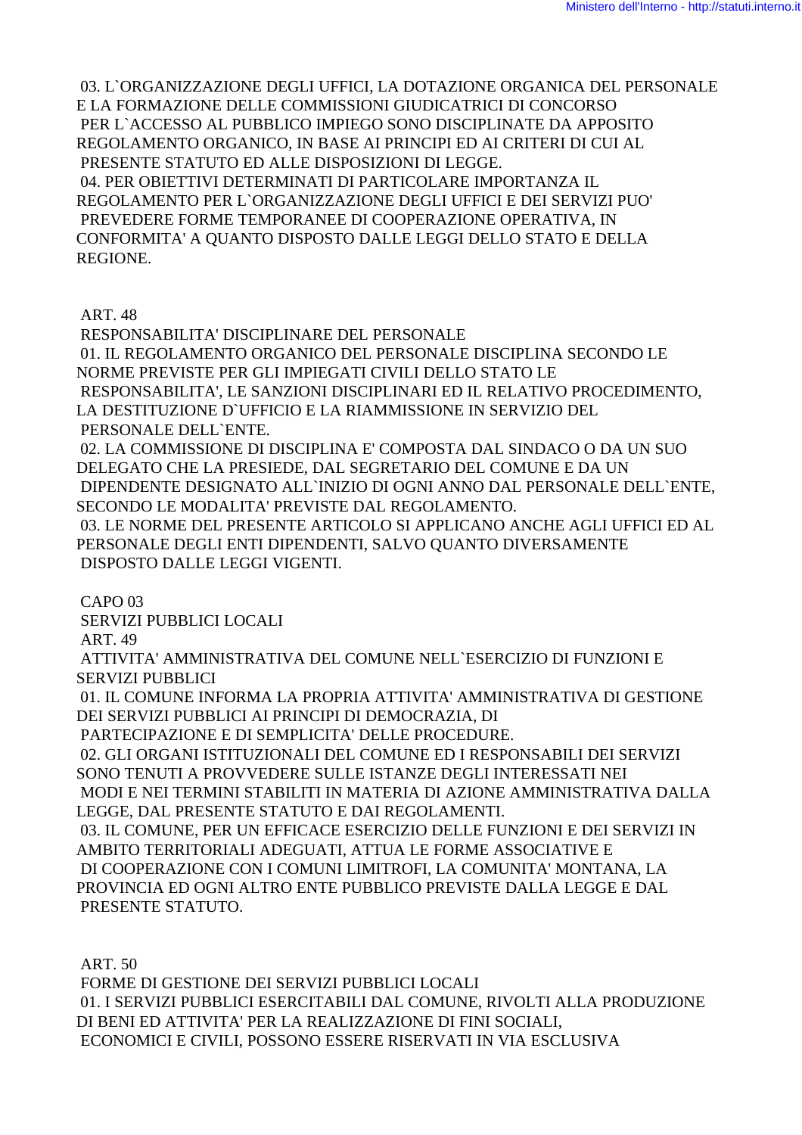03. L`ORGANIZZAZIONE DEGLI UFFICI, LA DOTAZIONE ORGANICA DEL PERSONALE E LA FORMAZIONE DELLE COMMISSIONI GIUDICATRICI DI CONCORSO PER L`ACCESSO AL PUBBLICO IMPIEGO SONO DISCIPLINATE DA APPOSITO REGOLAMENTO ORGANICO, IN BASE AI PRINCIPI ED AI CRITERI DI CUI AL PRESENTE STATUTO ED ALLE DISPOSIZIONI DI LEGGE. 04. PER OBIETTIVI DETERMINATI DI PARTICOLARE IMPORTANZA IL REGOLAMENTO PER L`ORGANIZZAZIONE DEGLI UFFICI E DEI SERVIZI PUO' PREVEDERE FORME TEMPORANEE DI COOPERAZIONE OPERATIVA, IN CONFORMITA' A QUANTO DISPOSTO DALLE LEGGI DELLO STATO E DELLA REGIONE.

ART. 48

 RESPONSABILITA' DISCIPLINARE DEL PERSONALE 01. IL REGOLAMENTO ORGANICO DEL PERSONALE DISCIPLINA SECONDO LE NORME PREVISTE PER GLI IMPIEGATI CIVILI DELLO STATO LE RESPONSABILITA', LE SANZIONI DISCIPLINARI ED IL RELATIVO PROCEDIMENTO, LA DESTITUZIONE D`UFFICIO E LA RIAMMISSIONE IN SERVIZIO DEL PERSONALE DELL`ENTE. 02. LA COMMISSIONE DI DISCIPLINA E' COMPOSTA DAL SINDACO O DA UN SUO DELEGATO CHE LA PRESIEDE, DAL SEGRETARIO DEL COMUNE E DA UN DIPENDENTE DESIGNATO ALL`INIZIO DI OGNI ANNO DAL PERSONALE DELL`ENTE, SECONDO LE MODALITA' PREVISTE DAL REGOLAMENTO. 03. LE NORME DEL PRESENTE ARTICOLO SI APPLICANO ANCHE AGLI UFFICI ED AL PERSONALE DEGLI ENTI DIPENDENTI, SALVO QUANTO DIVERSAMENTE DISPOSTO DALLE LEGGI VIGENTI.

CAPO 03

SERVIZI PUBBLICI LOCALI

ART. 49

 ATTIVITA' AMMINISTRATIVA DEL COMUNE NELL`ESERCIZIO DI FUNZIONI E SERVIZI PUBBLICI

 01. IL COMUNE INFORMA LA PROPRIA ATTIVITA' AMMINISTRATIVA DI GESTIONE DEI SERVIZI PUBBLICI AI PRINCIPI DI DEMOCRAZIA, DI

PARTECIPAZIONE E DI SEMPLICITA' DELLE PROCEDURE.

 02. GLI ORGANI ISTITUZIONALI DEL COMUNE ED I RESPONSABILI DEI SERVIZI SONO TENUTI A PROVVEDERE SULLE ISTANZE DEGLI INTERESSATI NEI MODI E NEI TERMINI STABILITI IN MATERIA DI AZIONE AMMINISTRATIVA DALLA

LEGGE, DAL PRESENTE STATUTO E DAI REGOLAMENTI. 03. IL COMUNE, PER UN EFFICACE ESERCIZIO DELLE FUNZIONI E DEI SERVIZI IN

AMBITO TERRITORIALI ADEGUATI, ATTUA LE FORME ASSOCIATIVE E DI COOPERAZIONE CON I COMUNI LIMITROFI, LA COMUNITA' MONTANA, LA PROVINCIA ED OGNI ALTRO ENTE PUBBLICO PREVISTE DALLA LEGGE E DAL PRESENTE STATUTO.

ART. 50

 FORME DI GESTIONE DEI SERVIZI PUBBLICI LOCALI 01. I SERVIZI PUBBLICI ESERCITABILI DAL COMUNE, RIVOLTI ALLA PRODUZIONE DI BENI ED ATTIVITA' PER LA REALIZZAZIONE DI FINI SOCIALI, ECONOMICI E CIVILI, POSSONO ESSERE RISERVATI IN VIA ESCLUSIVA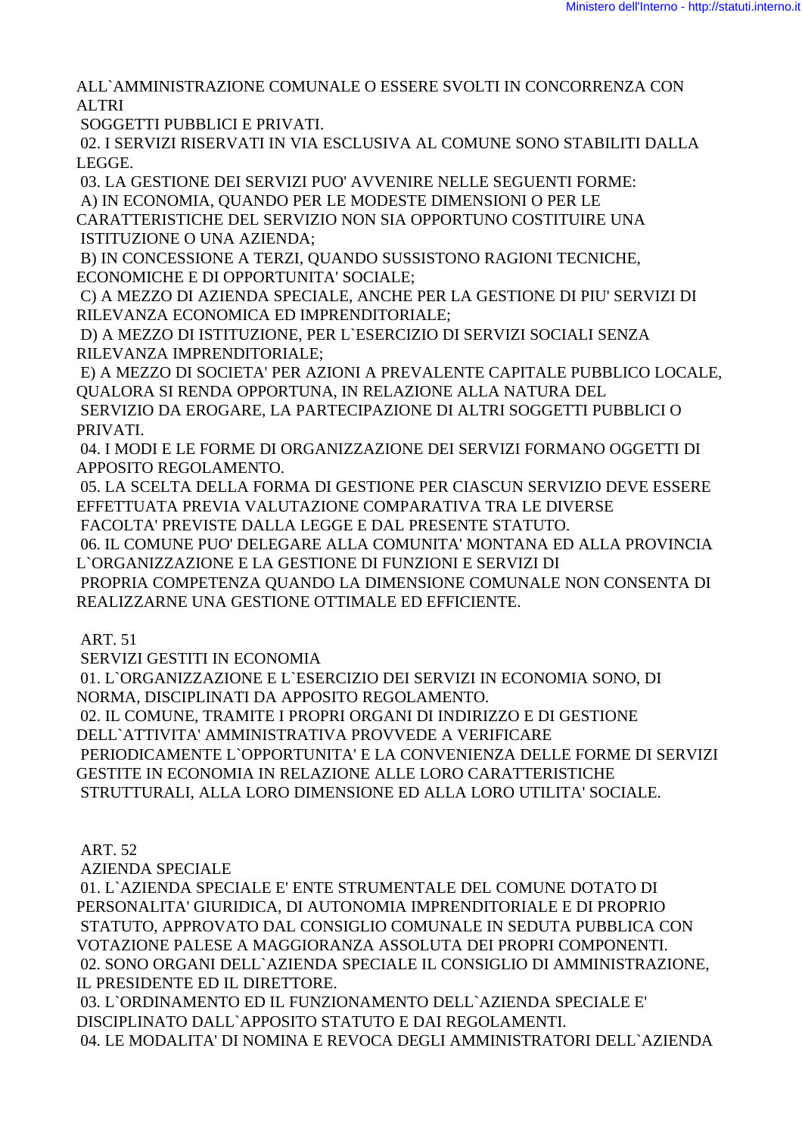ALL`AMMINISTRAZIONE COMUNALE O ESSERE SVOLTI IN CONCORRENZA CON ALTRI

SOGGETTI PUBBLICI E PRIVATI.

 02. I SERVIZI RISERVATI IN VIA ESCLUSIVA AL COMUNE SONO STABILITI DALLA LEGGE.

03. LA GESTIONE DEI SERVIZI PUO' AVVENIRE NELLE SEGUENTI FORME:

A) IN ECONOMIA, QUANDO PER LE MODESTE DIMENSIONI O PER LE

CARATTERISTICHE DEL SERVIZIO NON SIA OPPORTUNO COSTITUIRE UNA ISTITUZIONE O UNA AZIENDA;

 B) IN CONCESSIONE A TERZI, QUANDO SUSSISTONO RAGIONI TECNICHE, ECONOMICHE E DI OPPORTUNITA' SOCIALE;

 C) A MEZZO DI AZIENDA SPECIALE, ANCHE PER LA GESTIONE DI PIU' SERVIZI DI RILEVANZA ECONOMICA ED IMPRENDITORIALE;

 D) A MEZZO DI ISTITUZIONE, PER L`ESERCIZIO DI SERVIZI SOCIALI SENZA RILEVANZA IMPRENDITORIALE;

 E) A MEZZO DI SOCIETA' PER AZIONI A PREVALENTE CAPITALE PUBBLICO LOCALE, QUALORA SI RENDA OPPORTUNA, IN RELAZIONE ALLA NATURA DEL

 SERVIZIO DA EROGARE, LA PARTECIPAZIONE DI ALTRI SOGGETTI PUBBLICI O PRIVATI.

 04. I MODI E LE FORME DI ORGANIZZAZIONE DEI SERVIZI FORMANO OGGETTI DI APPOSITO REGOLAMENTO.

 05. LA SCELTA DELLA FORMA DI GESTIONE PER CIASCUN SERVIZIO DEVE ESSERE EFFETTUATA PREVIA VALUTAZIONE COMPARATIVA TRA LE DIVERSE

FACOLTA' PREVISTE DALLA LEGGE E DAL PRESENTE STATUTO.

 06. IL COMUNE PUO' DELEGARE ALLA COMUNITA' MONTANA ED ALLA PROVINCIA L`ORGANIZZAZIONE E LA GESTIONE DI FUNZIONI E SERVIZI DI

 PROPRIA COMPETENZA QUANDO LA DIMENSIONE COMUNALE NON CONSENTA DI REALIZZARNE UNA GESTIONE OTTIMALE ED EFFICIENTE.

ART. 51

SERVIZI GESTITI IN ECONOMIA

 01. L`ORGANIZZAZIONE E L`ESERCIZIO DEI SERVIZI IN ECONOMIA SONO, DI NORMA, DISCIPLINATI DA APPOSITO REGOLAMENTO.

02. IL COMUNE, TRAMITE I PROPRI ORGANI DI INDIRIZZO E DI GESTIONE

DELL`ATTIVITA' AMMINISTRATIVA PROVVEDE A VERIFICARE

 PERIODICAMENTE L`OPPORTUNITA' E LA CONVENIENZA DELLE FORME DI SERVIZI GESTITE IN ECONOMIA IN RELAZIONE ALLE LORO CARATTERISTICHE STRUTTURALI, ALLA LORO DIMENSIONE ED ALLA LORO UTILITA' SOCIALE.

ART. 52

AZIENDA SPECIALE

 01. L`AZIENDA SPECIALE E' ENTE STRUMENTALE DEL COMUNE DOTATO DI PERSONALITA' GIURIDICA, DI AUTONOMIA IMPRENDITORIALE E DI PROPRIO STATUTO, APPROVATO DAL CONSIGLIO COMUNALE IN SEDUTA PUBBLICA CON VOTAZIONE PALESE A MAGGIORANZA ASSOLUTA DEI PROPRI COMPONENTI. 02. SONO ORGANI DELL`AZIENDA SPECIALE IL CONSIGLIO DI AMMINISTRAZIONE, IL PRESIDENTE ED IL DIRETTORE.

 03. L`ORDINAMENTO ED IL FUNZIONAMENTO DELL`AZIENDA SPECIALE E' DISCIPLINATO DALL`APPOSITO STATUTO E DAI REGOLAMENTI. 04. LE MODALITA' DI NOMINA E REVOCA DEGLI AMMINISTRATORI DELL`AZIENDA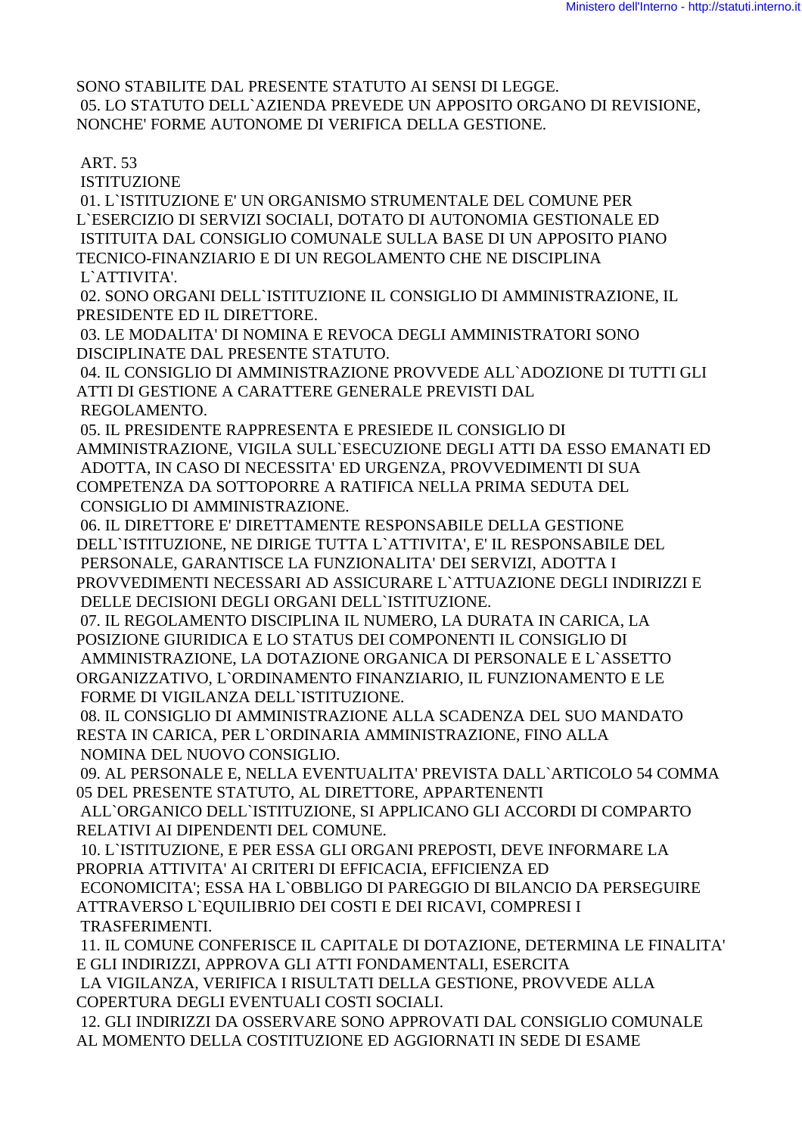SONO STABILITE DAL PRESENTE STATUTO AI SENSI DI LEGGE. 05. LO STATUTO DELL`AZIENDA PREVEDE UN APPOSITO ORGANO DI REVISIONE, NONCHE' FORME AUTONOME DI VERIFICA DELLA GESTIONE.

ART. 53

ISTITUZIONE

 01. L`ISTITUZIONE E' UN ORGANISMO STRUMENTALE DEL COMUNE PER L`ESERCIZIO DI SERVIZI SOCIALI, DOTATO DI AUTONOMIA GESTIONALE ED ISTITUITA DAL CONSIGLIO COMUNALE SULLA BASE DI UN APPOSITO PIANO TECNICO-FINANZIARIO E DI UN REGOLAMENTO CHE NE DISCIPLINA L`ATTIVITA'.

 02. SONO ORGANI DELL`ISTITUZIONE IL CONSIGLIO DI AMMINISTRAZIONE, IL PRESIDENTE ED IL DIRETTORE.

 03. LE MODALITA' DI NOMINA E REVOCA DEGLI AMMINISTRATORI SONO DISCIPLINATE DAL PRESENTE STATUTO.

 04. IL CONSIGLIO DI AMMINISTRAZIONE PROVVEDE ALL`ADOZIONE DI TUTTI GLI ATTI DI GESTIONE A CARATTERE GENERALE PREVISTI DAL REGOLAMENTO.

 05. IL PRESIDENTE RAPPRESENTA E PRESIEDE IL CONSIGLIO DI AMMINISTRAZIONE, VIGILA SULL`ESECUZIONE DEGLI ATTI DA ESSO EMANATI ED ADOTTA, IN CASO DI NECESSITA' ED URGENZA, PROVVEDIMENTI DI SUA COMPETENZA DA SOTTOPORRE A RATIFICA NELLA PRIMA SEDUTA DEL CONSIGLIO DI AMMINISTRAZIONE.

 06. IL DIRETTORE E' DIRETTAMENTE RESPONSABILE DELLA GESTIONE DELL`ISTITUZIONE, NE DIRIGE TUTTA L`ATTIVITA', E' IL RESPONSABILE DEL PERSONALE, GARANTISCE LA FUNZIONALITA' DEI SERVIZI, ADOTTA I PROVVEDIMENTI NECESSARI AD ASSICURARE L`ATTUAZIONE DEGLI INDIRIZZI E DELLE DECISIONI DEGLI ORGANI DELL`ISTITUZIONE.

 07. IL REGOLAMENTO DISCIPLINA IL NUMERO, LA DURATA IN CARICA, LA POSIZIONE GIURIDICA E LO STATUS DEI COMPONENTI IL CONSIGLIO DI AMMINISTRAZIONE, LA DOTAZIONE ORGANICA DI PERSONALE E L`ASSETTO ORGANIZZATIVO, L`ORDINAMENTO FINANZIARIO, IL FUNZIONAMENTO E LE FORME DI VIGILANZA DELL`ISTITUZIONE.

 08. IL CONSIGLIO DI AMMINISTRAZIONE ALLA SCADENZA DEL SUO MANDATO RESTA IN CARICA, PER L`ORDINARIA AMMINISTRAZIONE, FINO ALLA NOMINA DEL NUOVO CONSIGLIO.

 09. AL PERSONALE E, NELLA EVENTUALITA' PREVISTA DALL`ARTICOLO 54 COMMA 05 DEL PRESENTE STATUTO, AL DIRETTORE, APPARTENENTI

 ALL`ORGANICO DELL`ISTITUZIONE, SI APPLICANO GLI ACCORDI DI COMPARTO RELATIVI AI DIPENDENTI DEL COMUNE.

 10. L`ISTITUZIONE, E PER ESSA GLI ORGANI PREPOSTI, DEVE INFORMARE LA PROPRIA ATTIVITA' AI CRITERI DI EFFICACIA, EFFICIENZA ED ECONOMICITA'; ESSA HA L`OBBLIGO DI PAREGGIO DI BILANCIO DA PERSEGUIRE ATTRAVERSO L`EQUILIBRIO DEI COSTI E DEI RICAVI, COMPRESI I TRASFERIMENTI.

 11. IL COMUNE CONFERISCE IL CAPITALE DI DOTAZIONE, DETERMINA LE FINALITA' E GLI INDIRIZZI, APPROVA GLI ATTI FONDAMENTALI, ESERCITA

 LA VIGILANZA, VERIFICA I RISULTATI DELLA GESTIONE, PROVVEDE ALLA COPERTURA DEGLI EVENTUALI COSTI SOCIALI.

 12. GLI INDIRIZZI DA OSSERVARE SONO APPROVATI DAL CONSIGLIO COMUNALE AL MOMENTO DELLA COSTITUZIONE ED AGGIORNATI IN SEDE DI ESAME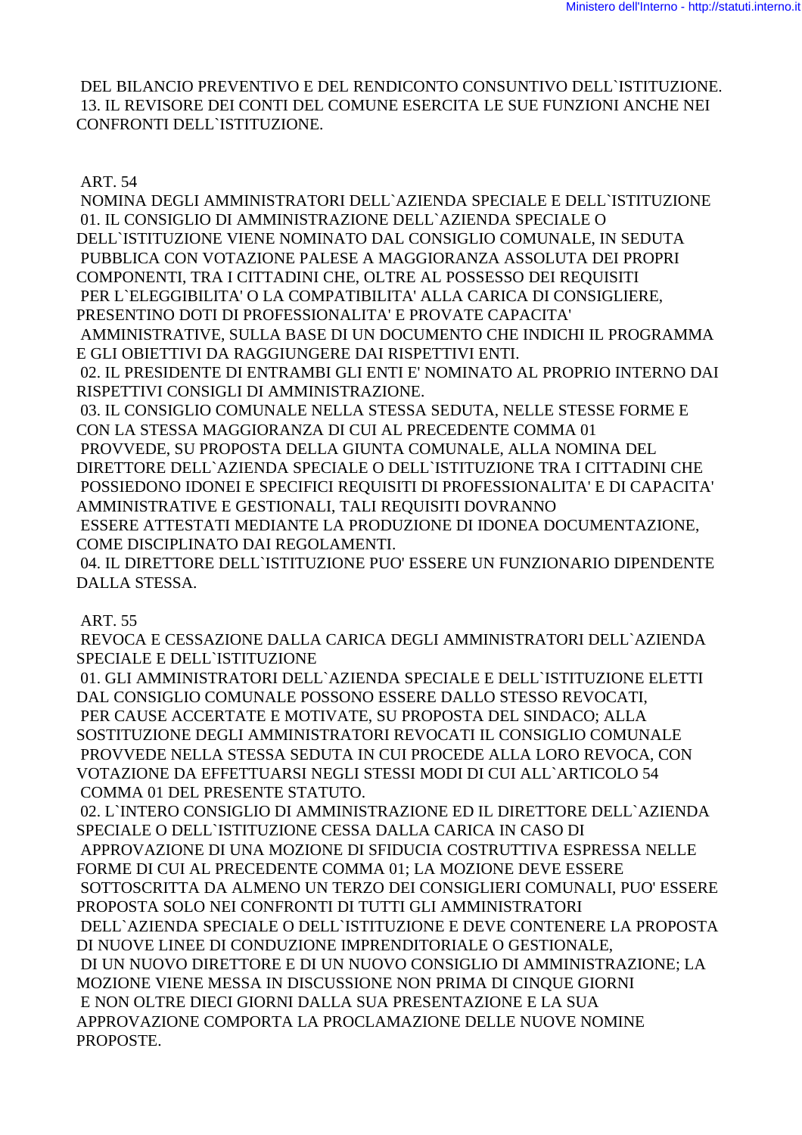DEL BILANCIO PREVENTIVO E DEL RENDICONTO CONSUNTIVO DELL'ISTITUZIONE. 13. IL REVISORE DEI CONTI DEL COMUNE ESERCITA LE SUE FUNZIONI ANCHE NEI CONFRONTI DELL'ISTITUZIONE.

**ART. 54** 

NOMINA DEGLI AMMINISTRATORI DELL`AZIENDA SPECIALE E DELL`ISTITUZIONE 01. IL CONSIGLIO DI AMMINISTRAZIONE DELL`AZIENDA SPECIALE O DELL'ISTITUZIONE VIENE NOMINATO DAL CONSIGLIO COMUNALE, IN SEDUTA PUBBLICA CON VOTAZIONE PALESE A MAGGIORANZA ASSOLUTA DEI PROPRI COMPONENTI, TRA I CITTADINI CHE, OLTRE AL POSSESSO DEI REQUISITI PER L'ELEGGIBILITA' O LA COMPATIBILITA' ALLA CARICA DI CONSIGLIERE. PRESENTINO DOTI DI PROFESSIONALITA' E PROVATE CAPACITA'

AMMINISTRATIVE, SULLA BASE DI UN DOCUMENTO CHE INDICHI IL PROGRAMMA E GLI OBIETTIVI DA RAGGIUNGERE DAI RISPETTIVI ENTI.

02. IL PRESIDENTE DI ENTRAMBI GLI ENTI E' NOMINATO AL PROPRIO INTERNO DAI RISPETTIVI CONSIGLI DI AMMINISTRAZIONE.

03. IL CONSIGLIO COMUNALE NELLA STESSA SEDUTA, NELLE STESSE FORME E CON LA STESSA MAGGIORANZA DI CUI AL PRECEDENTE COMMA 01

PROVVEDE, SU PROPOSTA DELLA GIUNTA COMUNALE, ALLA NOMINA DEL DIRETTORE DELL`AZIENDA SPECIALE O DELL`ISTITUZIONE TRA I CITTADINI CHE POSSIEDONO IDONEI E SPECIFICI REQUISITI DI PROFESSIONALITA' E DI CAPACITA' AMMINISTRATIVE E GESTIONALI, TALI REQUISITI DOVRANNO

ESSERE ATTESTATI MEDIANTE LA PRODUZIONE DI IDONEA DOCUMENTAZIONE. COME DISCIPLINATO DAI REGOLAMENTI.

04. IL DIRETTORE DELL'ISTITUZIONE PUO' ESSERE UN FUNZIONARIO DIPENDENTE DALLA STESSA.

**ART. 55** 

REVOCA E CESSAZIONE DALLA CARICA DEGLI AMMINISTRATORI DELL`AZIENDA SPECIALE E DELL'ISTITUZIONE

01. GLI AMMINISTRATORI DELL`AZIENDA SPECIALE E DELL`ISTITUZIONE ELETTI DAL CONSIGLIO COMUNALE POSSONO ESSERE DALLO STESSO REVOCATI, PER CAUSE ACCERTATE E MOTIVATE, SU PROPOSTA DEL SINDACO; ALLA SOSTITUZIONE DEGLI AMMINISTRATORI REVOCATI IL CONSIGLIO COMUNALE PROVVEDE NELLA STESSA SEDUTA IN CUI PROCEDE ALLA LORO REVOCA, CON VOTAZIONE DA EFFETTUARSI NEGLI STESSI MODI DI CUI ALL`ARTICOLO 54 COMMA 01 DEL PRESENTE STATUTO.

02. L'INTERO CONSIGLIO DI AMMINISTRAZIONE ED IL DIRETTORE DELL'AZIENDA SPECIALE O DELL'ISTITUZIONE CESSA DALLA CARICA IN CASO DI APPROVAZIONE DI UNA MOZIONE DI SFIDUCIA COSTRUTTIVA ESPRESSA NELLE FORME DI CUI AL PRECEDENTE COMMA 01; LA MOZIONE DEVE ESSERE SOTTOSCRITTA DA ALMENO UN TERZO DEI CONSIGLIERI COMUNALI, PUO' ESSERE PROPOSTA SOLO NEI CONFRONTI DI TUTTI GLI AMMINISTRATORI DELL'AZIENDA SPECIALE O DELL'ISTITUZIONE E DEVE CONTENERE LA PROPOSTA DI NUOVE LINEE DI CONDUZIONE IMPRENDITORIALE O GESTIONALE. DI UN NUOVO DIRETTORE E DI UN NUOVO CONSIGLIO DI AMMINISTRAZIONE; LA MOZIONE VIENE MESSA IN DISCUSSIONE NON PRIMA DI CINOUE GIORNI E NON OLTRE DIECI GIORNI DALLA SUA PRESENTAZIONE E LA SUA APPROVAZIONE COMPORTA LA PROCLAMAZIONE DELLE NUOVE NOMINE PROPOSTE.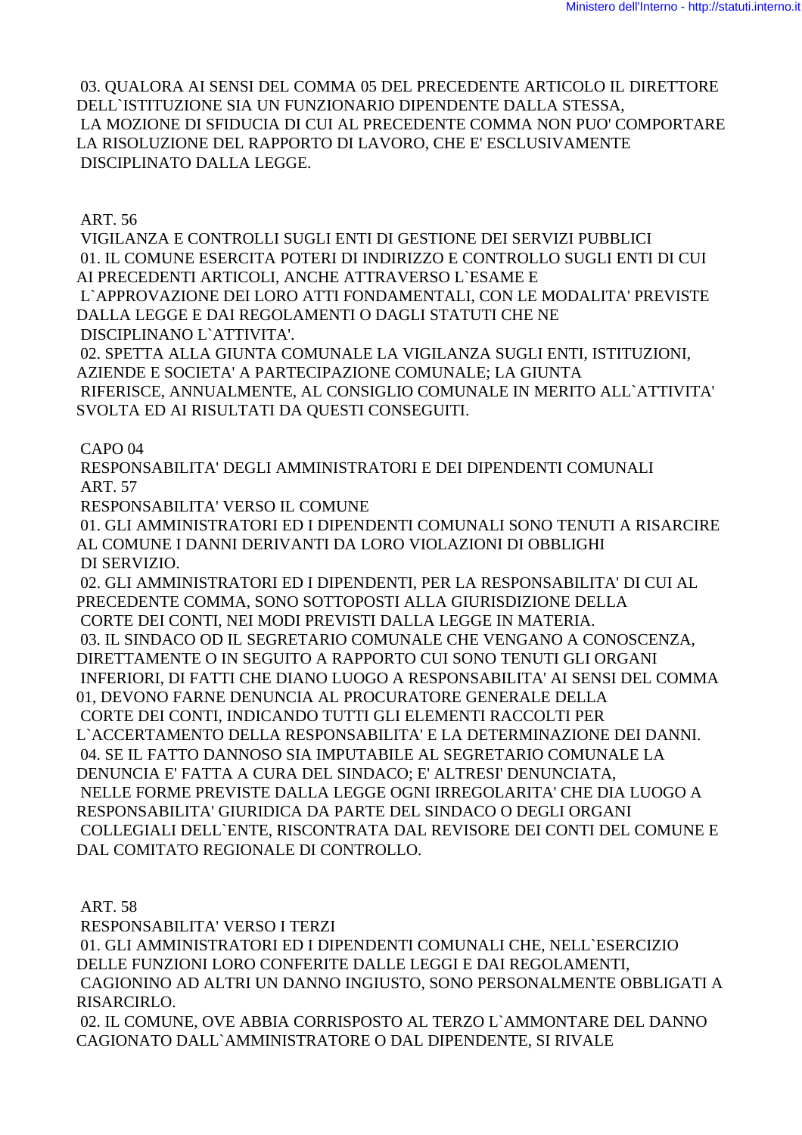03. QUALORA AI SENSI DEL COMMA 05 DEL PRECEDENTE ARTICOLO IL DIRETTORE DELL`ISTITUZIONE SIA UN FUNZIONARIO DIPENDENTE DALLA STESSA, LA MOZIONE DI SFIDUCIA DI CUI AL PRECEDENTE COMMA NON PUO' COMPORTARE LA RISOLUZIONE DEL RAPPORTO DI LAVORO, CHE E' ESCLUSIVAMENTE DISCIPLINATO DALLA LEGGE.

ART. 56

 VIGILANZA E CONTROLLI SUGLI ENTI DI GESTIONE DEI SERVIZI PUBBLICI 01. IL COMUNE ESERCITA POTERI DI INDIRIZZO E CONTROLLO SUGLI ENTI DI CUI AI PRECEDENTI ARTICOLI, ANCHE ATTRAVERSO L`ESAME E L`APPROVAZIONE DEI LORO ATTI FONDAMENTALI, CON LE MODALITA' PREVISTE DALLA LEGGE E DAI REGOLAMENTI O DAGLI STATUTI CHE NE DISCIPLINANO L`ATTIVITA'.

 02. SPETTA ALLA GIUNTA COMUNALE LA VIGILANZA SUGLI ENTI, ISTITUZIONI, AZIENDE E SOCIETA' A PARTECIPAZIONE COMUNALE; LA GIUNTA RIFERISCE, ANNUALMENTE, AL CONSIGLIO COMUNALE IN MERITO ALL`ATTIVITA' SVOLTA ED AI RISULTATI DA QUESTI CONSEGUITI.

CAPO 04

 RESPONSABILITA' DEGLI AMMINISTRATORI E DEI DIPENDENTI COMUNALI ART. 57

RESPONSABILITA' VERSO IL COMUNE

 01. GLI AMMINISTRATORI ED I DIPENDENTI COMUNALI SONO TENUTI A RISARCIRE AL COMUNE I DANNI DERIVANTI DA LORO VIOLAZIONI DI OBBLIGHI DI SERVIZIO.

 02. GLI AMMINISTRATORI ED I DIPENDENTI, PER LA RESPONSABILITA' DI CUI AL PRECEDENTE COMMA, SONO SOTTOPOSTI ALLA GIURISDIZIONE DELLA CORTE DEI CONTI, NEI MODI PREVISTI DALLA LEGGE IN MATERIA. 03. IL SINDACO OD IL SEGRETARIO COMUNALE CHE VENGANO A CONOSCENZA, DIRETTAMENTE O IN SEGUITO A RAPPORTO CUI SONO TENUTI GLI ORGANI INFERIORI, DI FATTI CHE DIANO LUOGO A RESPONSABILITA' AI SENSI DEL COMMA 01, DEVONO FARNE DENUNCIA AL PROCURATORE GENERALE DELLA CORTE DEI CONTI, INDICANDO TUTTI GLI ELEMENTI RACCOLTI PER L`ACCERTAMENTO DELLA RESPONSABILITA' E LA DETERMINAZIONE DEI DANNI. 04. SE IL FATTO DANNOSO SIA IMPUTABILE AL SEGRETARIO COMUNALE LA DENUNCIA E' FATTA A CURA DEL SINDACO; E' ALTRESI' DENUNCIATA, NELLE FORME PREVISTE DALLA LEGGE OGNI IRREGOLARITA' CHE DIA LUOGO A RESPONSABILITA' GIURIDICA DA PARTE DEL SINDACO O DEGLI ORGANI COLLEGIALI DELL`ENTE, RISCONTRATA DAL REVISORE DEI CONTI DEL COMUNE E DAL COMITATO REGIONALE DI CONTROLLO.

ART. 58

RESPONSABILITA' VERSO I TERZI

 01. GLI AMMINISTRATORI ED I DIPENDENTI COMUNALI CHE, NELL`ESERCIZIO DELLE FUNZIONI LORO CONFERITE DALLE LEGGI E DAI REGOLAMENTI, CAGIONINO AD ALTRI UN DANNO INGIUSTO, SONO PERSONALMENTE OBBLIGATI A RISARCIRLO.

 02. IL COMUNE, OVE ABBIA CORRISPOSTO AL TERZO L`AMMONTARE DEL DANNO CAGIONATO DALL`AMMINISTRATORE O DAL DIPENDENTE, SI RIVALE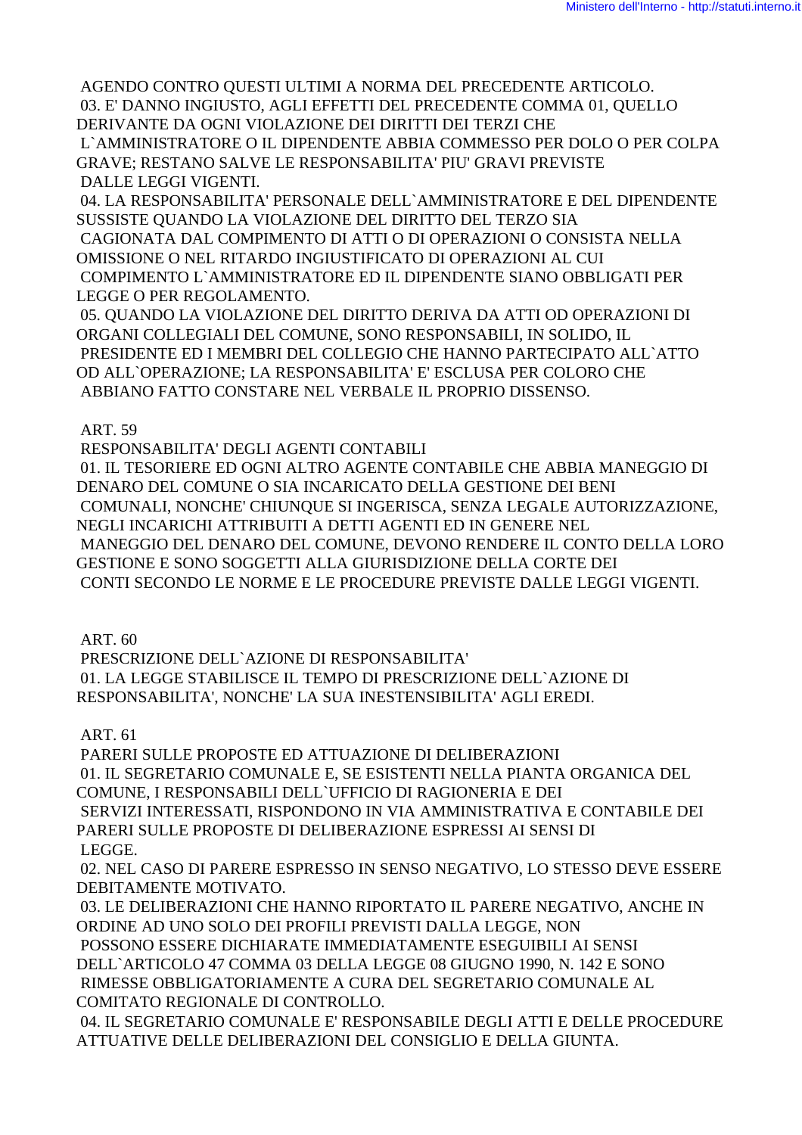AGENDO CONTRO QUESTI ULTIMI A NORMA DEL PRECEDENTE ARTICOLO. 03. E' DANNO INGIUSTO, AGLI EFFETTI DEL PRECEDENTE COMMA 01, QUELLO DERIVANTE DA OGNI VIOLAZIONE DEI DIRITTI DEI TERZI CHE L`AMMINISTRATORE O IL DIPENDENTE ABBIA COMMESSO PER DOLO O PER COLPA GRAVE; RESTANO SALVE LE RESPONSABILITA' PIU' GRAVI PREVISTE DALLE LEGGI VIGENTI.

 04. LA RESPONSABILITA' PERSONALE DELL`AMMINISTRATORE E DEL DIPENDENTE SUSSISTE QUANDO LA VIOLAZIONE DEL DIRITTO DEL TERZO SIA CAGIONATA DAL COMPIMENTO DI ATTI O DI OPERAZIONI O CONSISTA NELLA

OMISSIONE O NEL RITARDO INGIUSTIFICATO DI OPERAZIONI AL CUI COMPIMENTO L`AMMINISTRATORE ED IL DIPENDENTE SIANO OBBLIGATI PER LEGGE O PER REGOLAMENTO.

 05. QUANDO LA VIOLAZIONE DEL DIRITTO DERIVA DA ATTI OD OPERAZIONI DI ORGANI COLLEGIALI DEL COMUNE, SONO RESPONSABILI, IN SOLIDO, IL PRESIDENTE ED I MEMBRI DEL COLLEGIO CHE HANNO PARTECIPATO ALL`ATTO OD ALL`OPERAZIONE; LA RESPONSABILITA' E' ESCLUSA PER COLORO CHE ABBIANO FATTO CONSTARE NEL VERBALE IL PROPRIO DISSENSO.

## ART. 59

 RESPONSABILITA' DEGLI AGENTI CONTABILI 01. IL TESORIERE ED OGNI ALTRO AGENTE CONTABILE CHE ABBIA MANEGGIO DI DENARO DEL COMUNE O SIA INCARICATO DELLA GESTIONE DEI BENI COMUNALI, NONCHE' CHIUNQUE SI INGERISCA, SENZA LEGALE AUTORIZZAZIONE, NEGLI INCARICHI ATTRIBUITI A DETTI AGENTI ED IN GENERE NEL MANEGGIO DEL DENARO DEL COMUNE, DEVONO RENDERE IL CONTO DELLA LORO GESTIONE E SONO SOGGETTI ALLA GIURISDIZIONE DELLA CORTE DEI CONTI SECONDO LE NORME E LE PROCEDURE PREVISTE DALLE LEGGI VIGENTI.

ART. 60

 PRESCRIZIONE DELL`AZIONE DI RESPONSABILITA' 01. LA LEGGE STABILISCE IL TEMPO DI PRESCRIZIONE DELL`AZIONE DI RESPONSABILITA', NONCHE' LA SUA INESTENSIBILITA' AGLI EREDI.

## ART. 61

 PARERI SULLE PROPOSTE ED ATTUAZIONE DI DELIBERAZIONI 01. IL SEGRETARIO COMUNALE E, SE ESISTENTI NELLA PIANTA ORGANICA DEL COMUNE, I RESPONSABILI DELL`UFFICIO DI RAGIONERIA E DEI SERVIZI INTERESSATI, RISPONDONO IN VIA AMMINISTRATIVA E CONTABILE DEI PARERI SULLE PROPOSTE DI DELIBERAZIONE ESPRESSI AI SENSI DI LEGGE.

 02. NEL CASO DI PARERE ESPRESSO IN SENSO NEGATIVO, LO STESSO DEVE ESSERE DEBITAMENTE MOTIVATO.

 03. LE DELIBERAZIONI CHE HANNO RIPORTATO IL PARERE NEGATIVO, ANCHE IN ORDINE AD UNO SOLO DEI PROFILI PREVISTI DALLA LEGGE, NON

 POSSONO ESSERE DICHIARATE IMMEDIATAMENTE ESEGUIBILI AI SENSI DELL`ARTICOLO 47 COMMA 03 DELLA LEGGE 08 GIUGNO 1990, N. 142 E SONO RIMESSE OBBLIGATORIAMENTE A CURA DEL SEGRETARIO COMUNALE AL COMITATO REGIONALE DI CONTROLLO.

 04. IL SEGRETARIO COMUNALE E' RESPONSABILE DEGLI ATTI E DELLE PROCEDURE ATTUATIVE DELLE DELIBERAZIONI DEL CONSIGLIO E DELLA GIUNTA.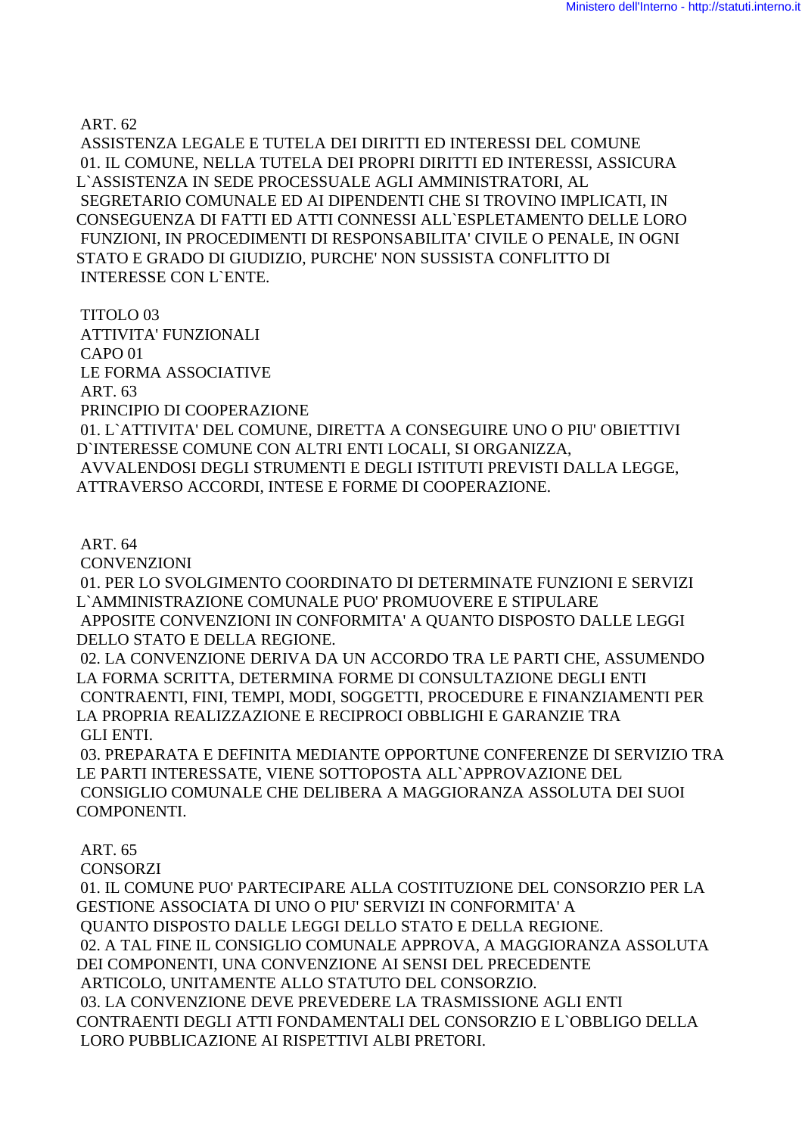ART. 62

 ASSISTENZA LEGALE E TUTELA DEI DIRITTI ED INTERESSI DEL COMUNE 01. IL COMUNE, NELLA TUTELA DEI PROPRI DIRITTI ED INTERESSI, ASSICURA L`ASSISTENZA IN SEDE PROCESSUALE AGLI AMMINISTRATORI, AL SEGRETARIO COMUNALE ED AI DIPENDENTI CHE SI TROVINO IMPLICATI, IN CONSEGUENZA DI FATTI ED ATTI CONNESSI ALL`ESPLETAMENTO DELLE LORO FUNZIONI, IN PROCEDIMENTI DI RESPONSABILITA' CIVILE O PENALE, IN OGNI STATO E GRADO DI GIUDIZIO, PURCHE' NON SUSSISTA CONFLITTO DI INTERESSE CON L`ENTE.

 TITOLO 03 ATTIVITA' FUNZIONALI CAPO 01 LE FORMA ASSOCIATIVE ART. 63 PRINCIPIO DI COOPERAZIONE 01. L`ATTIVITA' DEL COMUNE, DIRETTA A CONSEGUIRE UNO O PIU' OBIETTIVI D`INTERESSE COMUNE CON ALTRI ENTI LOCALI, SI ORGANIZZA, AVVALENDOSI DEGLI STRUMENTI E DEGLI ISTITUTI PREVISTI DALLA LEGGE, ATTRAVERSO ACCORDI, INTESE E FORME DI COOPERAZIONE.

ART. 64

CONVENZIONI

 01. PER LO SVOLGIMENTO COORDINATO DI DETERMINATE FUNZIONI E SERVIZI L`AMMINISTRAZIONE COMUNALE PUO' PROMUOVERE E STIPULARE APPOSITE CONVENZIONI IN CONFORMITA' A QUANTO DISPOSTO DALLE LEGGI DELLO STATO E DELLA REGIONE.

 02. LA CONVENZIONE DERIVA DA UN ACCORDO TRA LE PARTI CHE, ASSUMENDO LA FORMA SCRITTA, DETERMINA FORME DI CONSULTAZIONE DEGLI ENTI CONTRAENTI, FINI, TEMPI, MODI, SOGGETTI, PROCEDURE E FINANZIAMENTI PER LA PROPRIA REALIZZAZIONE E RECIPROCI OBBLIGHI E GARANZIE TRA GLI ENTI.

 03. PREPARATA E DEFINITA MEDIANTE OPPORTUNE CONFERENZE DI SERVIZIO TRA LE PARTI INTERESSATE, VIENE SOTTOPOSTA ALL`APPROVAZIONE DEL CONSIGLIO COMUNALE CHE DELIBERA A MAGGIORANZA ASSOLUTA DEI SUOI COMPONENTI.

## ART. 65

**CONSORZI** 

 01. IL COMUNE PUO' PARTECIPARE ALLA COSTITUZIONE DEL CONSORZIO PER LA GESTIONE ASSOCIATA DI UNO O PIU' SERVIZI IN CONFORMITA' A QUANTO DISPOSTO DALLE LEGGI DELLO STATO E DELLA REGIONE. 02. A TAL FINE IL CONSIGLIO COMUNALE APPROVA, A MAGGIORANZA ASSOLUTA DEI COMPONENTI, UNA CONVENZIONE AI SENSI DEL PRECEDENTE ARTICOLO, UNITAMENTE ALLO STATUTO DEL CONSORZIO. 03. LA CONVENZIONE DEVE PREVEDERE LA TRASMISSIONE AGLI ENTI CONTRAENTI DEGLI ATTI FONDAMENTALI DEL CONSORZIO E L`OBBLIGO DELLA LORO PUBBLICAZIONE AI RISPETTIVI ALBI PRETORI.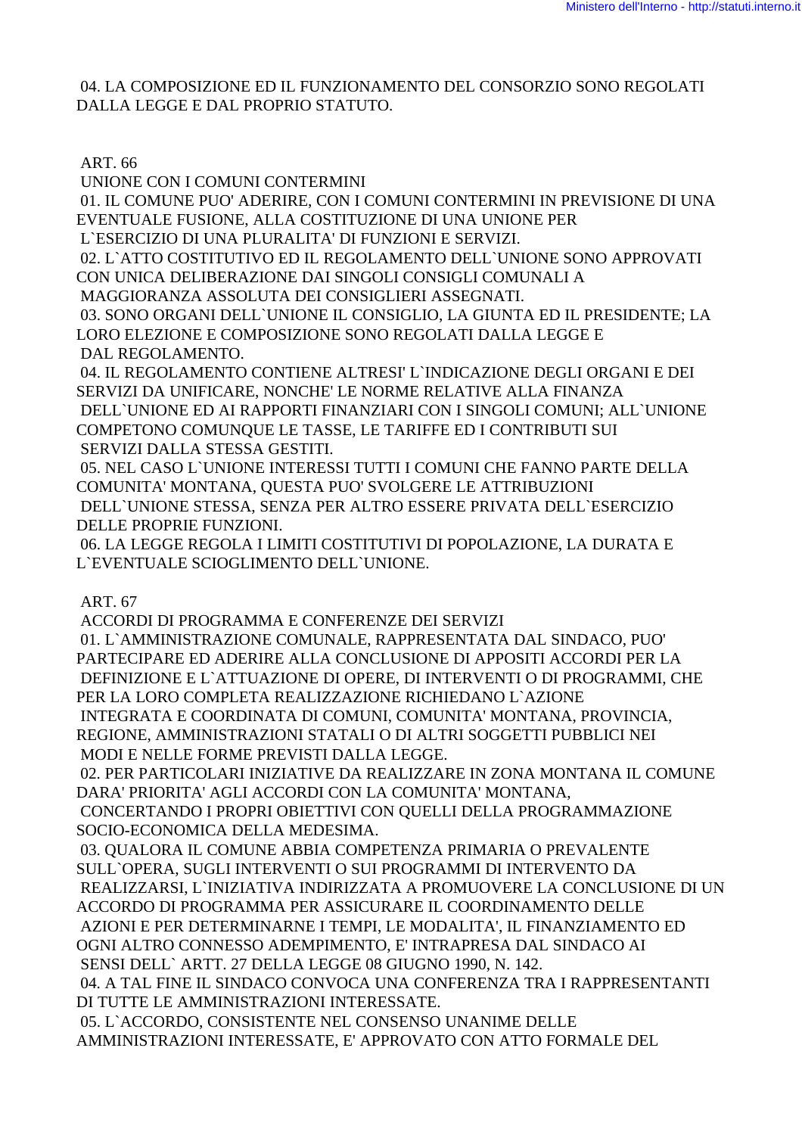04. LA COMPOSIZIONE ED IL FUNZIONAMENTO DEL CONSORZIO SONO REGOLATI DALLA LEGGE E DAL PROPRIO STATUTO.

## ART. 66

UNIONE CON I COMUNI CONTERMINI

01. IL COMUNE PUO' ADERIRE. CON I COMUNI CONTERMINI IN PREVISIONE DI UNA EVENTUALE FUSIONE, ALLA COSTITUZIONE DI UNA UNIONE PER

L'ESERCIZIO DI UNA PLURALITA' DI FUNZIONI E SERVIZI.

02. L'ATTO COSTITUTIVO ED IL REGOLAMENTO DELL'UNIONE SONO APPROVATI CON UNICA DELIBERAZIONE DAI SINGOLI CONSIGLI COMUNALI A

MAGGIORANZA ASSOLUTA DEI CONSIGLIERI ASSEGNATI.

03. SONO ORGANI DELL'UNIONE IL CONSIGLIO, LA GIUNTA ED IL PRESIDENTE; LA LORO ELEZIONE E COMPOSIZIONE SONO REGOLATI DALLA LEGGE E DAL REGOLAMENTO.

04. IL REGOLAMENTO CONTIENE ALTRESI' L'INDICAZIONE DEGLI ORGANI E DEI SERVIZI DA UNIFICARE, NONCHE' LE NORME RELATIVE ALLA FINANZA DELL'UNIONE ED AI RAPPORTI FINANZIARI CON I SINGOLI COMUNI; ALL'UNIONE COMPETONO COMUNQUE LE TASSE, LE TARIFFE ED I CONTRIBUTI SUI SERVIZI DALLA STESSA GESTITI.

05. NEL CASO L'UNIONE INTERESSI TUTTI I COMUNI CHE FANNO PARTE DELLA COMUNITA' MONTANA, QUESTA PUO' SVOLGERE LE ATTRIBUZIONI DELL'UNIONE STESSA, SENZA PER ALTRO ESSERE PRIVATA DELL'ESERCIZIO DELLE PROPRIE FUNZIONI.

06. LA LEGGE REGOLA I LIMITI COSTITUTIVI DI POPOLAZIONE, LA DURATA E L'EVENTUALE SCIOGLIMENTO DELL'UNIONE.

**ART. 67** 

ACCORDI DI PROGRAMMA E CONFERENZE DEI SERVIZI 01. L'AMMINISTRAZIONE COMUNALE. RAPPRESENTATA DAL SINDACO. PUO' PARTECIPARE ED ADERIRE ALLA CONCLUSIONE DI APPOSITI ACCORDI PER LA DEFINIZIONE E L'ATTUAZIONE DI OPERE, DI INTERVENTI O DI PROGRAMMI, CHE PER LA LORO COMPLETA REALIZZAZIONE RICHIEDANO L'AZIONE INTEGRATA E COORDINATA DI COMUNI, COMUNITA' MONTANA, PROVINCIA, REGIONE, AMMINISTRAZIONI STATALI O DI ALTRI SOGGETTI PUBBLICI NEI MODI E NELLE FORME PREVISTI DALLA LEGGE.

02. PER PARTICOLARI INIZIATIVE DA REALIZZARE IN ZONA MONTANA IL COMUNE DARA' PRIORITA' AGLI ACCORDI CON LA COMUNITA' MONTANA.

CONCERTANDO I PROPRI OBIETTIVI CON OUELLI DELLA PROGRAMMAZIONE SOCIO-ECONOMICA DELLA MEDESIMA.

03. QUALORA IL COMUNE ABBIA COMPETENZA PRIMARIA O PREVALENTE SULL'OPERA, SUGLI INTERVENTI O SUI PROGRAMMI DI INTERVENTO DA REALIZZARSI, L'INIZIATIVA INDIRIZZATA A PROMUOVERE LA CONCLUSIONE DI UN ACCORDO DI PROGRAMMA PER ASSICURARE IL COORDINAMENTO DELLE AZIONI E PER DETERMINARNE I TEMPI, LE MODALITA', IL FINANZIAMENTO ED OGNI ALTRO CONNESSO ADEMPIMENTO, E' INTRAPRESA DAL SINDACO AI SENSI DELL` ARTT. 27 DELLA LEGGE 08 GIUGNO 1990, N. 142. 04. A TAL FINE IL SINDACO CONVOCA UNA CONFERENZA TRA I RAPPRESENTANTI DI TUTTE LE AMMINISTRAZIONI INTERESSATE.

05. L'ACCORDO, CONSISTENTE NEL CONSENSO UNANIME DELLE AMMINISTRAZIONI INTERESSATE, E' APPROVATO CON ATTO FORMALE DEL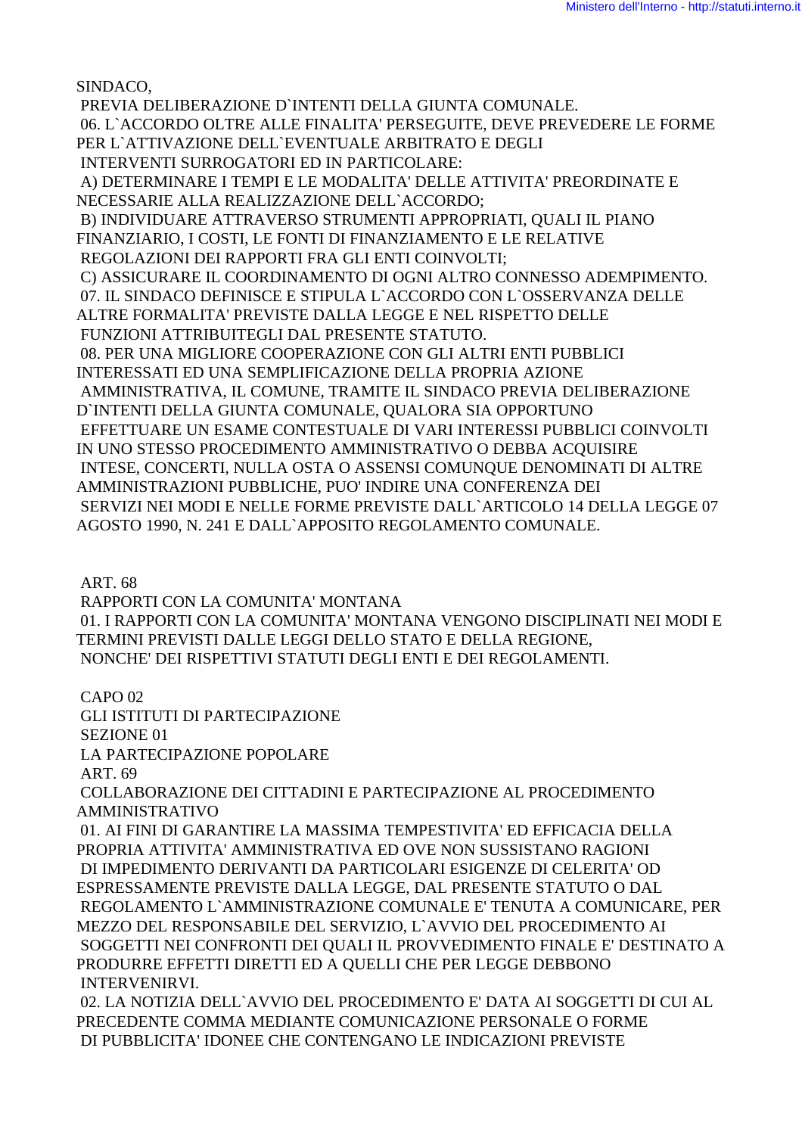SINDACO,

 PREVIA DELIBERAZIONE D`INTENTI DELLA GIUNTA COMUNALE. 06. L`ACCORDO OLTRE ALLE FINALITA' PERSEGUITE, DEVE PREVEDERE LE FORME PER L`ATTIVAZIONE DELL`EVENTUALE ARBITRATO E DEGLI INTERVENTI SURROGATORI ED IN PARTICOLARE: A) DETERMINARE I TEMPI E LE MODALITA' DELLE ATTIVITA' PREORDINATE E NECESSARIE ALLA REALIZZAZIONE DELL`ACCORDO; B) INDIVIDUARE ATTRAVERSO STRUMENTI APPROPRIATI, QUALI IL PIANO FINANZIARIO, I COSTI, LE FONTI DI FINANZIAMENTO E LE RELATIVE REGOLAZIONI DEI RAPPORTI FRA GLI ENTI COINVOLTI; C) ASSICURARE IL COORDINAMENTO DI OGNI ALTRO CONNESSO ADEMPIMENTO. 07. IL SINDACO DEFINISCE E STIPULA L`ACCORDO CON L`OSSERVANZA DELLE ALTRE FORMALITA' PREVISTE DALLA LEGGE E NEL RISPETTO DELLE FUNZIONI ATTRIBUITEGLI DAL PRESENTE STATUTO. 08. PER UNA MIGLIORE COOPERAZIONE CON GLI ALTRI ENTI PUBBLICI INTERESSATI ED UNA SEMPLIFICAZIONE DELLA PROPRIA AZIONE AMMINISTRATIVA, IL COMUNE, TRAMITE IL SINDACO PREVIA DELIBERAZIONE D`INTENTI DELLA GIUNTA COMUNALE, QUALORA SIA OPPORTUNO EFFETTUARE UN ESAME CONTESTUALE DI VARI INTERESSI PUBBLICI COINVOLTI IN UNO STESSO PROCEDIMENTO AMMINISTRATIVO O DEBBA ACQUISIRE INTESE, CONCERTI, NULLA OSTA O ASSENSI COMUNQUE DENOMINATI DI ALTRE AMMINISTRAZIONI PUBBLICHE, PUO' INDIRE UNA CONFERENZA DEI SERVIZI NEI MODI E NELLE FORME PREVISTE DALL`ARTICOLO 14 DELLA LEGGE 07 AGOSTO 1990, N. 241 E DALL`APPOSITO REGOLAMENTO COMUNALE.

ART. 68

 RAPPORTI CON LA COMUNITA' MONTANA 01. I RAPPORTI CON LA COMUNITA' MONTANA VENGONO DISCIPLINATI NEI MODI E TERMINI PREVISTI DALLE LEGGI DELLO STATO E DELLA REGIONE, NONCHE' DEI RISPETTIVI STATUTI DEGLI ENTI E DEI REGOLAMENTI.

 CAPO 02 GLI ISTITUTI DI PARTECIPAZIONE SEZIONE 01 LA PARTECIPAZIONE POPOLARE ART. 69 COLLABORAZIONE DEI CITTADINI E PARTECIPAZIONE AL PROCEDIMENTO AMMINISTRATIVO 01. AI FINI DI GARANTIRE LA MASSIMA TEMPESTIVITA' ED EFFICACIA DELLA PROPRIA ATTIVITA' AMMINISTRATIVA ED OVE NON SUSSISTANO RAGIONI DI IMPEDIMENTO DERIVANTI DA PARTICOLARI ESIGENZE DI CELERITA' OD ESPRESSAMENTE PREVISTE DALLA LEGGE, DAL PRESENTE STATUTO O DAL REGOLAMENTO L`AMMINISTRAZIONE COMUNALE E' TENUTA A COMUNICARE, PER MEZZO DEL RESPONSABILE DEL SERVIZIO, L`AVVIO DEL PROCEDIMENTO AI SOGGETTI NEI CONFRONTI DEI QUALI IL PROVVEDIMENTO FINALE E' DESTINATO A PRODURRE EFFETTI DIRETTI ED A QUELLI CHE PER LEGGE DEBBONO INTERVENIRVI. 02. LA NOTIZIA DELL`AVVIO DEL PROCEDIMENTO E' DATA AI SOGGETTI DI CUI AL

PRECEDENTE COMMA MEDIANTE COMUNICAZIONE PERSONALE O FORME DI PUBBLICITA' IDONEE CHE CONTENGANO LE INDICAZIONI PREVISTE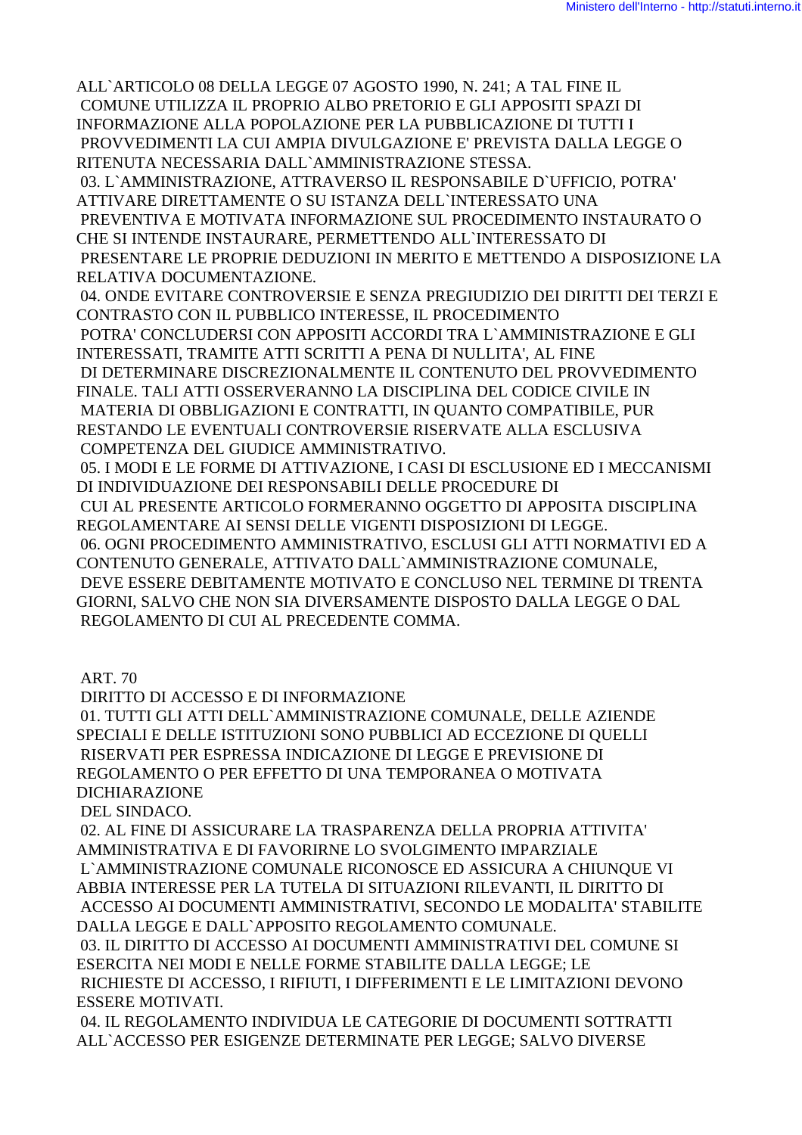ALL`ARTICOLO 08 DELLA LEGGE 07 AGOSTO 1990, N. 241; A TAL FINE IL COMUNE UTILIZZA IL PROPRIO ALBO PRETORIO E GLI APPOSITI SPAZI DI INFORMAZIONE ALLA POPOLAZIONE PER LA PUBBLICAZIONE DI TUTTI I PROVVEDIMENTI LA CUI AMPIA DIVULGAZIONE E' PREVISTA DALLA LEGGE O RITENUTA NECESSARIA DALL`AMMINISTRAZIONE STESSA. 03. L`AMMINISTRAZIONE, ATTRAVERSO IL RESPONSABILE D`UFFICIO, POTRA' ATTIVARE DIRETTAMENTE O SU ISTANZA DELL`INTERESSATO UNA PREVENTIVA E MOTIVATA INFORMAZIONE SUL PROCEDIMENTO INSTAURATO O CHE SI INTENDE INSTAURARE, PERMETTENDO ALL`INTERESSATO DI PRESENTARE LE PROPRIE DEDUZIONI IN MERITO E METTENDO A DISPOSIZIONE LA RELATIVA DOCUMENTAZIONE. 04. ONDE EVITARE CONTROVERSIE E SENZA PREGIUDIZIO DEI DIRITTI DEI TERZI E CONTRASTO CON IL PUBBLICO INTERESSE, IL PROCEDIMENTO POTRA' CONCLUDERSI CON APPOSITI ACCORDI TRA L`AMMINISTRAZIONE E GLI INTERESSATI, TRAMITE ATTI SCRITTI A PENA DI NULLITA', AL FINE DI DETERMINARE DISCREZIONALMENTE IL CONTENUTO DEL PROVVEDIMENTO FINALE. TALI ATTI OSSERVERANNO LA DISCIPLINA DEL CODICE CIVILE IN MATERIA DI OBBLIGAZIONI E CONTRATTI, IN QUANTO COMPATIBILE, PUR RESTANDO LE EVENTUALI CONTROVERSIE RISERVATE ALLA ESCLUSIVA COMPETENZA DEL GIUDICE AMMINISTRATIVO. 05. I MODI E LE FORME DI ATTIVAZIONE, I CASI DI ESCLUSIONE ED I MECCANISMI DI INDIVIDUAZIONE DEI RESPONSABILI DELLE PROCEDURE DI CUI AL PRESENTE ARTICOLO FORMERANNO OGGETTO DI APPOSITA DISCIPLINA REGOLAMENTARE AI SENSI DELLE VIGENTI DISPOSIZIONI DI LEGGE. 06. OGNI PROCEDIMENTO AMMINISTRATIVO, ESCLUSI GLI ATTI NORMATIVI ED A CONTENUTO GENERALE, ATTIVATO DALL`AMMINISTRAZIONE COMUNALE, DEVE ESSERE DEBITAMENTE MOTIVATO E CONCLUSO NEL TERMINE DI TRENTA GIORNI, SALVO CHE NON SIA DIVERSAMENTE DISPOSTO DALLA LEGGE O DAL REGOLAMENTO DI CUI AL PRECEDENTE COMMA.

ART. 70

DIRITTO DI ACCESSO E DI INFORMAZIONE

 01. TUTTI GLI ATTI DELL`AMMINISTRAZIONE COMUNALE, DELLE AZIENDE SPECIALI E DELLE ISTITUZIONI SONO PUBBLICI AD ECCEZIONE DI QUELLI RISERVATI PER ESPRESSA INDICAZIONE DI LEGGE E PREVISIONE DI REGOLAMENTO O PER EFFETTO DI UNA TEMPORANEA O MOTIVATA DICHIARAZIONE

DEL SINDACO.

 02. AL FINE DI ASSICURARE LA TRASPARENZA DELLA PROPRIA ATTIVITA' AMMINISTRATIVA E DI FAVORIRNE LO SVOLGIMENTO IMPARZIALE L`AMMINISTRAZIONE COMUNALE RICONOSCE ED ASSICURA A CHIUNQUE VI ABBIA INTERESSE PER LA TUTELA DI SITUAZIONI RILEVANTI, IL DIRITTO DI ACCESSO AI DOCUMENTI AMMINISTRATIVI, SECONDO LE MODALITA' STABILITE DALLA LEGGE E DALL`APPOSITO REGOLAMENTO COMUNALE.

 03. IL DIRITTO DI ACCESSO AI DOCUMENTI AMMINISTRATIVI DEL COMUNE SI ESERCITA NEI MODI E NELLE FORME STABILITE DALLA LEGGE; LE RICHIESTE DI ACCESSO, I RIFIUTI, I DIFFERIMENTI E LE LIMITAZIONI DEVONO ESSERE MOTIVATI.

 04. IL REGOLAMENTO INDIVIDUA LE CATEGORIE DI DOCUMENTI SOTTRATTI ALL`ACCESSO PER ESIGENZE DETERMINATE PER LEGGE; SALVO DIVERSE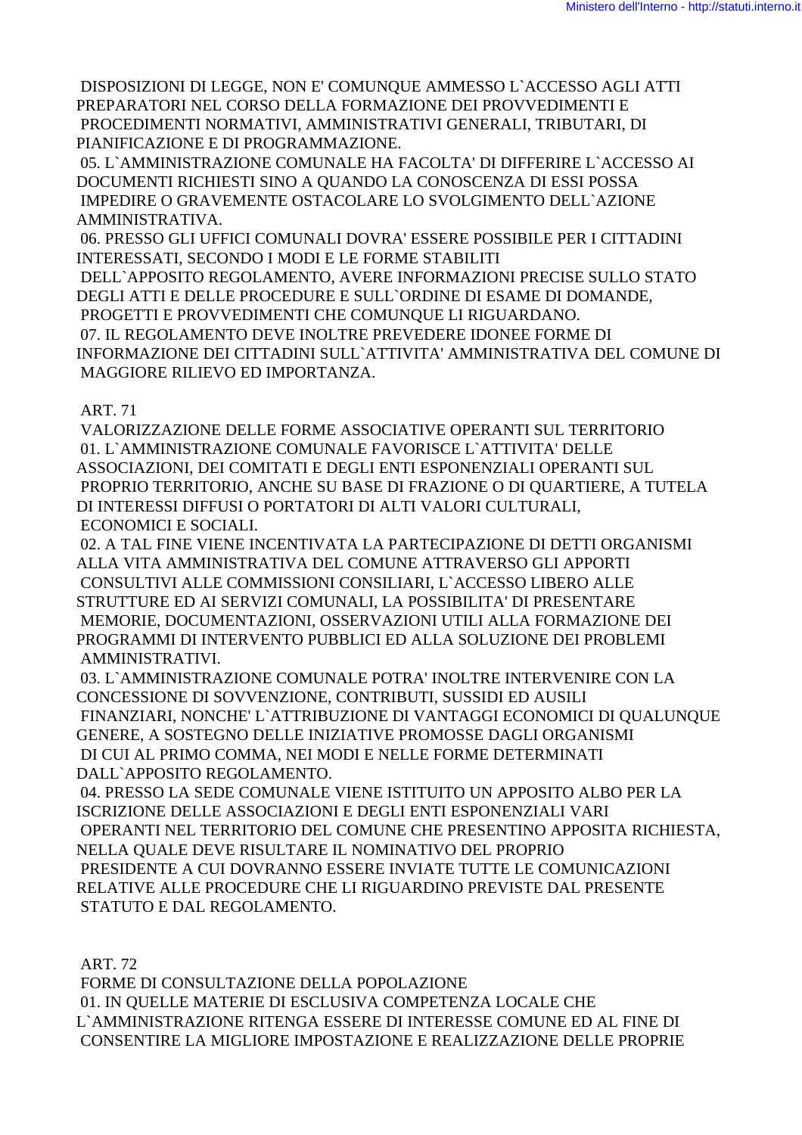DISPOSIZIONI DI LEGGE, NON E' COMUNQUE AMMESSO L`ACCESSO AGLI ATTI PREPARATORI NEL CORSO DELLA FORMAZIONE DEI PROVVEDIMENTI E PROCEDIMENTI NORMATIVI, AMMINISTRATIVI GENERALI, TRIBUTARI, DI PIANIFICAZIONE E DI PROGRAMMAZIONE.

 05. L`AMMINISTRAZIONE COMUNALE HA FACOLTA' DI DIFFERIRE L`ACCESSO AI DOCUMENTI RICHIESTI SINO A QUANDO LA CONOSCENZA DI ESSI POSSA IMPEDIRE O GRAVEMENTE OSTACOLARE LO SVOLGIMENTO DELL`AZIONE AMMINISTRATIVA.

 06. PRESSO GLI UFFICI COMUNALI DOVRA' ESSERE POSSIBILE PER I CITTADINI INTERESSATI, SECONDO I MODI E LE FORME STABILITI

 DELL`APPOSITO REGOLAMENTO, AVERE INFORMAZIONI PRECISE SULLO STATO DEGLI ATTI E DELLE PROCEDURE E SULL`ORDINE DI ESAME DI DOMANDE, PROGETTI E PROVVEDIMENTI CHE COMUNQUE LI RIGUARDANO. 07. IL REGOLAMENTO DEVE INOLTRE PREVEDERE IDONEE FORME DI INFORMAZIONE DEI CITTADINI SULL`ATTIVITA' AMMINISTRATIVA DEL COMUNE DI MAGGIORE RILIEVO ED IMPORTANZA.

## ART. 71

 VALORIZZAZIONE DELLE FORME ASSOCIATIVE OPERANTI SUL TERRITORIO 01. L`AMMINISTRAZIONE COMUNALE FAVORISCE L`ATTIVITA' DELLE ASSOCIAZIONI, DEI COMITATI E DEGLI ENTI ESPONENZIALI OPERANTI SUL PROPRIO TERRITORIO, ANCHE SU BASE DI FRAZIONE O DI QUARTIERE, A TUTELA DI INTERESSI DIFFUSI O PORTATORI DI ALTI VALORI CULTURALI, ECONOMICI E SOCIALI.

 02. A TAL FINE VIENE INCENTIVATA LA PARTECIPAZIONE DI DETTI ORGANISMI ALLA VITA AMMINISTRATIVA DEL COMUNE ATTRAVERSO GLI APPORTI CONSULTIVI ALLE COMMISSIONI CONSILIARI, L`ACCESSO LIBERO ALLE STRUTTURE ED AI SERVIZI COMUNALI, LA POSSIBILITA' DI PRESENTARE MEMORIE, DOCUMENTAZIONI, OSSERVAZIONI UTILI ALLA FORMAZIONE DEI PROGRAMMI DI INTERVENTO PUBBLICI ED ALLA SOLUZIONE DEI PROBLEMI AMMINISTRATIVI.

 03. L`AMMINISTRAZIONE COMUNALE POTRA' INOLTRE INTERVENIRE CON LA CONCESSIONE DI SOVVENZIONE, CONTRIBUTI, SUSSIDI ED AUSILI FINANZIARI, NONCHE' L`ATTRIBUZIONE DI VANTAGGI ECONOMICI DI QUALUNQUE GENERE, A SOSTEGNO DELLE INIZIATIVE PROMOSSE DAGLI ORGANISMI DI CUI AL PRIMO COMMA, NEI MODI E NELLE FORME DETERMINATI DALL`APPOSITO REGOLAMENTO.

 04. PRESSO LA SEDE COMUNALE VIENE ISTITUITO UN APPOSITO ALBO PER LA ISCRIZIONE DELLE ASSOCIAZIONI E DEGLI ENTI ESPONENZIALI VARI OPERANTI NEL TERRITORIO DEL COMUNE CHE PRESENTINO APPOSITA RICHIESTA, NELLA QUALE DEVE RISULTARE IL NOMINATIVO DEL PROPRIO PRESIDENTE A CUI DOVRANNO ESSERE INVIATE TUTTE LE COMUNICAZIONI RELATIVE ALLE PROCEDURE CHE LI RIGUARDINO PREVISTE DAL PRESENTE STATUTO E DAL REGOLAMENTO.

ART. 72

 FORME DI CONSULTAZIONE DELLA POPOLAZIONE 01. IN QUELLE MATERIE DI ESCLUSIVA COMPETENZA LOCALE CHE L`AMMINISTRAZIONE RITENGA ESSERE DI INTERESSE COMUNE ED AL FINE DI CONSENTIRE LA MIGLIORE IMPOSTAZIONE E REALIZZAZIONE DELLE PROPRIE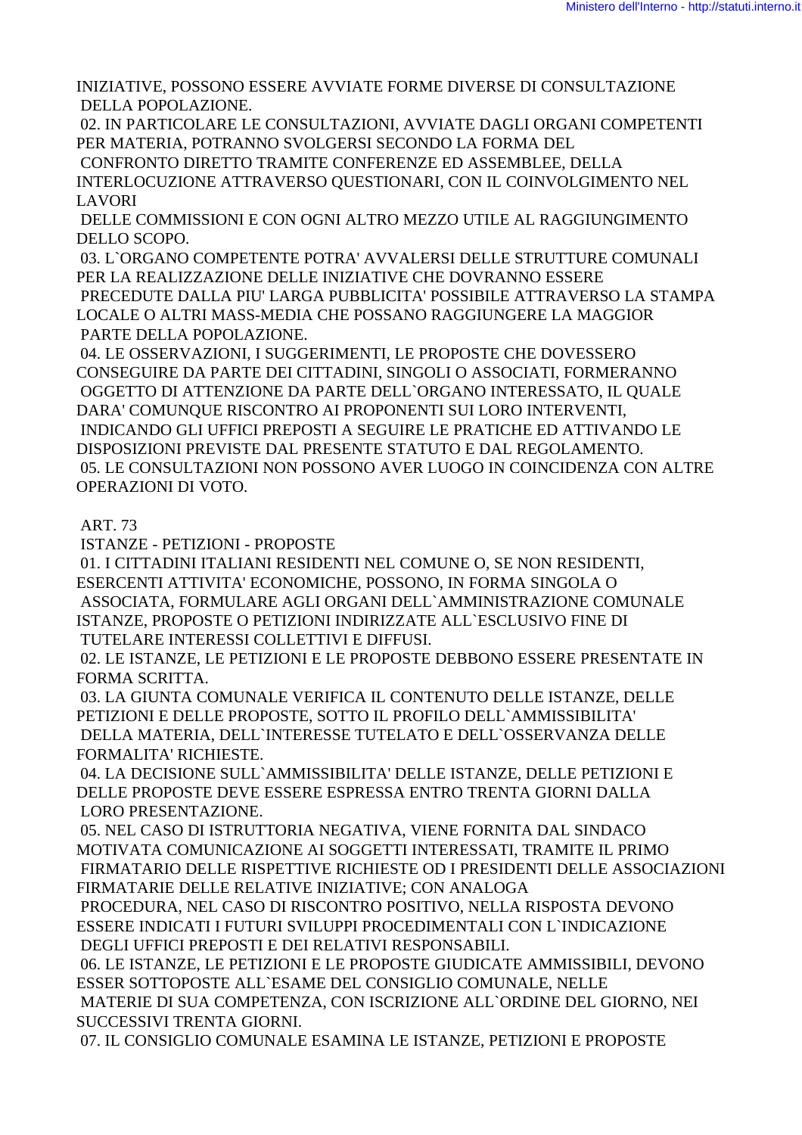INIZIATIVE, POSSONO ESSERE AVVIATE FORME DIVERSE DI CONSULTAZIONE DELLA POPOLAZIONE.

 02. IN PARTICOLARE LE CONSULTAZIONI, AVVIATE DAGLI ORGANI COMPETENTI PER MATERIA, POTRANNO SVOLGERSI SECONDO LA FORMA DEL

 CONFRONTO DIRETTO TRAMITE CONFERENZE ED ASSEMBLEE, DELLA INTERLOCUZIONE ATTRAVERSO QUESTIONARI, CON IL COINVOLGIMENTO NEL LAVORI

 DELLE COMMISSIONI E CON OGNI ALTRO MEZZO UTILE AL RAGGIUNGIMENTO DELLO SCOPO.

 03. L`ORGANO COMPETENTE POTRA' AVVALERSI DELLE STRUTTURE COMUNALI PER LA REALIZZAZIONE DELLE INIZIATIVE CHE DOVRANNO ESSERE PRECEDUTE DALLA PIU' LARGA PUBBLICITA' POSSIBILE ATTRAVERSO LA STAMPA LOCALE O ALTRI MASS-MEDIA CHE POSSANO RAGGIUNGERE LA MAGGIOR PARTE DELLA POPOLAZIONE.

 04. LE OSSERVAZIONI, I SUGGERIMENTI, LE PROPOSTE CHE DOVESSERO CONSEGUIRE DA PARTE DEI CITTADINI, SINGOLI O ASSOCIATI, FORMERANNO OGGETTO DI ATTENZIONE DA PARTE DELL`ORGANO INTERESSATO, IL QUALE DARA' COMUNQUE RISCONTRO AI PROPONENTI SUI LORO INTERVENTI, INDICANDO GLI UFFICI PREPOSTI A SEGUIRE LE PRATICHE ED ATTIVANDO LE DISPOSIZIONI PREVISTE DAL PRESENTE STATUTO E DAL REGOLAMENTO. 05. LE CONSULTAZIONI NON POSSONO AVER LUOGO IN COINCIDENZA CON ALTRE OPERAZIONI DI VOTO.

## ART. 73

ISTANZE - PETIZIONI - PROPOSTE

 01. I CITTADINI ITALIANI RESIDENTI NEL COMUNE O, SE NON RESIDENTI, ESERCENTI ATTIVITA' ECONOMICHE, POSSONO, IN FORMA SINGOLA O ASSOCIATA, FORMULARE AGLI ORGANI DELL`AMMINISTRAZIONE COMUNALE ISTANZE, PROPOSTE O PETIZIONI INDIRIZZATE ALL`ESCLUSIVO FINE DI TUTELARE INTERESSI COLLETTIVI E DIFFUSI.

 02. LE ISTANZE, LE PETIZIONI E LE PROPOSTE DEBBONO ESSERE PRESENTATE IN FORMA SCRITTA.

 03. LA GIUNTA COMUNALE VERIFICA IL CONTENUTO DELLE ISTANZE, DELLE PETIZIONI E DELLE PROPOSTE, SOTTO IL PROFILO DELL`AMMISSIBILITA' DELLA MATERIA, DELL`INTERESSE TUTELATO E DELL`OSSERVANZA DELLE FORMALITA' RICHIESTE.

 04. LA DECISIONE SULL`AMMISSIBILITA' DELLE ISTANZE, DELLE PETIZIONI E DELLE PROPOSTE DEVE ESSERE ESPRESSA ENTRO TRENTA GIORNI DALLA LORO PRESENTAZIONE.

 05. NEL CASO DI ISTRUTTORIA NEGATIVA, VIENE FORNITA DAL SINDACO MOTIVATA COMUNICAZIONE AI SOGGETTI INTERESSATI, TRAMITE IL PRIMO FIRMATARIO DELLE RISPETTIVE RICHIESTE OD I PRESIDENTI DELLE ASSOCIAZIONI FIRMATARIE DELLE RELATIVE INIZIATIVE; CON ANALOGA

 PROCEDURA, NEL CASO DI RISCONTRO POSITIVO, NELLA RISPOSTA DEVONO ESSERE INDICATI I FUTURI SVILUPPI PROCEDIMENTALI CON L`INDICAZIONE DEGLI UFFICI PREPOSTI E DEI RELATIVI RESPONSABILI.

 06. LE ISTANZE, LE PETIZIONI E LE PROPOSTE GIUDICATE AMMISSIBILI, DEVONO ESSER SOTTOPOSTE ALL`ESAME DEL CONSIGLIO COMUNALE, NELLE MATERIE DI SUA COMPETENZA, CON ISCRIZIONE ALL`ORDINE DEL GIORNO, NEI SUCCESSIVI TRENTA GIORNI.

07. IL CONSIGLIO COMUNALE ESAMINA LE ISTANZE, PETIZIONI E PROPOSTE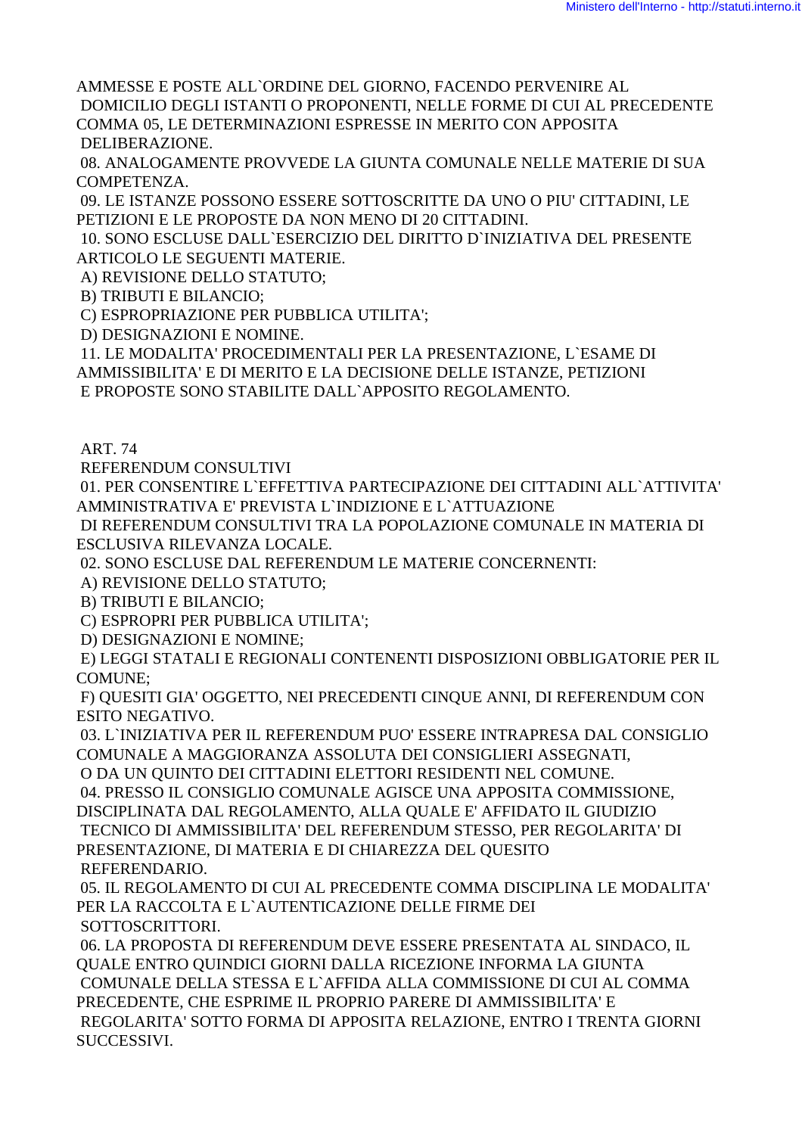AMMESSE E POSTE ALL`ORDINE DEL GIORNO, FACENDO PERVENIRE AL DOMICILIO DEGLI ISTANTI O PROPONENTI, NELLE FORME DI CUI AL PRECEDENTE COMMA 05, LE DETERMINAZIONI ESPRESSE IN MERITO CON APPOSITA

DELIBERAZIONE.

 08. ANALOGAMENTE PROVVEDE LA GIUNTA COMUNALE NELLE MATERIE DI SUA COMPETENZA.

 09. LE ISTANZE POSSONO ESSERE SOTTOSCRITTE DA UNO O PIU' CITTADINI, LE PETIZIONI E LE PROPOSTE DA NON MENO DI 20 CITTADINI.

 10. SONO ESCLUSE DALL`ESERCIZIO DEL DIRITTO D`INIZIATIVA DEL PRESENTE ARTICOLO LE SEGUENTI MATERIE.

A) REVISIONE DELLO STATUTO;

B) TRIBUTI E BILANCIO;

C) ESPROPRIAZIONE PER PUBBLICA UTILITA';

D) DESIGNAZIONI E NOMINE.

 11. LE MODALITA' PROCEDIMENTALI PER LA PRESENTAZIONE, L`ESAME DI AMMISSIBILITA' E DI MERITO E LA DECISIONE DELLE ISTANZE, PETIZIONI E PROPOSTE SONO STABILITE DALL`APPOSITO REGOLAMENTO.

ART. 74

REFERENDUM CONSULTIVI

 01. PER CONSENTIRE L`EFFETTIVA PARTECIPAZIONE DEI CITTADINI ALL`ATTIVITA' AMMINISTRATIVA E' PREVISTA L`INDIZIONE E L`ATTUAZIONE

 DI REFERENDUM CONSULTIVI TRA LA POPOLAZIONE COMUNALE IN MATERIA DI ESCLUSIVA RILEVANZA LOCALE.

02. SONO ESCLUSE DAL REFERENDUM LE MATERIE CONCERNENTI:

A) REVISIONE DELLO STATUTO;

B) TRIBUTI E BILANCIO;

C) ESPROPRI PER PUBBLICA UTILITA';

D) DESIGNAZIONI E NOMINE;

 E) LEGGI STATALI E REGIONALI CONTENENTI DISPOSIZIONI OBBLIGATORIE PER IL COMUNE;

 F) QUESITI GIA' OGGETTO, NEI PRECEDENTI CINQUE ANNI, DI REFERENDUM CON ESITO NEGATIVO.

 03. L`INIZIATIVA PER IL REFERENDUM PUO' ESSERE INTRAPRESA DAL CONSIGLIO COMUNALE A MAGGIORANZA ASSOLUTA DEI CONSIGLIERI ASSEGNATI,

O DA UN QUINTO DEI CITTADINI ELETTORI RESIDENTI NEL COMUNE.

04. PRESSO IL CONSIGLIO COMUNALE AGISCE UNA APPOSITA COMMISSIONE,

DISCIPLINATA DAL REGOLAMENTO, ALLA QUALE E' AFFIDATO IL GIUDIZIO TECNICO DI AMMISSIBILITA' DEL REFERENDUM STESSO, PER REGOLARITA' DI PRESENTAZIONE, DI MATERIA E DI CHIAREZZA DEL QUESITO REFERENDARIO.

 05. IL REGOLAMENTO DI CUI AL PRECEDENTE COMMA DISCIPLINA LE MODALITA' PER LA RACCOLTA E L`AUTENTICAZIONE DELLE FIRME DEI SOTTOSCRITTORI.

 06. LA PROPOSTA DI REFERENDUM DEVE ESSERE PRESENTATA AL SINDACO, IL QUALE ENTRO QUINDICI GIORNI DALLA RICEZIONE INFORMA LA GIUNTA COMUNALE DELLA STESSA E L`AFFIDA ALLA COMMISSIONE DI CUI AL COMMA PRECEDENTE, CHE ESPRIME IL PROPRIO PARERE DI AMMISSIBILITA' E REGOLARITA' SOTTO FORMA DI APPOSITA RELAZIONE, ENTRO I TRENTA GIORNI SUCCESSIVI.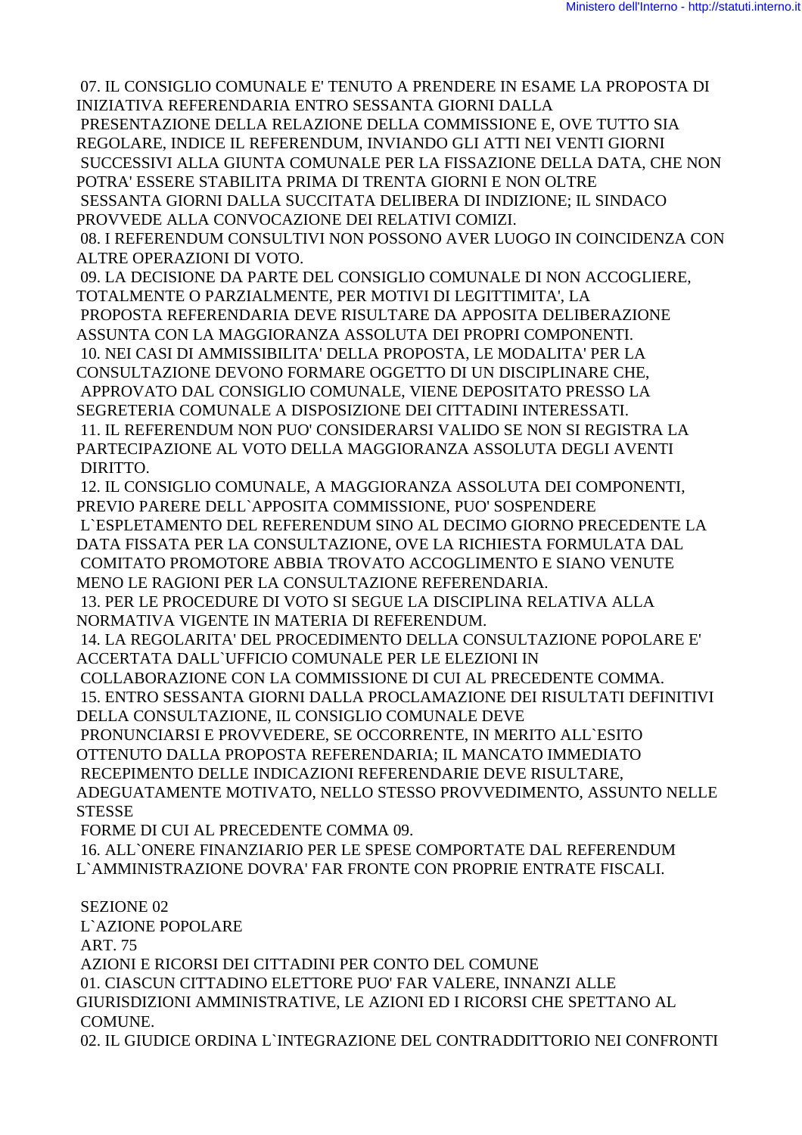07. IL CONSIGLIO COMUNALE E' TENUTO A PRENDERE IN ESAME LA PROPOSTA DI INIZIATIVA REFERENDARIA ENTRO SESSANTA GIORNI DALLA

 PRESENTAZIONE DELLA RELAZIONE DELLA COMMISSIONE E, OVE TUTTO SIA REGOLARE, INDICE IL REFERENDUM, INVIANDO GLI ATTI NEI VENTI GIORNI SUCCESSIVI ALLA GIUNTA COMUNALE PER LA FISSAZIONE DELLA DATA, CHE NON POTRA' ESSERE STABILITA PRIMA DI TRENTA GIORNI E NON OLTRE

 SESSANTA GIORNI DALLA SUCCITATA DELIBERA DI INDIZIONE; IL SINDACO PROVVEDE ALLA CONVOCAZIONE DEI RELATIVI COMIZI.

 08. I REFERENDUM CONSULTIVI NON POSSONO AVER LUOGO IN COINCIDENZA CON ALTRE OPERAZIONI DI VOTO.

 09. LA DECISIONE DA PARTE DEL CONSIGLIO COMUNALE DI NON ACCOGLIERE, TOTALMENTE O PARZIALMENTE, PER MOTIVI DI LEGITTIMITA', LA PROPOSTA REFERENDARIA DEVE RISULTARE DA APPOSITA DELIBERAZIONE

ASSUNTA CON LA MAGGIORANZA ASSOLUTA DEI PROPRI COMPONENTI.

 10. NEI CASI DI AMMISSIBILITA' DELLA PROPOSTA, LE MODALITA' PER LA CONSULTAZIONE DEVONO FORMARE OGGETTO DI UN DISCIPLINARE CHE, APPROVATO DAL CONSIGLIO COMUNALE, VIENE DEPOSITATO PRESSO LA

SEGRETERIA COMUNALE A DISPOSIZIONE DEI CITTADINI INTERESSATI.

 11. IL REFERENDUM NON PUO' CONSIDERARSI VALIDO SE NON SI REGISTRA LA PARTECIPAZIONE AL VOTO DELLA MAGGIORANZA ASSOLUTA DEGLI AVENTI DIRITTO.

 12. IL CONSIGLIO COMUNALE, A MAGGIORANZA ASSOLUTA DEI COMPONENTI, PREVIO PARERE DELL`APPOSITA COMMISSIONE, PUO' SOSPENDERE

 L`ESPLETAMENTO DEL REFERENDUM SINO AL DECIMO GIORNO PRECEDENTE LA DATA FISSATA PER LA CONSULTAZIONE, OVE LA RICHIESTA FORMULATA DAL COMITATO PROMOTORE ABBIA TROVATO ACCOGLIMENTO E SIANO VENUTE MENO LE RAGIONI PER LA CONSULTAZIONE REFERENDARIA.

 13. PER LE PROCEDURE DI VOTO SI SEGUE LA DISCIPLINA RELATIVA ALLA NORMATIVA VIGENTE IN MATERIA DI REFERENDUM.

 14. LA REGOLARITA' DEL PROCEDIMENTO DELLA CONSULTAZIONE POPOLARE E' ACCERTATA DALL`UFFICIO COMUNALE PER LE ELEZIONI IN

COLLABORAZIONE CON LA COMMISSIONE DI CUI AL PRECEDENTE COMMA.

 15. ENTRO SESSANTA GIORNI DALLA PROCLAMAZIONE DEI RISULTATI DEFINITIVI DELLA CONSULTAZIONE, IL CONSIGLIO COMUNALE DEVE

 PRONUNCIARSI E PROVVEDERE, SE OCCORRENTE, IN MERITO ALL`ESITO OTTENUTO DALLA PROPOSTA REFERENDARIA; IL MANCATO IMMEDIATO RECEPIMENTO DELLE INDICAZIONI REFERENDARIE DEVE RISULTARE, ADEGUATAMENTE MOTIVATO, NELLO STESSO PROVVEDIMENTO, ASSUNTO NELLE **STESSE** 

FORME DI CUI AL PRECEDENTE COMMA 09.

 16. ALL`ONERE FINANZIARIO PER LE SPESE COMPORTATE DAL REFERENDUM L`AMMINISTRAZIONE DOVRA' FAR FRONTE CON PROPRIE ENTRATE FISCALI.

 SEZIONE 02 L`AZIONE POPOLARE ART. 75 AZIONI E RICORSI DEI CITTADINI PER CONTO DEL COMUNE 01. CIASCUN CITTADINO ELETTORE PUO' FAR VALERE, INNANZI ALLE GIURISDIZIONI AMMINISTRATIVE, LE AZIONI ED I RICORSI CHE SPETTANO AL COMUNE. 02. IL GIUDICE ORDINA L`INTEGRAZIONE DEL CONTRADDITTORIO NEI CONFRONTI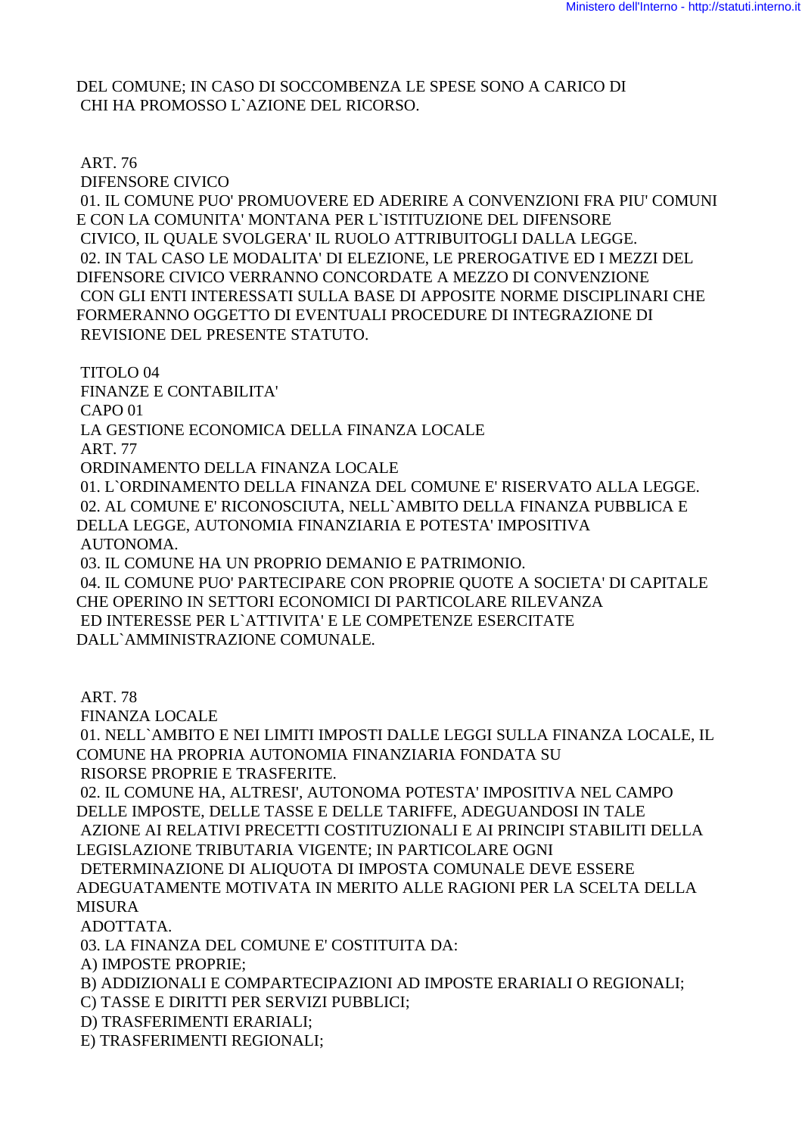DEL COMUNE; IN CASO DI SOCCOMBENZA LE SPESE SONO A CARICO DI CHI HA PROMOSSO L`AZIONE DEL RICORSO.

ART. 76

DIFENSORE CIVICO

 01. IL COMUNE PUO' PROMUOVERE ED ADERIRE A CONVENZIONI FRA PIU' COMUNI E CON LA COMUNITA' MONTANA PER L`ISTITUZIONE DEL DIFENSORE CIVICO, IL QUALE SVOLGERA' IL RUOLO ATTRIBUITOGLI DALLA LEGGE. 02. IN TAL CASO LE MODALITA' DI ELEZIONE, LE PREROGATIVE ED I MEZZI DEL DIFENSORE CIVICO VERRANNO CONCORDATE A MEZZO DI CONVENZIONE CON GLI ENTI INTERESSATI SULLA BASE DI APPOSITE NORME DISCIPLINARI CHE FORMERANNO OGGETTO DI EVENTUALI PROCEDURE DI INTEGRAZIONE DI REVISIONE DEL PRESENTE STATUTO.

TITOLO 04

FINANZE E CONTABILITA'

CAPO 01

LA GESTIONE ECONOMICA DELLA FINANZA LOCALE

ART. 77

ORDINAMENTO DELLA FINANZA LOCALE

 01. L`ORDINAMENTO DELLA FINANZA DEL COMUNE E' RISERVATO ALLA LEGGE. 02. AL COMUNE E' RICONOSCIUTA, NELL`AMBITO DELLA FINANZA PUBBLICA E DELLA LEGGE, AUTONOMIA FINANZIARIA E POTESTA' IMPOSITIVA AUTONOMA.

03. IL COMUNE HA UN PROPRIO DEMANIO E PATRIMONIO.

 04. IL COMUNE PUO' PARTECIPARE CON PROPRIE QUOTE A SOCIETA' DI CAPITALE CHE OPERINO IN SETTORI ECONOMICI DI PARTICOLARE RILEVANZA ED INTERESSE PER L`ATTIVITA' E LE COMPETENZE ESERCITATE DALL`AMMINISTRAZIONE COMUNALE.

ART. 78

FINANZA LOCALE

 01. NELL`AMBITO E NEI LIMITI IMPOSTI DALLE LEGGI SULLA FINANZA LOCALE, IL COMUNE HA PROPRIA AUTONOMIA FINANZIARIA FONDATA SU RISORSE PROPRIE E TRASFERITE.

 02. IL COMUNE HA, ALTRESI', AUTONOMA POTESTA' IMPOSITIVA NEL CAMPO DELLE IMPOSTE, DELLE TASSE E DELLE TARIFFE, ADEGUANDOSI IN TALE

 AZIONE AI RELATIVI PRECETTI COSTITUZIONALI E AI PRINCIPI STABILITI DELLA LEGISLAZIONE TRIBUTARIA VIGENTE; IN PARTICOLARE OGNI

 DETERMINAZIONE DI ALIQUOTA DI IMPOSTA COMUNALE DEVE ESSERE ADEGUATAMENTE MOTIVATA IN MERITO ALLE RAGIONI PER LA SCELTA DELLA MISURA

ADOTTATA.

03. LA FINANZA DEL COMUNE E' COSTITUITA DA:

A) IMPOSTE PROPRIE;

B) ADDIZIONALI E COMPARTECIPAZIONI AD IMPOSTE ERARIALI O REGIONALI;

C) TASSE E DIRITTI PER SERVIZI PUBBLICI;

D) TRASFERIMENTI ERARIALI;

E) TRASFERIMENTI REGIONALI;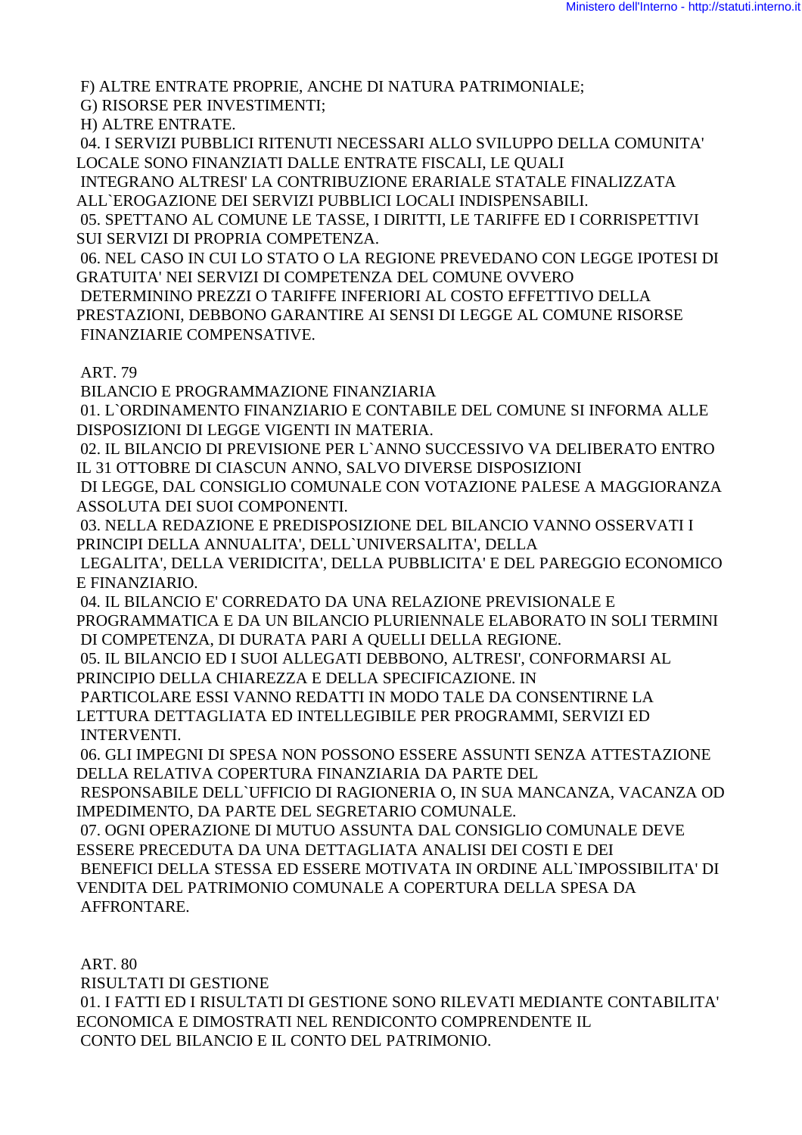F) ALTRE ENTRATE PROPRIE, ANCHE DI NATURA PATRIMONIALE;

G) RISORSE PER INVESTIMENTI;

H) ALTRE ENTRATE.

 04. I SERVIZI PUBBLICI RITENUTI NECESSARI ALLO SVILUPPO DELLA COMUNITA' LOCALE SONO FINANZIATI DALLE ENTRATE FISCALI, LE QUALI

 INTEGRANO ALTRESI' LA CONTRIBUZIONE ERARIALE STATALE FINALIZZATA ALL`EROGAZIONE DEI SERVIZI PUBBLICI LOCALI INDISPENSABILI.

 05. SPETTANO AL COMUNE LE TASSE, I DIRITTI, LE TARIFFE ED I CORRISPETTIVI SUI SERVIZI DI PROPRIA COMPETENZA.

 06. NEL CASO IN CUI LO STATO O LA REGIONE PREVEDANO CON LEGGE IPOTESI DI GRATUITA' NEI SERVIZI DI COMPETENZA DEL COMUNE OVVERO DETERMININO PREZZI O TARIFFE INFERIORI AL COSTO EFFETTIVO DELLA PRESTAZIONI, DEBBONO GARANTIRE AI SENSI DI LEGGE AL COMUNE RISORSE FINANZIARIE COMPENSATIVE.

ART. 79

BILANCIO E PROGRAMMAZIONE FINANZIARIA

 01. L`ORDINAMENTO FINANZIARIO E CONTABILE DEL COMUNE SI INFORMA ALLE DISPOSIZIONI DI LEGGE VIGENTI IN MATERIA.

 02. IL BILANCIO DI PREVISIONE PER L`ANNO SUCCESSIVO VA DELIBERATO ENTRO IL 31 OTTOBRE DI CIASCUN ANNO, SALVO DIVERSE DISPOSIZIONI

 DI LEGGE, DAL CONSIGLIO COMUNALE CON VOTAZIONE PALESE A MAGGIORANZA ASSOLUTA DEI SUOI COMPONENTI.

 03. NELLA REDAZIONE E PREDISPOSIZIONE DEL BILANCIO VANNO OSSERVATI I PRINCIPI DELLA ANNUALITA', DELL`UNIVERSALITA', DELLA

 LEGALITA', DELLA VERIDICITA', DELLA PUBBLICITA' E DEL PAREGGIO ECONOMICO E FINANZIARIO.

 04. IL BILANCIO E' CORREDATO DA UNA RELAZIONE PREVISIONALE E PROGRAMMATICA E DA UN BILANCIO PLURIENNALE ELABORATO IN SOLI TERMINI DI COMPETENZA, DI DURATA PARI A QUELLI DELLA REGIONE.

05. IL BILANCIO ED I SUOI ALLEGATI DEBBONO, ALTRESI', CONFORMARSI AL

PRINCIPIO DELLA CHIAREZZA E DELLA SPECIFICAZIONE. IN

 PARTICOLARE ESSI VANNO REDATTI IN MODO TALE DA CONSENTIRNE LA LETTURA DETTAGLIATA ED INTELLEGIBILE PER PROGRAMMI, SERVIZI ED INTERVENTI.

 06. GLI IMPEGNI DI SPESA NON POSSONO ESSERE ASSUNTI SENZA ATTESTAZIONE DELLA RELATIVA COPERTURA FINANZIARIA DA PARTE DEL

 RESPONSABILE DELL`UFFICIO DI RAGIONERIA O, IN SUA MANCANZA, VACANZA OD IMPEDIMENTO, DA PARTE DEL SEGRETARIO COMUNALE.

 07. OGNI OPERAZIONE DI MUTUO ASSUNTA DAL CONSIGLIO COMUNALE DEVE ESSERE PRECEDUTA DA UNA DETTAGLIATA ANALISI DEI COSTI E DEI BENEFICI DELLA STESSA ED ESSERE MOTIVATA IN ORDINE ALL`IMPOSSIBILITA' DI VENDITA DEL PATRIMONIO COMUNALE A COPERTURA DELLA SPESA DA AFFRONTARE.

ART. 80

RISULTATI DI GESTIONE

 01. I FATTI ED I RISULTATI DI GESTIONE SONO RILEVATI MEDIANTE CONTABILITA' ECONOMICA E DIMOSTRATI NEL RENDICONTO COMPRENDENTE IL CONTO DEL BILANCIO E IL CONTO DEL PATRIMONIO.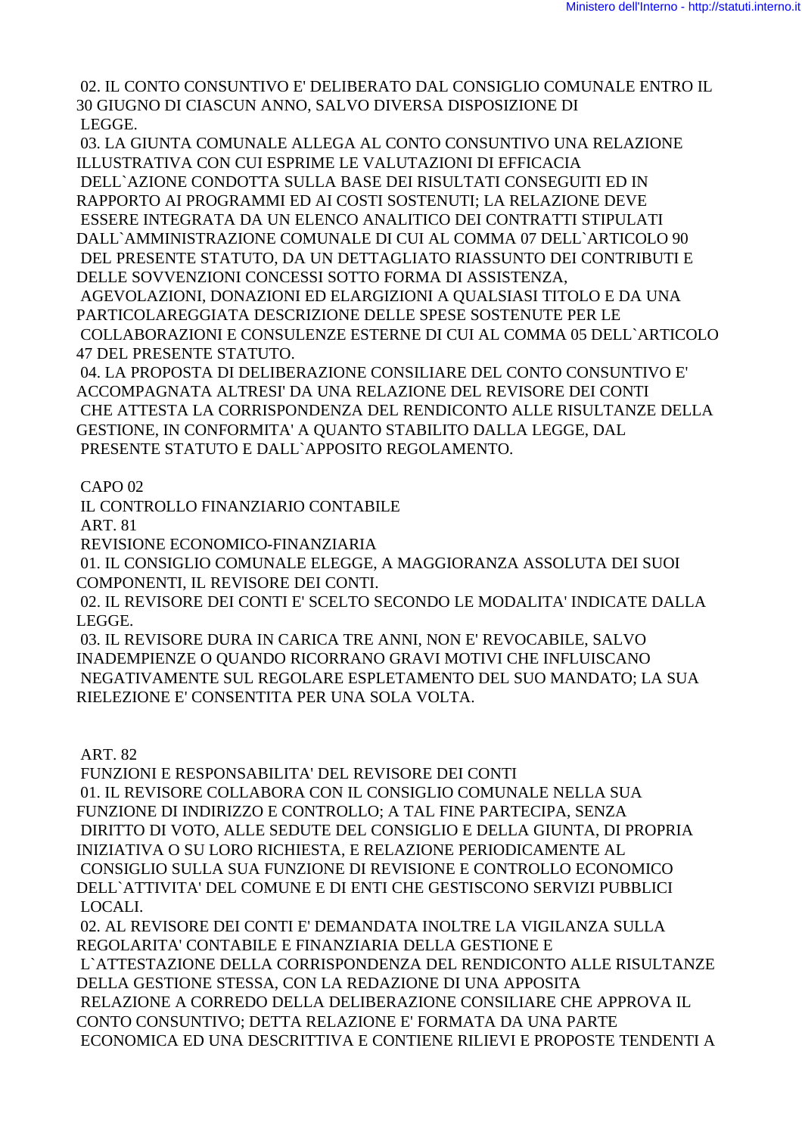02. IL CONTO CONSUNTIVO E' DELIBERATO DAL CONSIGLIO COMUNALE ENTRO IL 30 GIUGNO DI CIASCUN ANNO, SALVO DIVERSA DISPOSIZIONE DI LEGGE.

 03. LA GIUNTA COMUNALE ALLEGA AL CONTO CONSUNTIVO UNA RELAZIONE ILLUSTRATIVA CON CUI ESPRIME LE VALUTAZIONI DI EFFICACIA

 DELL`AZIONE CONDOTTA SULLA BASE DEI RISULTATI CONSEGUITI ED IN RAPPORTO AI PROGRAMMI ED AI COSTI SOSTENUTI; LA RELAZIONE DEVE ESSERE INTEGRATA DA UN ELENCO ANALITICO DEI CONTRATTI STIPULATI DALL`AMMINISTRAZIONE COMUNALE DI CUI AL COMMA 07 DELL`ARTICOLO 90 DEL PRESENTE STATUTO, DA UN DETTAGLIATO RIASSUNTO DEI CONTRIBUTI E DELLE SOVVENZIONI CONCESSI SOTTO FORMA DI ASSISTENZA, AGEVOLAZIONI, DONAZIONI ED ELARGIZIONI A QUALSIASI TITOLO E DA UNA PARTICOLAREGGIATA DESCRIZIONE DELLE SPESE SOSTENUTE PER LE COLLABORAZIONI E CONSULENZE ESTERNE DI CUI AL COMMA 05 DELL`ARTICOLO 47 DEL PRESENTE STATUTO.

 04. LA PROPOSTA DI DELIBERAZIONE CONSILIARE DEL CONTO CONSUNTIVO E' ACCOMPAGNATA ALTRESI' DA UNA RELAZIONE DEL REVISORE DEI CONTI CHE ATTESTA LA CORRISPONDENZA DEL RENDICONTO ALLE RISULTANZE DELLA GESTIONE, IN CONFORMITA' A QUANTO STABILITO DALLA LEGGE, DAL PRESENTE STATUTO E DALL`APPOSITO REGOLAMENTO.

CAPO 02

IL CONTROLLO FINANZIARIO CONTABILE

ART. 81

REVISIONE ECONOMICO-FINANZIARIA

 01. IL CONSIGLIO COMUNALE ELEGGE, A MAGGIORANZA ASSOLUTA DEI SUOI COMPONENTI, IL REVISORE DEI CONTI.

 02. IL REVISORE DEI CONTI E' SCELTO SECONDO LE MODALITA' INDICATE DALLA LEGGE.

 03. IL REVISORE DURA IN CARICA TRE ANNI, NON E' REVOCABILE, SALVO INADEMPIENZE O QUANDO RICORRANO GRAVI MOTIVI CHE INFLUISCANO NEGATIVAMENTE SUL REGOLARE ESPLETAMENTO DEL SUO MANDATO; LA SUA RIELEZIONE E' CONSENTITA PER UNA SOLA VOLTA.

ART. 82

 FUNZIONI E RESPONSABILITA' DEL REVISORE DEI CONTI 01. IL REVISORE COLLABORA CON IL CONSIGLIO COMUNALE NELLA SUA FUNZIONE DI INDIRIZZO E CONTROLLO; A TAL FINE PARTECIPA, SENZA DIRITTO DI VOTO, ALLE SEDUTE DEL CONSIGLIO E DELLA GIUNTA, DI PROPRIA INIZIATIVA O SU LORO RICHIESTA, E RELAZIONE PERIODICAMENTE AL CONSIGLIO SULLA SUA FUNZIONE DI REVISIONE E CONTROLLO ECONOMICO DELL`ATTIVITA' DEL COMUNE E DI ENTI CHE GESTISCONO SERVIZI PUBBLICI LOCALI.

 02. AL REVISORE DEI CONTI E' DEMANDATA INOLTRE LA VIGILANZA SULLA REGOLARITA' CONTABILE E FINANZIARIA DELLA GESTIONE E L`ATTESTAZIONE DELLA CORRISPONDENZA DEL RENDICONTO ALLE RISULTANZE DELLA GESTIONE STESSA, CON LA REDAZIONE DI UNA APPOSITA RELAZIONE A CORREDO DELLA DELIBERAZIONE CONSILIARE CHE APPROVA IL CONTO CONSUNTIVO; DETTA RELAZIONE E' FORMATA DA UNA PARTE ECONOMICA ED UNA DESCRITTIVA E CONTIENE RILIEVI E PROPOSTE TENDENTI A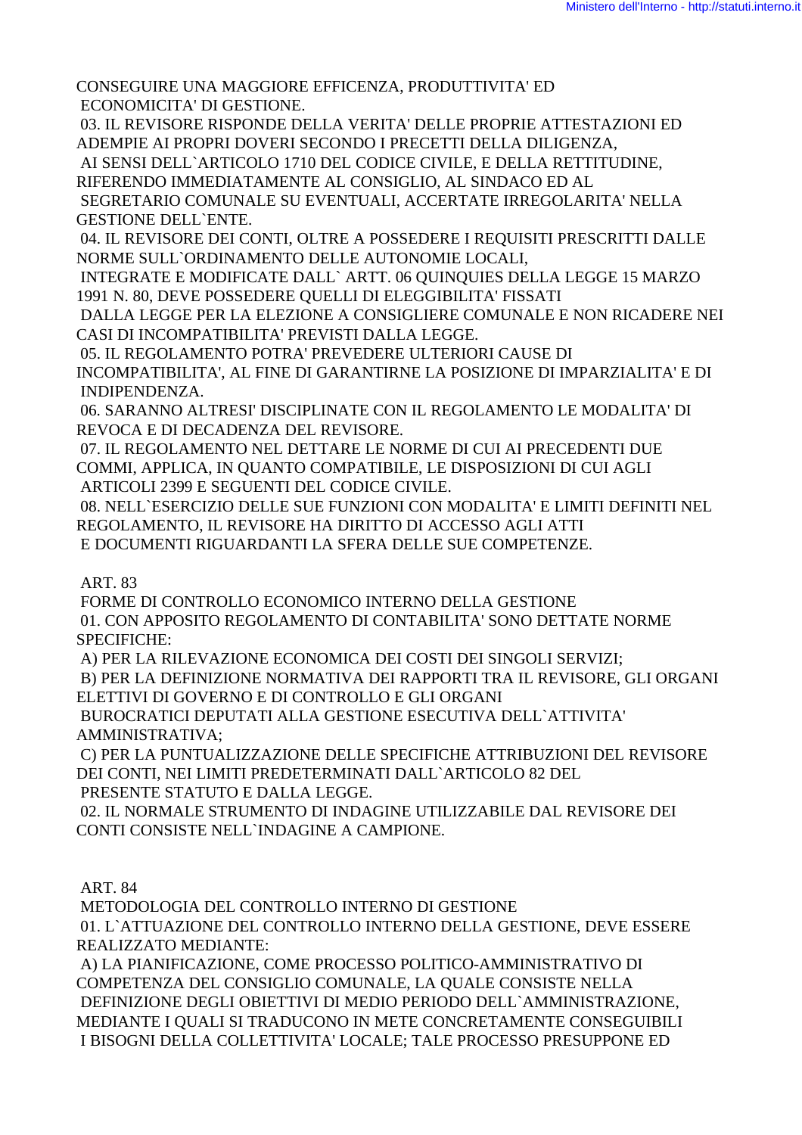CONSEGUIRE UNA MAGGIORE EFFICENZA, PRODUTTIVITA' ED ECONOMICITA' DI GESTIONE.

 03. IL REVISORE RISPONDE DELLA VERITA' DELLE PROPRIE ATTESTAZIONI ED ADEMPIE AI PROPRI DOVERI SECONDO I PRECETTI DELLA DILIGENZA,

AI SENSI DELL`ARTICOLO 1710 DEL CODICE CIVILE, E DELLA RETTITUDINE,

RIFERENDO IMMEDIATAMENTE AL CONSIGLIO, AL SINDACO ED AL

 SEGRETARIO COMUNALE SU EVENTUALI, ACCERTATE IRREGOLARITA' NELLA GESTIONE DELL`ENTE.

 04. IL REVISORE DEI CONTI, OLTRE A POSSEDERE I REQUISITI PRESCRITTI DALLE NORME SULL`ORDINAMENTO DELLE AUTONOMIE LOCALI,

 INTEGRATE E MODIFICATE DALL` ARTT. 06 QUINQUIES DELLA LEGGE 15 MARZO 1991 N. 80, DEVE POSSEDERE QUELLI DI ELEGGIBILITA' FISSATI

 DALLA LEGGE PER LA ELEZIONE A CONSIGLIERE COMUNALE E NON RICADERE NEI CASI DI INCOMPATIBILITA' PREVISTI DALLA LEGGE.

 05. IL REGOLAMENTO POTRA' PREVEDERE ULTERIORI CAUSE DI INCOMPATIBILITA', AL FINE DI GARANTIRNE LA POSIZIONE DI IMPARZIALITA' E DI INDIPENDENZA.

 06. SARANNO ALTRESI' DISCIPLINATE CON IL REGOLAMENTO LE MODALITA' DI REVOCA E DI DECADENZA DEL REVISORE.

 07. IL REGOLAMENTO NEL DETTARE LE NORME DI CUI AI PRECEDENTI DUE COMMI, APPLICA, IN QUANTO COMPATIBILE, LE DISPOSIZIONI DI CUI AGLI ARTICOLI 2399 E SEGUENTI DEL CODICE CIVILE.

 08. NELL`ESERCIZIO DELLE SUE FUNZIONI CON MODALITA' E LIMITI DEFINITI NEL REGOLAMENTO, IL REVISORE HA DIRITTO DI ACCESSO AGLI ATTI E DOCUMENTI RIGUARDANTI LA SFERA DELLE SUE COMPETENZE.

ART. 83

 FORME DI CONTROLLO ECONOMICO INTERNO DELLA GESTIONE 01. CON APPOSITO REGOLAMENTO DI CONTABILITA' SONO DETTATE NORME SPECIFICHE:

A) PER LA RILEVAZIONE ECONOMICA DEI COSTI DEI SINGOLI SERVIZI;

 B) PER LA DEFINIZIONE NORMATIVA DEI RAPPORTI TRA IL REVISORE, GLI ORGANI ELETTIVI DI GOVERNO E DI CONTROLLO E GLI ORGANI

 BUROCRATICI DEPUTATI ALLA GESTIONE ESECUTIVA DELL`ATTIVITA' AMMINISTRATIVA;

 C) PER LA PUNTUALIZZAZIONE DELLE SPECIFICHE ATTRIBUZIONI DEL REVISORE DEI CONTI, NEI LIMITI PREDETERMINATI DALL`ARTICOLO 82 DEL

PRESENTE STATUTO E DALLA LEGGE.

 02. IL NORMALE STRUMENTO DI INDAGINE UTILIZZABILE DAL REVISORE DEI CONTI CONSISTE NELL`INDAGINE A CAMPIONE.

ART. 84

 METODOLOGIA DEL CONTROLLO INTERNO DI GESTIONE 01. L`ATTUAZIONE DEL CONTROLLO INTERNO DELLA GESTIONE, DEVE ESSERE REALIZZATO MEDIANTE:

 A) LA PIANIFICAZIONE, COME PROCESSO POLITICO-AMMINISTRATIVO DI COMPETENZA DEL CONSIGLIO COMUNALE, LA QUALE CONSISTE NELLA DEFINIZIONE DEGLI OBIETTIVI DI MEDIO PERIODO DELL`AMMINISTRAZIONE, MEDIANTE I QUALI SI TRADUCONO IN METE CONCRETAMENTE CONSEGUIBILI I BISOGNI DELLA COLLETTIVITA' LOCALE; TALE PROCESSO PRESUPPONE ED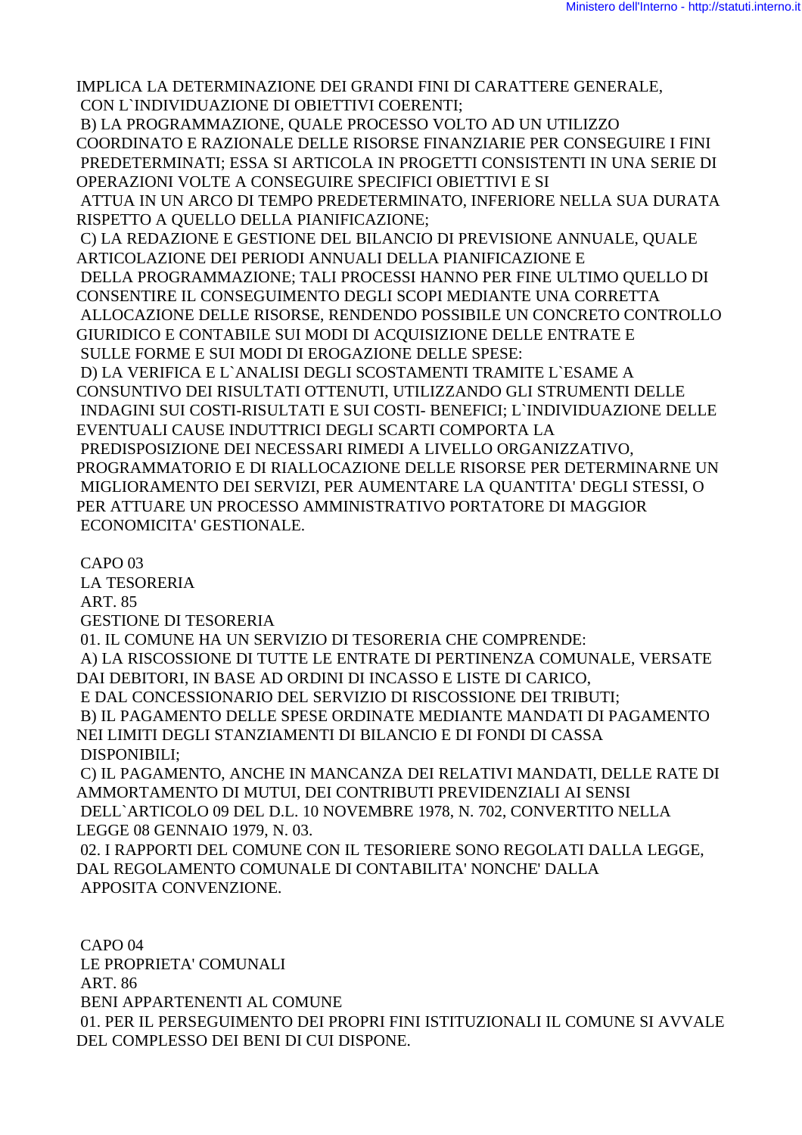IMPLICA LA DETERMINAZIONE DEI GRANDI FINI DI CARATTERE GENERALE, CON L`INDIVIDUAZIONE DI OBIETTIVI COERENTI;

 B) LA PROGRAMMAZIONE, QUALE PROCESSO VOLTO AD UN UTILIZZO COORDINATO E RAZIONALE DELLE RISORSE FINANZIARIE PER CONSEGUIRE I FINI PREDETERMINATI; ESSA SI ARTICOLA IN PROGETTI CONSISTENTI IN UNA SERIE DI OPERAZIONI VOLTE A CONSEGUIRE SPECIFICI OBIETTIVI E SI

 ATTUA IN UN ARCO DI TEMPO PREDETERMINATO, INFERIORE NELLA SUA DURATA RISPETTO A QUELLO DELLA PIANIFICAZIONE;

 C) LA REDAZIONE E GESTIONE DEL BILANCIO DI PREVISIONE ANNUALE, QUALE ARTICOLAZIONE DEI PERIODI ANNUALI DELLA PIANIFICAZIONE E

 DELLA PROGRAMMAZIONE; TALI PROCESSI HANNO PER FINE ULTIMO QUELLO DI CONSENTIRE IL CONSEGUIMENTO DEGLI SCOPI MEDIANTE UNA CORRETTA ALLOCAZIONE DELLE RISORSE, RENDENDO POSSIBILE UN CONCRETO CONTROLLO GIURIDICO E CONTABILE SUI MODI DI ACQUISIZIONE DELLE ENTRATE E SULLE FORME E SUI MODI DI EROGAZIONE DELLE SPESE:

 D) LA VERIFICA E L`ANALISI DEGLI SCOSTAMENTI TRAMITE L`ESAME A CONSUNTIVO DEI RISULTATI OTTENUTI, UTILIZZANDO GLI STRUMENTI DELLE INDAGINI SUI COSTI-RISULTATI E SUI COSTI- BENEFICI; L`INDIVIDUAZIONE DELLE EVENTUALI CAUSE INDUTTRICI DEGLI SCARTI COMPORTA LA PREDISPOSIZIONE DEI NECESSARI RIMEDI A LIVELLO ORGANIZZATIVO, PROGRAMMATORIO E DI RIALLOCAZIONE DELLE RISORSE PER DETERMINARNE UN MIGLIORAMENTO DEI SERVIZI, PER AUMENTARE LA QUANTITA' DEGLI STESSI, O PER ATTUARE UN PROCESSO AMMINISTRATIVO PORTATORE DI MAGGIOR ECONOMICITA' GESTIONALE.

CAPO 03

LA TESORERIA

ART. 85

GESTIONE DI TESORERIA

01. IL COMUNE HA UN SERVIZIO DI TESORERIA CHE COMPRENDE:

 A) LA RISCOSSIONE DI TUTTE LE ENTRATE DI PERTINENZA COMUNALE, VERSATE DAI DEBITORI, IN BASE AD ORDINI DI INCASSO E LISTE DI CARICO,

E DAL CONCESSIONARIO DEL SERVIZIO DI RISCOSSIONE DEI TRIBUTI;

 B) IL PAGAMENTO DELLE SPESE ORDINATE MEDIANTE MANDATI DI PAGAMENTO NEI LIMITI DEGLI STANZIAMENTI DI BILANCIO E DI FONDI DI CASSA DISPONIBILI;

 C) IL PAGAMENTO, ANCHE IN MANCANZA DEI RELATIVI MANDATI, DELLE RATE DI AMMORTAMENTO DI MUTUI, DEI CONTRIBUTI PREVIDENZIALI AI SENSI DELL`ARTICOLO 09 DEL D.L. 10 NOVEMBRE 1978, N. 702, CONVERTITO NELLA LEGGE 08 GENNAIO 1979, N. 03.

 02. I RAPPORTI DEL COMUNE CON IL TESORIERE SONO REGOLATI DALLA LEGGE, DAL REGOLAMENTO COMUNALE DI CONTABILITA' NONCHE' DALLA APPOSITA CONVENZIONE.

 CAPO 04 LE PROPRIETA' COMUNALI ART. 86 BENI APPARTENENTI AL COMUNE 01. PER IL PERSEGUIMENTO DEI PROPRI FINI ISTITUZIONALI IL COMUNE SI AVVALE DEL COMPLESSO DEI BENI DI CUI DISPONE.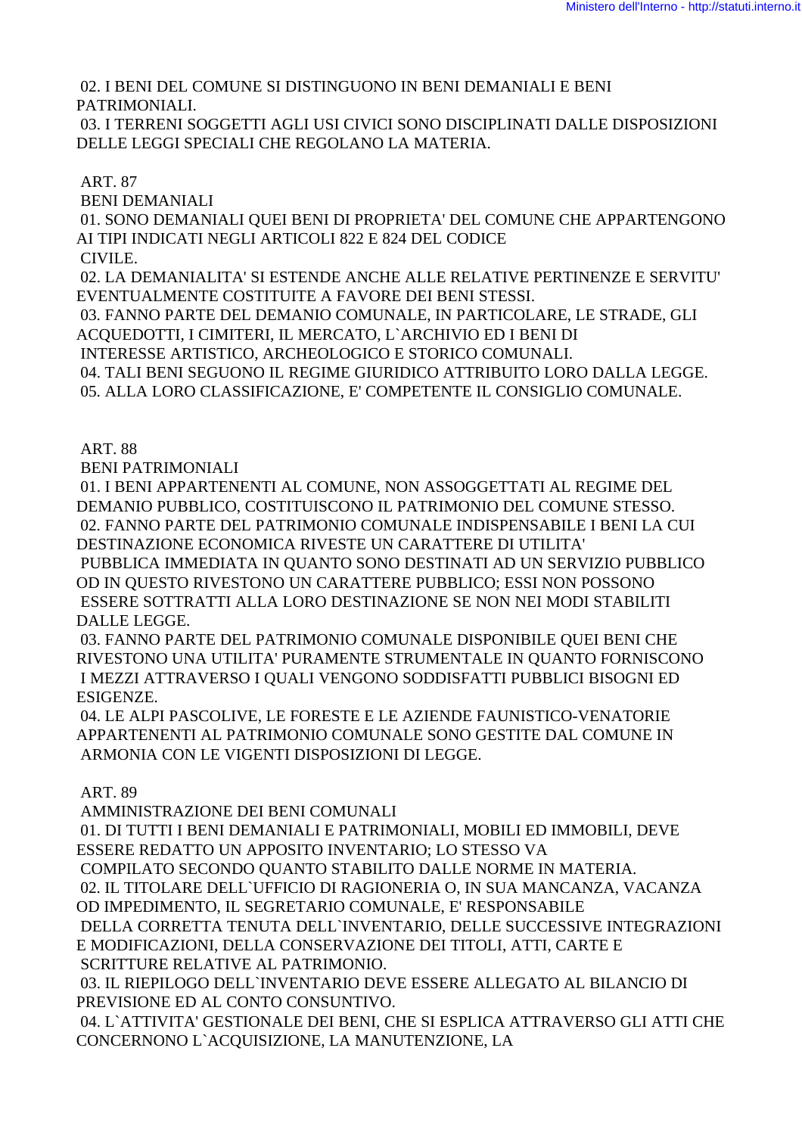02. I BENI DEL COMUNE SI DISTINGUONO IN BENI DEMANIALI E BENI PATRIMONIALI.

03. I TERRENI SOGGETTI AGLI USI CIVICI SONO DISCIPLINATI DALLE DISPOSIZIONI DELLE LEGGI SPECIALI CHE REGOLANO LA MATERIA.

**ART. 87** 

**BENI DEMANIALI** 

01. SONO DEMANIALI QUEI BENI DI PROPRIETA' DEL COMUNE CHE APPARTENGONO AI TIPI INDICATI NEGLI ARTICOLI 822 E 824 DEL CODICE

CIVILE.

02. LA DEMANIALITA' SI ESTENDE ANCHE ALLE RELATIVE PERTINENZE E SERVITU' EVENTUALMENTE COSTITUITE A FAVORE DEI BENI STESSI.

03. FANNO PARTE DEL DEMANIO COMUNALE, IN PARTICOLARE, LE STRADE, GLI ACQUEDOTTI, I CIMITERI, IL MERCATO, L'ARCHIVIO ED I BENI DI

INTERESSE ARTISTICO, ARCHEOLOGICO E STORICO COMUNALI.

04. TALI BENI SEGUONO IL REGIME GIURIDICO ATTRIBUITO LORO DALLA LEGGE.

05. ALLA LORO CLASSIFICAZIONE, E' COMPETENTE IL CONSIGLIO COMUNALE.

**ART. 88** 

**BENI PATRIMONIALI** 

01. I BENI APPARTENENTI AL COMUNE, NON ASSOGGETTATI AL REGIME DEL DEMANIO PUBBLICO, COSTITUISCONO IL PATRIMONIO DEL COMUNE STESSO. 02. FANNO PARTE DEL PATRIMONIO COMUNALE INDISPENSABILE I BENI LA CUI DESTINAZIONE ECONOMICA RIVESTE UN CARATTERE DI UTILITA'

PUBBLICA IMMEDIATA IN OUANTO SONO DESTINATI AD UN SERVIZIO PUBBLICO OD IN QUESTO RIVESTONO UN CARATTERE PUBBLICO; ESSI NON POSSONO ESSERE SOTTRATTI ALLA LORO DESTINAZIONE SE NON NEI MODI STABILITI DALLE LEGGE.

03. FANNO PARTE DEL PATRIMONIO COMUNALE DISPONIBILE OUEI BENI CHE RIVESTONO UNA UTILITA' PURAMENTE STRUMENTALE IN OUANTO FORNISCONO I MEZZI ATTRAVERSO I QUALI VENGONO SODDISFATTI PUBBLICI BISOGNI ED ESIGENZE.

04. LE ALPI PASCOLIVE, LE FORESTE E LE AZIENDE FAUNISTICO-VENATORIE APPARTENENTI AL PATRIMONIO COMUNALE SONO GESTITE DAL COMUNE IN ARMONIA CON LE VIGENTI DISPOSIZIONI DI LEGGE.

**ART. 89** 

AMMINISTRAZIONE DEI BENI COMUNALI 01. DI TUTTI I BENI DEMANIALI E PATRIMONIALI, MOBILI ED IMMOBILI, DEVE ESSERE REDATTO UN APPOSITO INVENTARIO; LO STESSO VA COMPILATO SECONDO OUANTO STABILITO DALLE NORME IN MATERIA. 02. IL TITOLARE DELL`UFFICIO DI RAGIONERIA O, IN SUA MANCANZA, VACANZA OD IMPEDIMENTO, IL SEGRETARIO COMUNALE, E' RESPONSABILE DELLA CORRETTA TENUTA DELL'INVENTARIO, DELLE SUCCESSIVE INTEGRAZIONI E MODIFICAZIONI, DELLA CONSERVAZIONE DEI TITOLI, ATTI, CARTE E SCRITTURE RELATIVE AL PATRIMONIO. 03. IL RIEPILOGO DELL'INVENTARIO DEVE ESSERE ALLEGATO AL BILANCIO DI PREVISIONE ED AL CONTO CONSUNTIVO. 04. L'ATTIVITA' GESTIONALE DEI BENI, CHE SI ESPLICA ATTRAVERSO GLI ATTI CHE

CONCERNONO L'ACQUISIZIONE, LA MANUTENZIONE, LA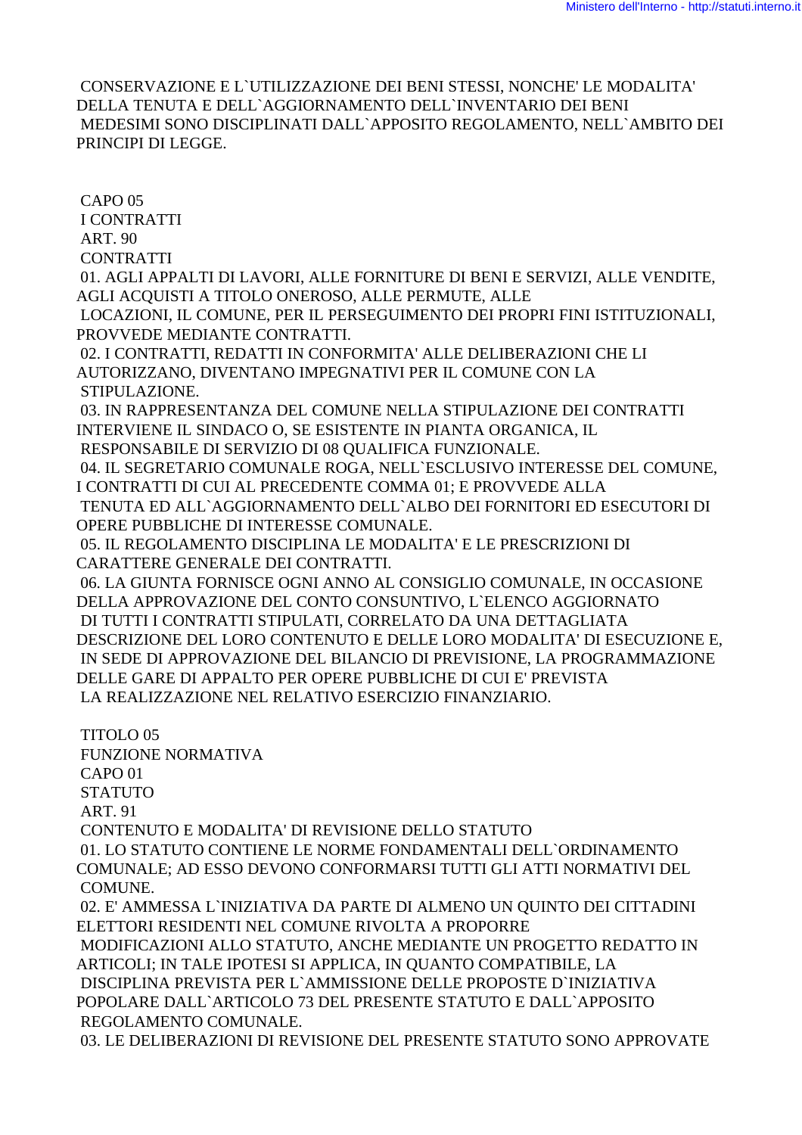CONSERVAZIONE E L'UTILIZZAZIONE DEI BENI STESSI, NONCHE' LE MODALITA' DELLA TENUTA E DELL'AGGIORNAMENTO DELL'INVENTARIO DEI BENI MEDESIMI SONO DISCIPLINATI DALL`APPOSITO REGOLAMENTO. NELL`AMBITO DEI PRINCIPI DI LEGGE.

 $CAPO<sub>05</sub>$ **I CONTRATTI ART. 90 CONTRATTI** 01. AGLI APPALTI DI LAVORI, ALLE FORNITURE DI BENI E SERVIZI, ALLE VENDITE, AGLI ACOUISTI A TITOLO ONEROSO, ALLE PERMUTE, ALLE LOCAZIONI, IL COMUNE, PER IL PERSEGUIMENTO DEI PROPRI FINI ISTITUZIONALI, PROVVEDE MEDIANTE CONTRATTI. 02. I CONTRATTI, REDATTI IN CONFORMITA' ALLE DELIBERAZIONI CHE LI AUTORIZZANO, DIVENTANO IMPEGNATIVI PER IL COMUNE CON LA STIPULAZIONE. 03. IN RAPPRESENTANZA DEL COMUNE NELLA STIPULAZIONE DEI CONTRATTI INTERVIENE IL SINDACO O, SE ESISTENTE IN PIANTA ORGANICA, IL RESPONSABILE DI SERVIZIO DI 08 QUALIFICA FUNZIONALE. 04. IL SEGRETARIO COMUNALE ROGA, NELL'ESCLUSIVO INTERESSE DEL COMUNE. I CONTRATTI DI CUI AL PRECEDENTE COMMA 01; E PROVVEDE ALLA TENUTA ED ALL`AGGIORNAMENTO DELL`ALBO DEI FORNITORI ED ESECUTORI DI OPERE PUBBLICHE DI INTERESSE COMUNALE. 05. IL REGOLAMENTO DISCIPLINA LE MODALITA' E LE PRESCRIZIONI DI CARATTERE GENERALE DEI CONTRATTI. 06. LA GIUNTA FORNISCE OGNI ANNO AL CONSIGLIO COMUNALE, IN OCCASIONE DELLA APPROVAZIONE DEL CONTO CONSUNTIVO, L'ELENCO AGGIORNATO DI TUTTI I CONTRATTI STIPULATI, CORRELATO DA UNA DETTAGLIATA DESCRIZIONE DEL LORO CONTENUTO E DELLE LORO MODALITA' DI ESECUZIONE E, IN SEDE DI APPROVAZIONE DEL BILANCIO DI PREVISIONE, LA PROGRAMMAZIONE DELLE GARE DI APPALTO PER OPERE PUBBLICHE DI CUI E' PREVISTA LA REALIZZAZIONE NEL RELATIVO ESERCIZIO FINANZIARIO. TITOLO<sub>05</sub> **FUNZIONE NORMATIVA** CAPO<sub>01</sub> **STATUTO ART. 91** CONTENUTO E MODALITA' DI REVISIONE DELLO STATUTO 01. LO STATUTO CONTIENE LE NORME FONDAMENTALI DELL`ORDINAMENTO COMUNALE; AD ESSO DEVONO CONFORMARSI TUTTI GLI ATTI NORMATIVI DEL COMUNE. 02. E' AMMESSA L`INIZIATIVA DA PARTE DI ALMENO UN OUINTO DEI CITTADINI ELETTORI RESIDENTI NEL COMUNE RIVOLTA A PROPORRE MODIFICAZIONI ALLO STATUTO, ANCHE MEDIANTE UN PROGETTO REDATTO IN

ARTICOLI; IN TALE IPOTESI SI APPLICA, IN QUANTO COMPATIBILE, LA DISCIPLINA PREVISTA PER L'AMMISSIONE DELLE PROPOSTE D'INIZIATIVA POPOLARE DALL`ARTICOLO 73 DEL PRESENTE STATUTO E DALL`APPOSITO REGOLAMENTO COMUNALE.

03. LE DELIBERAZIONI DI REVISIONE DEL PRESENTE STATUTO SONO APPROVATE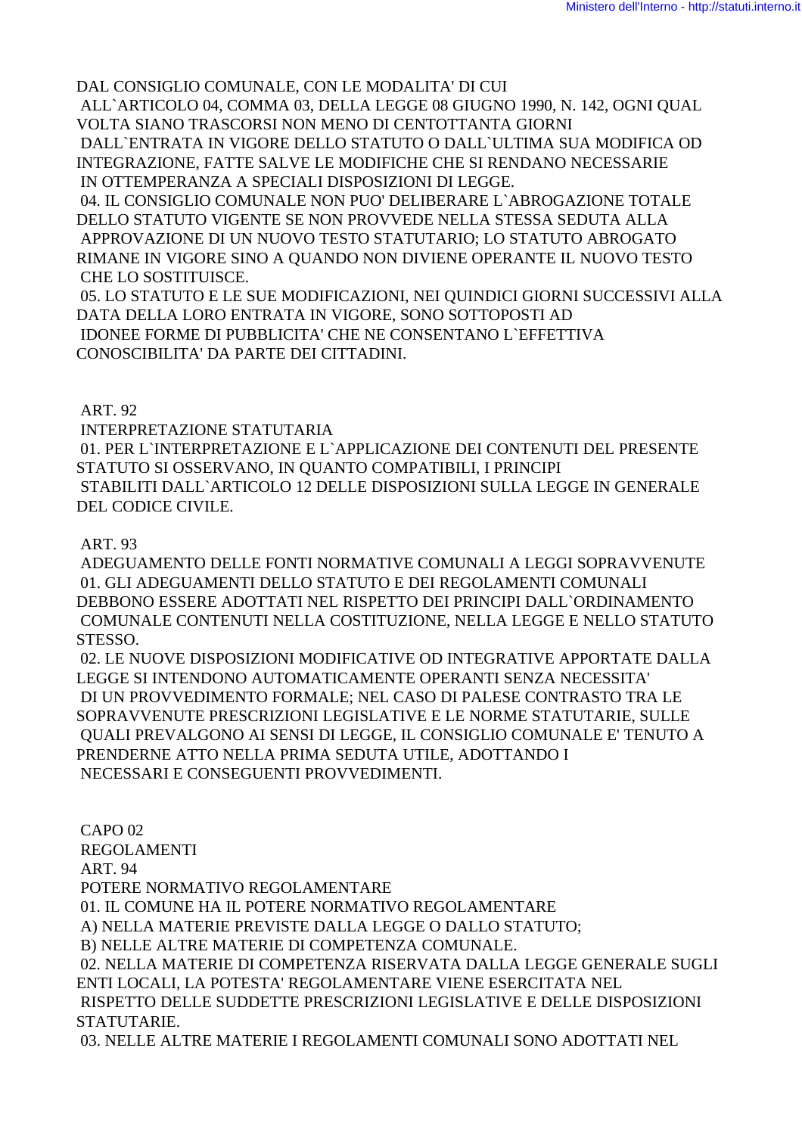DAL CONSIGLIO COMUNALE, CON LE MODALITA' DI CUI ALL`ARTICOLO 04, COMMA 03, DELLA LEGGE 08 GIUGNO 1990, N. 142, OGNI QUAL VOLTA SIANO TRASCORSI NON MENO DI CENTOTTANTA GIORNI DALL'ENTRATA IN VIGORE DELLO STATUTO O DALL'ULTIMA SUA MODIFICA OD INTEGRAZIONE. FATTE SALVE LE MODIFICHE CHE SI RENDANO NECESSARIE IN OTTEMPERANZA A SPECIALI DISPOSIZIONI DI LEGGE. 04. IL CONSIGLIO COMUNALE NON PUO' DELIBERARE L`ABROGAZIONE TOTALE DELLO STATUTO VIGENTE SE NON PROVVEDE NELLA STESSA SEDUTA ALLA APPROVAZIONE DI UN NUOVO TESTO STATUTARIO; LO STATUTO ABROGATO RIMANE IN VIGORE SINO A QUANDO NON DIVIENE OPERANTE IL NUOVO TESTO **CHE LO SOSTITUISCE.** 05. LO STATUTO E LE SUE MODIFICAZIONI, NEI QUINDICI GIORNI SUCCESSIVI ALLA DATA DELLA LORO ENTRATA IN VIGORE, SONO SOTTOPOSTI AD IDONEE FORME DI PUBBLICITA' CHE NE CONSENTANO L'EFFETTIVA CONOSCIBILITA' DA PARTE DEI CITTADINI.

**ART. 92** 

INTERPRETAZIONE STATUTARIA 01. PER L'INTERPRETAZIONE E L'APPLICAZIONE DEI CONTENUTI DEL PRESENTE STATUTO SI OSSERVANO. IN OUANTO COMPATIBILI. I PRINCIPI STABILITI DALL`ARTICOLO 12 DELLE DISPOSIZIONI SULLA LEGGE IN GENERALE DEL CODICE CIVILE.

### **ART. 93**

ADEGUAMENTO DELLE FONTI NORMATIVE COMUNALI A LEGGI SOPRAVVENUTE 01. GLI ADEGUAMENTI DELLO STATUTO E DEI REGOLAMENTI COMUNALI DEBBONO ESSERE ADOTTATI NEL RISPETTO DEI PRINCIPI DALL`ORDINAMENTO COMUNALE CONTENUTI NELLA COSTITUZIONE, NELLA LEGGE E NELLO STATUTO STESSO.

02. LE NUOVE DISPOSIZIONI MODIFICATIVE OD INTEGRATIVE APPORTATE DALLA LEGGE SI INTENDONO AUTOMATICAMENTE OPERANTI SENZA NECESSITA' DI UN PROVVEDIMENTO FORMALE; NEL CASO DI PALESE CONTRASTO TRA LE SOPRAVVENUTE PRESCRIZIONI LEGISLATIVE E LE NORME STATUTARIE, SULLE QUALI PREVALGONO AI SENSI DI LEGGE, IL CONSIGLIO COMUNALE E' TENUTO A PRENDERNE ATTO NELLA PRIMA SEDUTA UTILE, ADOTTANDO I NECESSARI E CONSEGUENTI PROVVEDIMENTI.

**CAPO 02 REGOLAMENTI ART. 94** POTERE NORMATIVO REGOLAMENTARE 01. IL COMUNE HA IL POTERE NORMATIVO REGOLAMENTARE A) NELLA MATERIE PREVISTE DALLA LEGGE O DALLO STATUTO; B) NELLE ALTRE MATERIE DI COMPETENZA COMUNALE. 02. NELLA MATERIE DI COMPETENZA RISERVATA DALLA LEGGE GENERALE SUGLI ENTI LOCALL LA POTESTA' REGOLAMENTARE VIENE ESERCITATA NEL RISPETTO DELLE SUDDETTE PRESCRIZIONI LEGISLATIVE E DELLE DISPOSIZIONI STATUTARIE.

03. NELLE ALTRE MATERIE I REGOLAMENTI COMUNALI SONO ADOTTATI NEL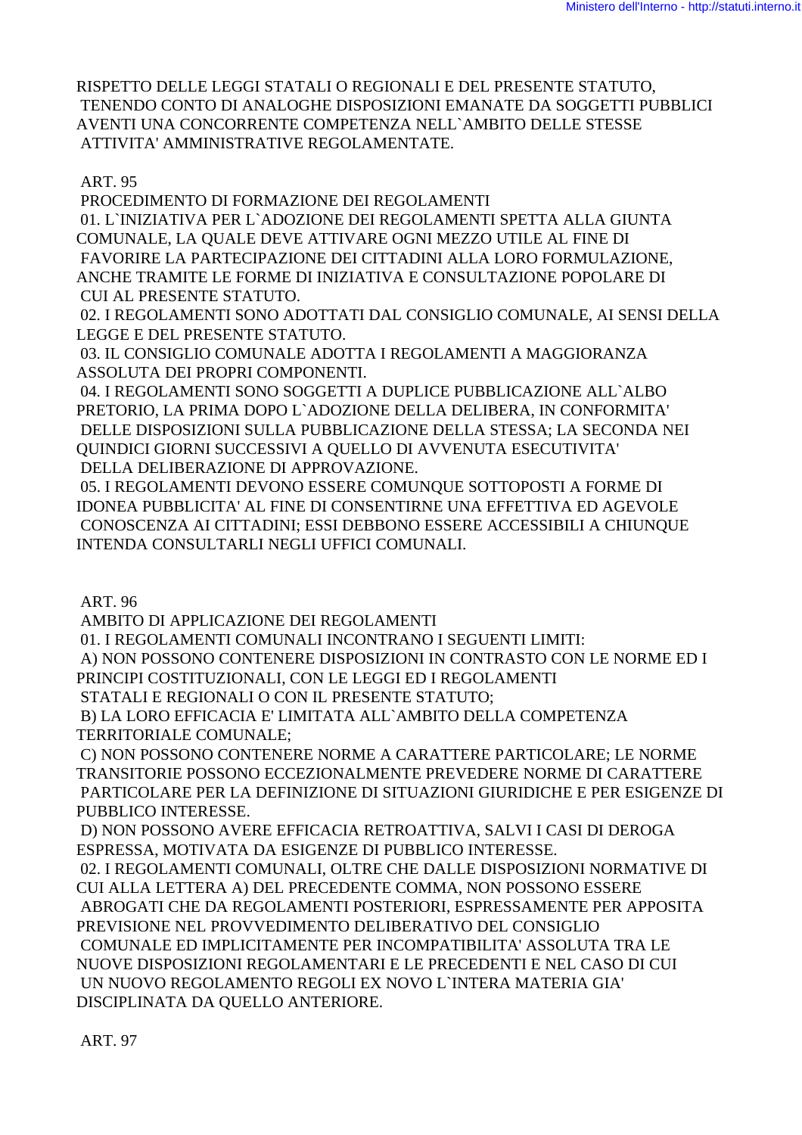RISPETTO DELLE LEGGI STATALI O REGIONALI E DEL PRESENTE STATUTO, TENENDO CONTO DI ANALOGHE DISPOSIZIONI EMANATE DA SOGGETTI PUBBLICI AVENTI UNA CONCORRENTE COMPETENZA NELL`AMBITO DELLE STESSE ATTIVITA' AMMINISTRATIVE REGOLAMENTATE.

## ART. 95

PROCEDIMENTO DI FORMAZIONE DEI REGOLAMENTI

 01. L`INIZIATIVA PER L`ADOZIONE DEI REGOLAMENTI SPETTA ALLA GIUNTA COMUNALE, LA QUALE DEVE ATTIVARE OGNI MEZZO UTILE AL FINE DI FAVORIRE LA PARTECIPAZIONE DEI CITTADINI ALLA LORO FORMULAZIONE, ANCHE TRAMITE LE FORME DI INIZIATIVA E CONSULTAZIONE POPOLARE DI CUI AL PRESENTE STATUTO.

 02. I REGOLAMENTI SONO ADOTTATI DAL CONSIGLIO COMUNALE, AI SENSI DELLA LEGGE E DEL PRESENTE STATUTO.

 03. IL CONSIGLIO COMUNALE ADOTTA I REGOLAMENTI A MAGGIORANZA ASSOLUTA DEI PROPRI COMPONENTI.

 04. I REGOLAMENTI SONO SOGGETTI A DUPLICE PUBBLICAZIONE ALL`ALBO PRETORIO, LA PRIMA DOPO L`ADOZIONE DELLA DELIBERA, IN CONFORMITA' DELLE DISPOSIZIONI SULLA PUBBLICAZIONE DELLA STESSA; LA SECONDA NEI QUINDICI GIORNI SUCCESSIVI A QUELLO DI AVVENUTA ESECUTIVITA' DELLA DELIBERAZIONE DI APPROVAZIONE.

 05. I REGOLAMENTI DEVONO ESSERE COMUNQUE SOTTOPOSTI A FORME DI IDONEA PUBBLICITA' AL FINE DI CONSENTIRNE UNA EFFETTIVA ED AGEVOLE CONOSCENZA AI CITTADINI; ESSI DEBBONO ESSERE ACCESSIBILI A CHIUNQUE INTENDA CONSULTARLI NEGLI UFFICI COMUNALI.

ART. 96

AMBITO DI APPLICAZIONE DEI REGOLAMENTI

01. I REGOLAMENTI COMUNALI INCONTRANO I SEGUENTI LIMITI:

 A) NON POSSONO CONTENERE DISPOSIZIONI IN CONTRASTO CON LE NORME ED I PRINCIPI COSTITUZIONALI, CON LE LEGGI ED I REGOLAMENTI

STATALI E REGIONALI O CON IL PRESENTE STATUTO;

 B) LA LORO EFFICACIA E' LIMITATA ALL`AMBITO DELLA COMPETENZA TERRITORIALE COMUNALE;

 C) NON POSSONO CONTENERE NORME A CARATTERE PARTICOLARE; LE NORME TRANSITORIE POSSONO ECCEZIONALMENTE PREVEDERE NORME DI CARATTERE PARTICOLARE PER LA DEFINIZIONE DI SITUAZIONI GIURIDICHE E PER ESIGENZE DI PUBBLICO INTERESSE.

 D) NON POSSONO AVERE EFFICACIA RETROATTIVA, SALVI I CASI DI DEROGA ESPRESSA, MOTIVATA DA ESIGENZE DI PUBBLICO INTERESSE.

 02. I REGOLAMENTI COMUNALI, OLTRE CHE DALLE DISPOSIZIONI NORMATIVE DI CUI ALLA LETTERA A) DEL PRECEDENTE COMMA, NON POSSONO ESSERE ABROGATI CHE DA REGOLAMENTI POSTERIORI, ESPRESSAMENTE PER APPOSITA PREVISIONE NEL PROVVEDIMENTO DELIBERATIVO DEL CONSIGLIO COMUNALE ED IMPLICITAMENTE PER INCOMPATIBILITA' ASSOLUTA TRA LE NUOVE DISPOSIZIONI REGOLAMENTARI E LE PRECEDENTI E NEL CASO DI CUI UN NUOVO REGOLAMENTO REGOLI EX NOVO L`INTERA MATERIA GIA' DISCIPLINATA DA QUELLO ANTERIORE.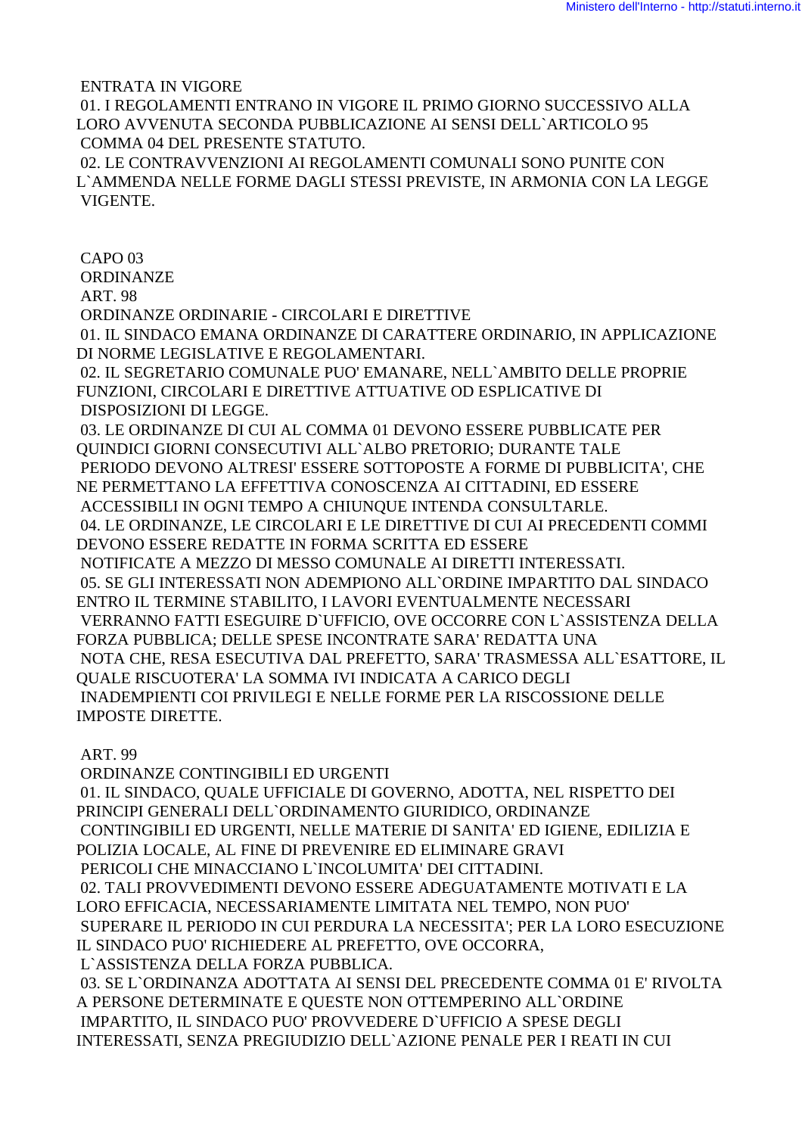ENTRATA IN VIGORE

 01. I REGOLAMENTI ENTRANO IN VIGORE IL PRIMO GIORNO SUCCESSIVO ALLA LORO AVVENUTA SECONDA PUBBLICAZIONE AI SENSI DELL`ARTICOLO 95 COMMA 04 DEL PRESENTE STATUTO.

 02. LE CONTRAVVENZIONI AI REGOLAMENTI COMUNALI SONO PUNITE CON L`AMMENDA NELLE FORME DAGLI STESSI PREVISTE, IN ARMONIA CON LA LEGGE VIGENTE.

 CAPO 03 **ORDINANZE**  ART. 98 ORDINANZE ORDINARIE - CIRCOLARI E DIRETTIVE 01. IL SINDACO EMANA ORDINANZE DI CARATTERE ORDINARIO, IN APPLICAZIONE DI NORME LEGISLATIVE E REGOLAMENTARI. 02. IL SEGRETARIO COMUNALE PUO' EMANARE, NELL`AMBITO DELLE PROPRIE FUNZIONI, CIRCOLARI E DIRETTIVE ATTUATIVE OD ESPLICATIVE DI DISPOSIZIONI DI LEGGE. 03. LE ORDINANZE DI CUI AL COMMA 01 DEVONO ESSERE PUBBLICATE PER QUINDICI GIORNI CONSECUTIVI ALL`ALBO PRETORIO; DURANTE TALE PERIODO DEVONO ALTRESI' ESSERE SOTTOPOSTE A FORME DI PUBBLICITA', CHE NE PERMETTANO LA EFFETTIVA CONOSCENZA AI CITTADINI, ED ESSERE ACCESSIBILI IN OGNI TEMPO A CHIUNQUE INTENDA CONSULTARLE. 04. LE ORDINANZE, LE CIRCOLARI E LE DIRETTIVE DI CUI AI PRECEDENTI COMMI DEVONO ESSERE REDATTE IN FORMA SCRITTA ED ESSERE NOTIFICATE A MEZZO DI MESSO COMUNALE AI DIRETTI INTERESSATI. 05. SE GLI INTERESSATI NON ADEMPIONO ALL`ORDINE IMPARTITO DAL SINDACO ENTRO IL TERMINE STABILITO, I LAVORI EVENTUALMENTE NECESSARI VERRANNO FATTI ESEGUIRE D`UFFICIO, OVE OCCORRE CON L`ASSISTENZA DELLA FORZA PUBBLICA; DELLE SPESE INCONTRATE SARA' REDATTA UNA NOTA CHE, RESA ESECUTIVA DAL PREFETTO, SARA' TRASMESSA ALL`ESATTORE, IL QUALE RISCUOTERA' LA SOMMA IVI INDICATA A CARICO DEGLI INADEMPIENTI COI PRIVILEGI E NELLE FORME PER LA RISCOSSIONE DELLE IMPOSTE DIRETTE.

#### ART. 99

 ORDINANZE CONTINGIBILI ED URGENTI 01. IL SINDACO, QUALE UFFICIALE DI GOVERNO, ADOTTA, NEL RISPETTO DEI PRINCIPI GENERALI DELL`ORDINAMENTO GIURIDICO, ORDINANZE CONTINGIBILI ED URGENTI, NELLE MATERIE DI SANITA' ED IGIENE, EDILIZIA E POLIZIA LOCALE, AL FINE DI PREVENIRE ED ELIMINARE GRAVI PERICOLI CHE MINACCIANO L`INCOLUMITA' DEI CITTADINI. 02. TALI PROVVEDIMENTI DEVONO ESSERE ADEGUATAMENTE MOTIVATI E LA LORO EFFICACIA, NECESSARIAMENTE LIMITATA NEL TEMPO, NON PUO' SUPERARE IL PERIODO IN CUI PERDURA LA NECESSITA'; PER LA LORO ESECUZIONE IL SINDACO PUO' RICHIEDERE AL PREFETTO, OVE OCCORRA, L`ASSISTENZA DELLA FORZA PUBBLICA. 03. SE L`ORDINANZA ADOTTATA AI SENSI DEL PRECEDENTE COMMA 01 E' RIVOLTA A PERSONE DETERMINATE E QUESTE NON OTTEMPERINO ALL`ORDINE IMPARTITO, IL SINDACO PUO' PROVVEDERE D`UFFICIO A SPESE DEGLI

INTERESSATI, SENZA PREGIUDIZIO DELL`AZIONE PENALE PER I REATI IN CUI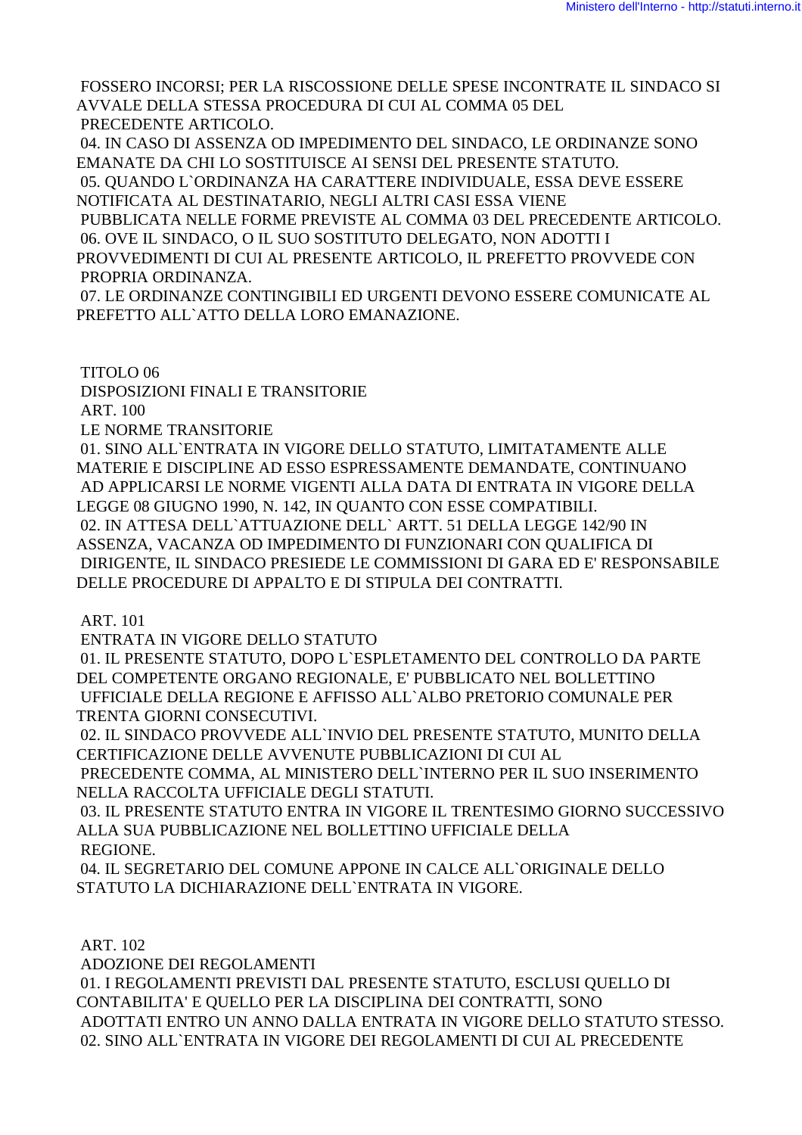FOSSERO INCORSI; PER LA RISCOSSIONE DELLE SPESE INCONTRATE IL SINDACO SI AVVALE DELLA STESSA PROCEDURA DI CUI AL COMMA 05 DEL PRECEDENTE ARTICOLO.

 04. IN CASO DI ASSENZA OD IMPEDIMENTO DEL SINDACO, LE ORDINANZE SONO EMANATE DA CHI LO SOSTITUISCE AI SENSI DEL PRESENTE STATUTO.

 05. QUANDO L`ORDINANZA HA CARATTERE INDIVIDUALE, ESSA DEVE ESSERE NOTIFICATA AL DESTINATARIO, NEGLI ALTRI CASI ESSA VIENE

 PUBBLICATA NELLE FORME PREVISTE AL COMMA 03 DEL PRECEDENTE ARTICOLO. 06. OVE IL SINDACO, O IL SUO SOSTITUTO DELEGATO, NON ADOTTI I

PROVVEDIMENTI DI CUI AL PRESENTE ARTICOLO, IL PREFETTO PROVVEDE CON PROPRIA ORDINANZA.

 07. LE ORDINANZE CONTINGIBILI ED URGENTI DEVONO ESSERE COMUNICATE AL PREFETTO ALL`ATTO DELLA LORO EMANAZIONE.

TITOLO 06

DISPOSIZIONI FINALI E TRANSITORIE

ART. 100

LE NORME TRANSITORIE

 01. SINO ALL`ENTRATA IN VIGORE DELLO STATUTO, LIMITATAMENTE ALLE MATERIE E DISCIPLINE AD ESSO ESPRESSAMENTE DEMANDATE, CONTINUANO AD APPLICARSI LE NORME VIGENTI ALLA DATA DI ENTRATA IN VIGORE DELLA LEGGE 08 GIUGNO 1990, N. 142, IN QUANTO CON ESSE COMPATIBILI. 02. IN ATTESA DELL`ATTUAZIONE DELL` ARTT. 51 DELLA LEGGE 142/90 IN ASSENZA, VACANZA OD IMPEDIMENTO DI FUNZIONARI CON QUALIFICA DI DIRIGENTE, IL SINDACO PRESIEDE LE COMMISSIONI DI GARA ED E' RESPONSABILE DELLE PROCEDURE DI APPALTO E DI STIPULA DEI CONTRATTI.

ART. 101

ENTRATA IN VIGORE DELLO STATUTO

 01. IL PRESENTE STATUTO, DOPO L`ESPLETAMENTO DEL CONTROLLO DA PARTE DEL COMPETENTE ORGANO REGIONALE, E' PUBBLICATO NEL BOLLETTINO UFFICIALE DELLA REGIONE E AFFISSO ALL`ALBO PRETORIO COMUNALE PER TRENTA GIORNI CONSECUTIVI.

 02. IL SINDACO PROVVEDE ALL`INVIO DEL PRESENTE STATUTO, MUNITO DELLA CERTIFICAZIONE DELLE AVVENUTE PUBBLICAZIONI DI CUI AL

 PRECEDENTE COMMA, AL MINISTERO DELL`INTERNO PER IL SUO INSERIMENTO NELLA RACCOLTA UFFICIALE DEGLI STATUTI.

 03. IL PRESENTE STATUTO ENTRA IN VIGORE IL TRENTESIMO GIORNO SUCCESSIVO ALLA SUA PUBBLICAZIONE NEL BOLLETTINO UFFICIALE DELLA REGIONE.

 04. IL SEGRETARIO DEL COMUNE APPONE IN CALCE ALL`ORIGINALE DELLO STATUTO LA DICHIARAZIONE DELL`ENTRATA IN VIGORE.

ART. 102

ADOZIONE DEI REGOLAMENTI

 01. I REGOLAMENTI PREVISTI DAL PRESENTE STATUTO, ESCLUSI QUELLO DI CONTABILITA' E QUELLO PER LA DISCIPLINA DEI CONTRATTI, SONO ADOTTATI ENTRO UN ANNO DALLA ENTRATA IN VIGORE DELLO STATUTO STESSO. 02. SINO ALL`ENTRATA IN VIGORE DEI REGOLAMENTI DI CUI AL PRECEDENTE